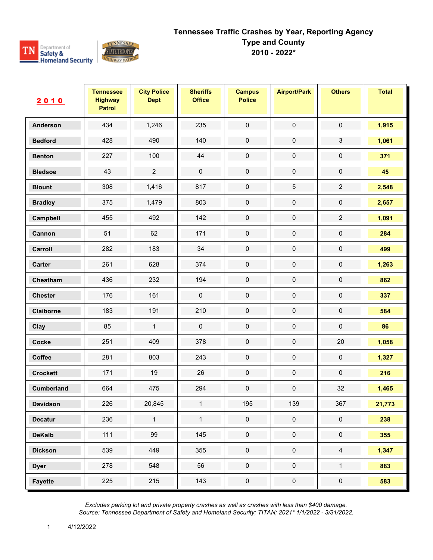

| 2010              | <b>Tennessee</b><br><b>Highway</b><br><b>Patrol</b> | <b>City Police</b><br><b>Dept</b> | <b>Sheriffs</b><br><b>Office</b> | <b>Campus</b><br><b>Police</b> | <b>Airport/Park</b> | <b>Others</b>  | <b>Total</b> |
|-------------------|-----------------------------------------------------|-----------------------------------|----------------------------------|--------------------------------|---------------------|----------------|--------------|
| <b>Anderson</b>   | 434                                                 | 1,246                             | 235                              | $\pmb{0}$                      | $\pmb{0}$           | $\pmb{0}$      | 1,915        |
| <b>Bedford</b>    | 428                                                 | 490                               | 140                              | $\pmb{0}$                      | $\pmb{0}$           | 3              | 1,061        |
| <b>Benton</b>     | 227                                                 | 100                               | 44                               | $\pmb{0}$                      | $\mathbf 0$         | $\pmb{0}$      | 371          |
| <b>Bledsoe</b>    | 43                                                  | $\sqrt{2}$                        | $\pmb{0}$                        | $\pmb{0}$                      | $\pmb{0}$           | $\pmb{0}$      | 45           |
| <b>Blount</b>     | 308                                                 | 1,416                             | 817                              | 0                              | $\mathbf 5$         | $\overline{2}$ | 2,548        |
| <b>Bradley</b>    | 375                                                 | 1,479                             | 803                              | $\pmb{0}$                      | $\pmb{0}$           | $\pmb{0}$      | 2,657        |
| Campbell          | 455                                                 | 492                               | 142                              | 0                              | $\pmb{0}$           | $\overline{2}$ | 1,091        |
| Cannon            | 51                                                  | 62                                | 171                              | 0                              | $\pmb{0}$           | $\pmb{0}$      | 284          |
| Carroll           | 282                                                 | 183                               | 34                               | $\pmb{0}$                      | $\pmb{0}$           | $\pmb{0}$      | 499          |
| Carter            | 261                                                 | 628                               | 374                              | 0                              | $\pmb{0}$           | $\pmb{0}$      | 1,263        |
| Cheatham          | 436                                                 | 232                               | 194                              | $\pmb{0}$                      | $\pmb{0}$           | $\pmb{0}$      | 862          |
| <b>Chester</b>    | 176                                                 | 161                               | $\pmb{0}$                        | $\pmb{0}$                      | $\pmb{0}$           | $\pmb{0}$      | 337          |
| Claiborne         | 183                                                 | 191                               | 210                              | 0                              | $\pmb{0}$           | $\pmb{0}$      | 584          |
| Clay              | 85                                                  | $\mathbf{1}$                      | $\pmb{0}$                        | $\pmb{0}$                      | $\mathbf 0$         | $\pmb{0}$      | 86           |
| <b>Cocke</b>      | 251                                                 | 409                               | 378                              | $\pmb{0}$                      | $\pmb{0}$           | 20             | 1,058        |
| Coffee            | 281                                                 | 803                               | 243                              | 0                              | $\pmb{0}$           | $\pmb{0}$      | 1,327        |
| <b>Crockett</b>   | 171                                                 | 19                                | 26                               | $\mathbf 0$                    | $\pmb{0}$           | $\pmb{0}$      | 216          |
| <b>Cumberland</b> | 664                                                 | 475                               | 294                              | $\pmb{0}$                      | $\pmb{0}$           | 32             | 1,465        |
| <b>Davidson</b>   | 226                                                 | 20,845                            | 1                                | 195                            | 139                 | 367            | 21,773       |
| <b>Decatur</b>    | 236                                                 | $\mathbf{1}$                      | $\mathbf{1}$                     | $\mathbf 0$                    | $\mathbf 0$         | $\mathbf 0$    | 238          |
| <b>DeKalb</b>     | $111$                                               | 99                                | 145                              | $\pmb{0}$                      | $\mathbf 0$         | $\pmb{0}$      | 355          |
| <b>Dickson</b>    | 539                                                 | 449                               | 355                              | $\pmb{0}$                      | $\pmb{0}$           | $\overline{4}$ | 1,347        |
| <b>Dyer</b>       | 278                                                 | 548                               | 56                               | $\pmb{0}$                      | $\mathbf 0$         | $\mathbf{1}$   | 883          |
| <b>Fayette</b>    | 225                                                 | 215                               | 143                              | $\pmb{0}$                      | $\pmb{0}$           | $\mathbf 0$    | 583          |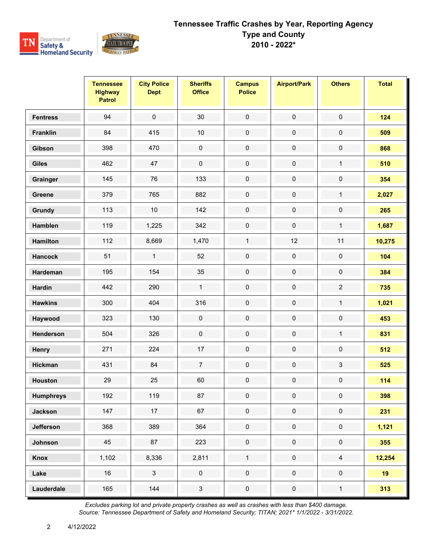

|                  | <b>Tennessee</b><br><b>Highway</b><br><b>Patrol</b> | <b>City Police</b><br><b>Dept</b> | <b>Sheriffs</b><br><b>Office</b> | <b>Campus</b><br><b>Police</b> | <b>Airport/Park</b> | <b>Others</b>       | <b>Total</b> |
|------------------|-----------------------------------------------------|-----------------------------------|----------------------------------|--------------------------------|---------------------|---------------------|--------------|
| <b>Fentress</b>  | 94                                                  | $\pmb{0}$                         | 30                               | $\pmb{0}$                      | $\pmb{0}$           | $\pmb{0}$           | 124          |
| <b>Franklin</b>  | 84                                                  | 415                               | $10$                             | $\pmb{0}$                      | $\pmb{0}$           | 0                   | 509          |
| Gibson           | 398                                                 | 470                               | $\pmb{0}$                        | $\pmb{0}$                      | $\pmb{0}$           | $\pmb{0}$           | 868          |
| <b>Giles</b>     | 462                                                 | 47                                | $\pmb{0}$                        | $\mathsf{O}\xspace$            | $\pmb{0}$           | $\mathbf{1}$        | 510          |
| Grainger         | 145                                                 | 76                                | 133                              | $\pmb{0}$                      | $\pmb{0}$           | $\pmb{0}$           | 354          |
| Greene           | 379                                                 | 765                               | 882                              | $\pmb{0}$                      | $\pmb{0}$           | $\mathbf{1}$        | 2,027        |
| Grundy           | 113                                                 | $10$                              | 142                              | $\pmb{0}$                      | $\pmb{0}$           | $\pmb{0}$           | 265          |
| <b>Hamblen</b>   | 119                                                 | 1,225                             | 342                              | $\pmb{0}$                      | $\pmb{0}$           | $\mathbf{1}$        | 1,687        |
| <b>Hamilton</b>  | 112                                                 | 8,669                             | 1,470                            | $\mathbf{1}$                   | 12                  | 11                  | 10,275       |
| <b>Hancock</b>   | 51                                                  | $\mathbf{1}$                      | 52                               | $\pmb{0}$                      | $\pmb{0}$           | $\mathsf{O}\xspace$ | 104          |
| Hardeman         | 195                                                 | 154                               | 35                               | $\mathbf 0$                    | $\pmb{0}$           | $\pmb{0}$           | 384          |
| <b>Hardin</b>    | 442                                                 | 290                               | $\mathbf{1}$                     | $\pmb{0}$                      | $\pmb{0}$           | $\overline{2}$      | 735          |
| <b>Hawkins</b>   | 300                                                 | 404                               | 316                              | $\pmb{0}$                      | $\pmb{0}$           | $\mathbf{1}$        | 1,021        |
| Haywood          | 323                                                 | 130                               | $\pmb{0}$                        | $\pmb{0}$                      | $\pmb{0}$           | $\pmb{0}$           | 453          |
| Henderson        | 504                                                 | 326                               | $\pmb{0}$                        | $\pmb{0}$                      | $\pmb{0}$           | $\mathbf{1}$        | 831          |
| Henry            | 271                                                 | 224                               | 17                               | $\pmb{0}$                      | $\pmb{0}$           | $\pmb{0}$           | 512          |
| <b>Hickman</b>   | 431                                                 | 84                                | $\overline{7}$                   | $\pmb{0}$                      | $\pmb{0}$           | $\mathfrak{S}$      | 525          |
| <b>Houston</b>   | 29                                                  | 25                                | 60                               | $\pmb{0}$                      | $\pmb{0}$           | $\pmb{0}$           | 114          |
| <b>Humphreys</b> | 192                                                 | 119                               | 87                               | 0                              | 0                   | 0                   | 398          |
| <b>Jackson</b>   | 147                                                 | 17                                | 67                               | $\mathbf 0$                    | $\pmb{0}$           | $\pmb{0}$           | 231          |
| Jefferson        | 368                                                 | 389                               | 364                              | $\mathbf 0$                    | $\mathbf 0$         | $\mathbf 0$         | 1,121        |
| Johnson          | 45                                                  | 87                                | 223                              | $\mathbf 0$                    | $\pmb{0}$           | $\mathsf{O}\xspace$ | 355          |
| Knox             | 1,102                                               | 8,336                             | 2,811                            | $\mathbf{1}$                   | $\mathbf 0$         | $\overline{4}$      | 12,254       |
| Lake             | 16                                                  | $\mathbf{3}$                      | $\mathbf 0$                      | $\mathbf 0$                    | $\mathbf 0$         | $\mathbf 0$         | 19           |
| Lauderdale       | 165                                                 | 144                               | $\mathbf{3}$                     | $\pmb{0}$                      | $\pmb{0}$           | $\mathbf{1}$        | 313          |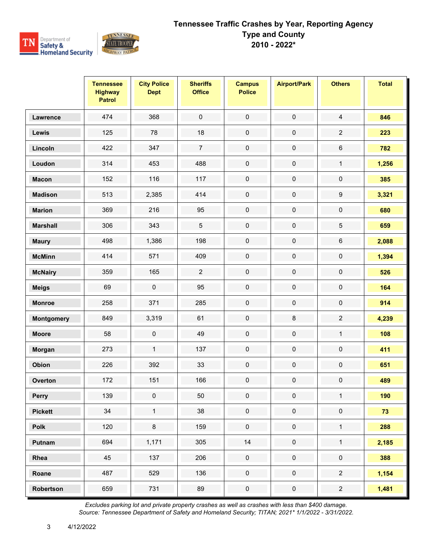

|                 | <b>Tennessee</b><br><b>Highway</b><br><b>Patrol</b> | <b>City Police</b><br><b>Dept</b> | <b>Sheriffs</b><br><b>Office</b> | <b>Campus</b><br><b>Police</b> | <b>Airport/Park</b> | <b>Others</b>       | <b>Total</b> |
|-----------------|-----------------------------------------------------|-----------------------------------|----------------------------------|--------------------------------|---------------------|---------------------|--------------|
| Lawrence        | 474                                                 | 368                               | $\mathsf{O}\xspace$              | $\pmb{0}$                      | $\pmb{0}$           | $\overline{4}$      | 846          |
| Lewis           | 125                                                 | 78                                | 18                               | $\pmb{0}$                      | $\pmb{0}$           | $\overline{2}$      | 223          |
| Lincoln         | 422                                                 | 347                               | $\overline{7}$                   | $\pmb{0}$                      | $\pmb{0}$           | 6                   | 782          |
| Loudon          | 314                                                 | 453                               | 488                              | $\mathbf 0$                    | $\pmb{0}$           | $\mathbf{1}$        | 1,256        |
| <b>Macon</b>    | 152                                                 | 116                               | 117                              | $\pmb{0}$                      | $\pmb{0}$           | $\pmb{0}$           | 385          |
| <b>Madison</b>  | 513                                                 | 2,385                             | 414                              | $\pmb{0}$                      | $\pmb{0}$           | $\boldsymbol{9}$    | 3,321        |
| <b>Marion</b>   | 369                                                 | 216                               | 95                               | $\mathbf 0$                    | $\pmb{0}$           | $\mathsf{O}\xspace$ | 680          |
| <b>Marshall</b> | 306                                                 | 343                               | $\mathbf 5$                      | $\pmb{0}$                      | $\pmb{0}$           | 5                   | 659          |
| <b>Maury</b>    | 498                                                 | 1,386                             | 198                              | $\mathbf 0$                    | $\pmb{0}$           | 6                   | 2,088        |
| <b>McMinn</b>   | 414                                                 | 571                               | 409                              | $\pmb{0}$                      | $\pmb{0}$           | $\pmb{0}$           | 1,394        |
| <b>McNairy</b>  | 359                                                 | 165                               | $\overline{2}$                   | $\pmb{0}$                      | $\pmb{0}$           | $\pmb{0}$           | 526          |
| <b>Meigs</b>    | 69                                                  | $\pmb{0}$                         | 95                               | $\pmb{0}$                      | $\pmb{0}$           | $\pmb{0}$           | 164          |
| <b>Monroe</b>   | 258                                                 | 371                               | 285                              | $\pmb{0}$                      | $\pmb{0}$           | $\pmb{0}$           | 914          |
| Montgomery      | 849                                                 | 3,319                             | 61                               | $\pmb{0}$                      | $\bf 8$             | $\overline{2}$      | 4,239        |
| <b>Moore</b>    | 58                                                  | 0                                 | 49                               | $\pmb{0}$                      | $\pmb{0}$           | $\mathbf{1}$        | 108          |
| Morgan          | 273                                                 | $\mathbf{1}$                      | 137                              | $\pmb{0}$                      | $\pmb{0}$           | $\pmb{0}$           | 411          |
| Obion           | 226                                                 | 392                               | 33                               | $\pmb{0}$                      | $\pmb{0}$           | $\pmb{0}$           | 651          |
| Overton         | 172                                                 | 151                               | 166                              | $\pmb{0}$                      | $\pmb{0}$           | $\pmb{0}$           | 489          |
| Perry           | 139                                                 | 0                                 | 50                               | 0                              | $\mathbf 0$         | $\mathbf{1}$        | 190          |
| <b>Pickett</b>  | $34\,$                                              | $\mathbf{1}$                      | 38                               | $\mathbf 0$                    | $\pmb{0}$           | $\pmb{0}$           | 73           |
| <b>Polk</b>     | 120                                                 | $\bf 8$                           | 159                              | $\mathbf 0$                    | $\pmb{0}$           | $\mathbf{1}$        | 288          |
| Putnam          | 694                                                 | 1,171                             | 305                              | $14$                           | $\pmb{0}$           | $\mathbf{1}$        | 2,185        |
| Rhea            | 45                                                  | 137                               | 206                              | $\mathbf 0$                    | $\pmb{0}$           | $\pmb{0}$           | 388          |
| Roane           | 487                                                 | 529                               | 136                              | $\mathbf 0$                    | $\mathbf 0$         | $\overline{2}$      | 1,154        |
| Robertson       | 659                                                 | 731                               | 89                               | $\pmb{0}$                      | $\pmb{0}$           | $\overline{2}$      | 1,481        |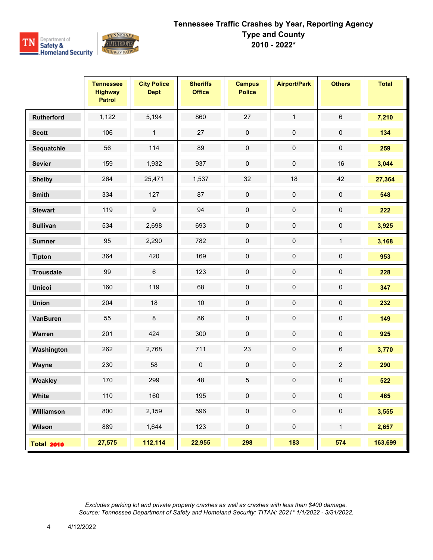

|                   | <b>Tennessee</b><br><b>Highway</b><br><b>Patrol</b> | <b>City Police</b><br><b>Dept</b> | <b>Sheriffs</b><br><b>Office</b> | <b>Campus</b><br><b>Police</b> | <b>Airport/Park</b> | <b>Others</b>  | <b>Total</b> |
|-------------------|-----------------------------------------------------|-----------------------------------|----------------------------------|--------------------------------|---------------------|----------------|--------------|
| <b>Rutherford</b> | 1,122                                               | 5,194                             | 860                              | 27                             | $\mathbf{1}$        | $\,6\,$        | 7,210        |
| <b>Scott</b>      | 106                                                 | $\mathbf{1}$                      | 27                               | $\pmb{0}$                      | $\pmb{0}$           | $\pmb{0}$      | 134          |
| Sequatchie        | 56                                                  | 114                               | 89                               | $\pmb{0}$                      | $\pmb{0}$           | $\pmb{0}$      | 259          |
| <b>Sevier</b>     | 159                                                 | 1,932                             | 937                              | $\mathbf 0$                    | $\mathbf 0$         | 16             | 3,044        |
| <b>Shelby</b>     | 264                                                 | 25,471                            | 1,537                            | 32                             | 18                  | 42             | 27,364       |
| <b>Smith</b>      | 334                                                 | 127                               | 87                               | $\pmb{0}$                      | $\pmb{0}$           | $\pmb{0}$      | 548          |
| <b>Stewart</b>    | 119                                                 | $\boldsymbol{9}$                  | 94                               | $\pmb{0}$                      | $\pmb{0}$           | $\pmb{0}$      | 222          |
| <b>Sullivan</b>   | 534                                                 | 2,698                             | 693                              | 0                              | $\pmb{0}$           | $\pmb{0}$      | 3,925        |
| <b>Sumner</b>     | 95                                                  | 2,290                             | 782                              | $\pmb{0}$                      | $\pmb{0}$           | $\mathbf{1}$   | 3,168        |
| <b>Tipton</b>     | 364                                                 | 420                               | 169                              | $\pmb{0}$                      | $\pmb{0}$           | $\pmb{0}$      | 953          |
| <b>Trousdale</b>  | 99                                                  | $\,6$                             | 123                              | $\mathbf 0$                    | $\pmb{0}$           | $\pmb{0}$      | 228          |
| <b>Unicoi</b>     | 160                                                 | 119                               | 68                               | $\pmb{0}$                      | $\pmb{0}$           | $\pmb{0}$      | 347          |
| <b>Union</b>      | 204                                                 | 18                                | $10$                             | $\pmb{0}$                      | $\pmb{0}$           | $\pmb{0}$      | 232          |
| <b>VanBuren</b>   | 55                                                  | 8                                 | 86                               | $\pmb{0}$                      | $\pmb{0}$           | $\pmb{0}$      | 149          |
| Warren            | 201                                                 | 424                               | 300                              | $\pmb{0}$                      | $\pmb{0}$           | $\pmb{0}$      | 925          |
| Washington        | 262                                                 | 2,768                             | 711                              | 23                             | $\pmb{0}$           | $\,6\,$        | 3,770        |
| Wayne             | 230                                                 | 58                                | 0                                | $\mathbf 0$                    | $\pmb{0}$           | $\overline{2}$ | 290          |
| Weakley           | 170                                                 | 299                               | 48                               | $\overline{5}$                 | $\pmb{0}$           | $\pmb{0}$      | 522          |
| <b>White</b>      | 110                                                 | 160                               | 195                              | 0                              | 0                   | 0              | 465          |
| Williamson        | 800                                                 | 2,159                             | 596                              | $\mathbf 0$                    | $\mathbf 0$         | $\mathbf 0$    | 3,555        |
| Wilson            | 889                                                 | 1,644                             | 123                              | $\pmb{0}$                      | $\pmb{0}$           | $\mathbf{1}$   | 2,657        |
| <b>Total 2010</b> | 27,575                                              | 112,114                           | 22,955                           | 298                            | 183                 | 574            | 163,699      |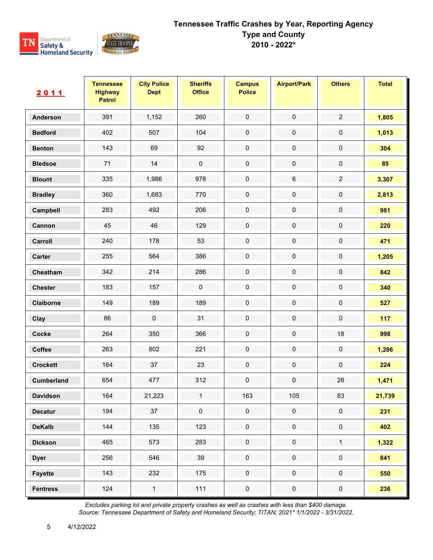

| 2011            | <b>Tennessee</b><br><b>Highway</b><br><b>Patrol</b> | <b>City Police</b><br><b>Dept</b> | <b>Sheriffs</b><br><b>Office</b> | <b>Campus</b><br><b>Police</b> | <b>Airport/Park</b> | <b>Others</b>       | <b>Total</b> |
|-----------------|-----------------------------------------------------|-----------------------------------|----------------------------------|--------------------------------|---------------------|---------------------|--------------|
| <b>Anderson</b> | 391                                                 | 1,152                             | 260                              | $\pmb{0}$                      | $\pmb{0}$           | $\overline{2}$      | 1,805        |
| <b>Bedford</b>  | 402                                                 | 507                               | 104                              | $\pmb{0}$                      | $\pmb{0}$           | $\pmb{0}$           | 1,013        |
| <b>Benton</b>   | 143                                                 | 69                                | 92                               | $\pmb{0}$                      | $\pmb{0}$           | $\pmb{0}$           | 304          |
| <b>Bledsoe</b>  | 71                                                  | 14                                | $\pmb{0}$                        | $\pmb{0}$                      | $\pmb{0}$           | $\pmb{0}$           | 85           |
| <b>Blount</b>   | 335                                                 | 1,986                             | 978                              | $\mathbf 0$                    | $\,6$               | $\overline{2}$      | 3,307        |
| <b>Bradley</b>  | 360                                                 | 1,683                             | 770                              | $\pmb{0}$                      | $\pmb{0}$           | $\pmb{0}$           | 2,813        |
| Campbell        | 283                                                 | 492                               | 206                              | $\pmb{0}$                      | $\pmb{0}$           | $\pmb{0}$           | 981          |
| Cannon          | 45                                                  | 46                                | 129                              | $\mathbf 0$                    | $\pmb{0}$           | $\pmb{0}$           | 220          |
| Carroll         | 240                                                 | 178                               | 53                               | $\mathbf 0$                    | $\pmb{0}$           | $\pmb{0}$           | 471          |
| Carter          | 255                                                 | 564                               | 386                              | $\pmb{0}$                      | $\pmb{0}$           | $\pmb{0}$           | 1,205        |
| Cheatham        | 342                                                 | 214                               | 286                              | $\mathbf 0$                    | $\pmb{0}$           | $\pmb{0}$           | 842          |
| <b>Chester</b>  | 183                                                 | 157                               | $\pmb{0}$                        | $\mathbf 0$                    | $\pmb{0}$           | $\pmb{0}$           | 340          |
| Claiborne       | 149                                                 | 189                               | 189                              | $\pmb{0}$                      | $\pmb{0}$           | $\pmb{0}$           | 527          |
| Clay            | 86                                                  | $\pmb{0}$                         | 31                               | $\pmb{0}$                      | $\pmb{0}$           | $\pmb{0}$           | 117          |
| Cocke           | 264                                                 | 350                               | 366                              | $\mathbf 0$                    | $\pmb{0}$           | 18                  | 998          |
| Coffee          | 263                                                 | 802                               | 221                              | $\pmb{0}$                      | $\pmb{0}$           | $\pmb{0}$           | 1,286        |
| <b>Crockett</b> | 164                                                 | 37                                | 23                               | $\mathbf 0$                    | $\pmb{0}$           | $\pmb{0}$           | 224          |
| Cumberland      | 654                                                 | 477                               | 312                              | $\mathbf 0$                    | $\pmb{0}$           | 28                  | 1,471        |
| <b>Davidson</b> | 164                                                 | 21,223                            | $\mathbf{1}$                     | 163                            | 105                 | 83                  | 21,739       |
| <b>Decatur</b>  | 194                                                 | 37                                | $\mathbf 0$                      | $\pmb{0}$                      | $\mathbf 0$         | $\mathbf 0$         | 231          |
| <b>DeKalb</b>   | 144                                                 | 135                               | 123                              | $\pmb{0}$                      | $\mathbf 0$         | $\mathsf{O}\xspace$ | 402          |
| <b>Dickson</b>  | 465                                                 | 573                               | 283                              | $\pmb{0}$                      | $\pmb{0}$           | $\mathbf{1}$        | 1,322        |
| <b>Dyer</b>     | 256                                                 | 546                               | 39                               | $\mathbf 0$                    | $\mathbf 0$         | $\mathbf 0$         | 841          |
| <b>Fayette</b>  | 143                                                 | 232                               | 175                              | $\pmb{0}$                      | $\mathsf 0$         | $\mathsf{O}\xspace$ | 550          |
| <b>Fentress</b> | 124                                                 | $\mathbf{1}$                      | 111                              | $\pmb{0}$                      | $\pmb{0}$           | $\pmb{0}$           | 236          |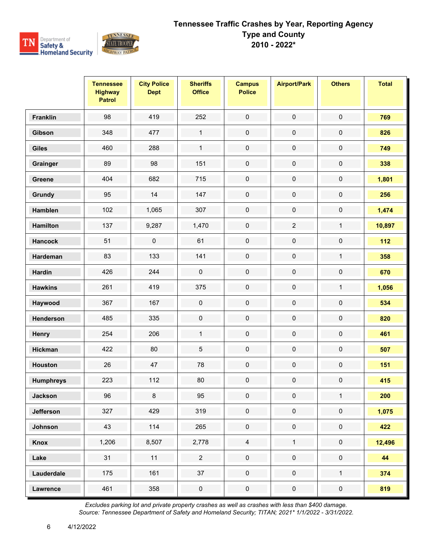

|                  | <b>Tennessee</b><br><b>Highway</b><br><b>Patrol</b> | <b>City Police</b><br><b>Dept</b> | <b>Sheriffs</b><br><b>Office</b> | <b>Campus</b><br><b>Police</b> | <b>Airport/Park</b> | <b>Others</b>       | <b>Total</b> |
|------------------|-----------------------------------------------------|-----------------------------------|----------------------------------|--------------------------------|---------------------|---------------------|--------------|
| <b>Franklin</b>  | 98                                                  | 419                               | 252                              | $\pmb{0}$                      | $\pmb{0}$           | $\pmb{0}$           | 769          |
| Gibson           | 348                                                 | 477                               | $\mathbf{1}$                     | $\pmb{0}$                      | $\pmb{0}$           | $\pmb{0}$           | 826          |
| <b>Giles</b>     | 460                                                 | 288                               | $\mathbf{1}$                     | $\pmb{0}$                      | $\pmb{0}$           | $\pmb{0}$           | 749          |
| Grainger         | 89                                                  | 98                                | 151                              | $\mathbf 0$                    | $\pmb{0}$           | $\pmb{0}$           | 338          |
| Greene           | 404                                                 | 682                               | 715                              | $\pmb{0}$                      | $\pmb{0}$           | $\pmb{0}$           | 1,801        |
| Grundy           | 95                                                  | 14                                | 147                              | $\pmb{0}$                      | $\pmb{0}$           | $\pmb{0}$           | 256          |
| <b>Hamblen</b>   | 102                                                 | 1,065                             | 307                              | $\mathbf 0$                    | $\pmb{0}$           | $\pmb{0}$           | 1,474        |
| <b>Hamilton</b>  | 137                                                 | 9,287                             | 1,470                            | $\pmb{0}$                      | $\sqrt{2}$          | $\mathbf{1}$        | 10,897       |
| <b>Hancock</b>   | 51                                                  | $\mathbf 0$                       | 61                               | $\pmb{0}$                      | $\pmb{0}$           | $\pmb{0}$           | $112$        |
| Hardeman         | 83                                                  | 133                               | 141                              | $\pmb{0}$                      | $\pmb{0}$           | $\mathbf{1}$        | 358          |
| <b>Hardin</b>    | 426                                                 | 244                               | $\pmb{0}$                        | $\pmb{0}$                      | $\pmb{0}$           | $\pmb{0}$           | 670          |
| <b>Hawkins</b>   | 261                                                 | 419                               | 375                              | $\pmb{0}$                      | $\pmb{0}$           | $\mathbf{1}$        | 1,056        |
| Haywood          | 367                                                 | 167                               | $\pmb{0}$                        | $\pmb{0}$                      | $\pmb{0}$           | $\pmb{0}$           | 534          |
| Henderson        | 485                                                 | 335                               | $\pmb{0}$                        | $\pmb{0}$                      | $\pmb{0}$           | $\pmb{0}$           | 820          |
| Henry            | 254                                                 | 206                               | $\mathbf{1}$                     | $\pmb{0}$                      | $\pmb{0}$           | $\pmb{0}$           | 461          |
| <b>Hickman</b>   | 422                                                 | 80                                | $\mathbf 5$                      | $\pmb{0}$                      | $\pmb{0}$           | $\pmb{0}$           | 507          |
| <b>Houston</b>   | 26                                                  | 47                                | 78                               | $\pmb{0}$                      | $\pmb{0}$           | $\pmb{0}$           | 151          |
| <b>Humphreys</b> | 223                                                 | 112                               | 80                               | $\pmb{0}$                      | $\pmb{0}$           | $\pmb{0}$           | 415          |
| <b>Jackson</b>   | 96                                                  | 8                                 | 95                               | 0                              | $\mathbf 0$         | $\mathbf{1}$        | 200          |
| <b>Jefferson</b> | 327                                                 | 429                               | 319                              | $\mathbf 0$                    | $\pmb{0}$           | $\pmb{0}$           | 1,075        |
| Johnson          | 43                                                  | 114                               | 265                              | $\mathsf{O}\xspace$            | $\pmb{0}$           | $\mathsf{O}\xspace$ | 422          |
| Knox             | 1,206                                               | 8,507                             | 2,778                            | $\overline{4}$                 | $\mathbf{1}$        | $\mathsf{O}\xspace$ | 12,496       |
| Lake             | 31                                                  | 11                                | $\overline{2}$                   | $\pmb{0}$                      | $\pmb{0}$           | $\pmb{0}$           | 44           |
| Lauderdale       | 175                                                 | 161                               | 37                               | $\mathsf{O}\xspace$            | $\mathbf 0$         | $\mathbf{1}$        | 374          |
| <b>Lawrence</b>  | 461                                                 | 358                               | $\pmb{0}$                        | $\pmb{0}$                      | $\pmb{0}$           | $\pmb{0}$           | 819          |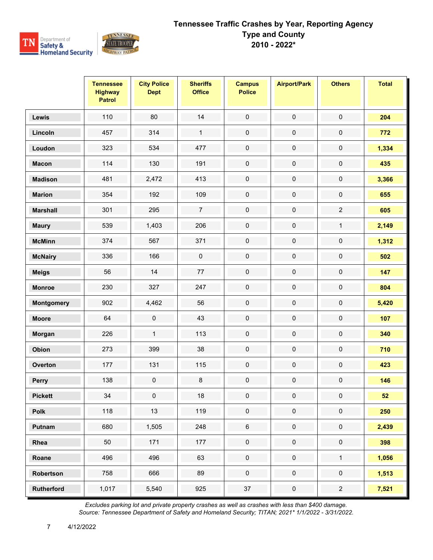

|                   | <b>Tennessee</b><br><b>Highway</b><br><b>Patrol</b> | <b>City Police</b><br><b>Dept</b> | <b>Sheriffs</b><br><b>Office</b> | <b>Campus</b><br><b>Police</b> | <b>Airport/Park</b> | <b>Others</b>       | <b>Total</b> |
|-------------------|-----------------------------------------------------|-----------------------------------|----------------------------------|--------------------------------|---------------------|---------------------|--------------|
| Lewis             | 110                                                 | 80                                | 14                               | $\mathbf 0$                    | $\pmb{0}$           | $\mathbf 0$         | 204          |
| Lincoln           | 457                                                 | 314                               | $\mathbf{1}$                     | $\pmb{0}$                      | $\pmb{0}$           | $\pmb{0}$           | 772          |
| Loudon            | 323                                                 | 534                               | 477                              | $\mathbf 0$                    | $\pmb{0}$           | $\pmb{0}$           | 1,334        |
| <b>Macon</b>      | 114                                                 | 130                               | 191                              | $\mathbf 0$                    | $\pmb{0}$           | $\pmb{0}$           | 435          |
| <b>Madison</b>    | 481                                                 | 2,472                             | 413                              | $\pmb{0}$                      | $\pmb{0}$           | $\pmb{0}$           | 3,366        |
| <b>Marion</b>     | 354                                                 | 192                               | 109                              | $\pmb{0}$                      | $\pmb{0}$           | $\pmb{0}$           | 655          |
| <b>Marshall</b>   | 301                                                 | 295                               | $\overline{7}$                   | $\pmb{0}$                      | $\pmb{0}$           | $\overline{2}$      | 605          |
| <b>Maury</b>      | 539                                                 | 1,403                             | 206                              | $\pmb{0}$                      | $\pmb{0}$           | $\mathbf{1}$        | 2,149        |
| <b>McMinn</b>     | 374                                                 | 567                               | 371                              | $\pmb{0}$                      | $\pmb{0}$           | $\pmb{0}$           | 1,312        |
| <b>McNairy</b>    | 336                                                 | 166                               | $\pmb{0}$                        | $\pmb{0}$                      | $\pmb{0}$           | $\pmb{0}$           | 502          |
| <b>Meigs</b>      | 56                                                  | 14                                | $77\,$                           | $\mathbf 0$                    | $\pmb{0}$           | $\pmb{0}$           | 147          |
| <b>Monroe</b>     | 230                                                 | 327                               | 247                              | $\pmb{0}$                      | $\pmb{0}$           | $\pmb{0}$           | 804          |
| Montgomery        | 902                                                 | 4,462                             | 56                               | $\pmb{0}$                      | $\pmb{0}$           | $\pmb{0}$           | 5,420        |
| <b>Moore</b>      | 64                                                  | $\pmb{0}$                         | 43                               | $\pmb{0}$                      | $\pmb{0}$           | $\pmb{0}$           | 107          |
| Morgan            | 226                                                 | $\mathbf{1}$                      | 113                              | $\pmb{0}$                      | $\pmb{0}$           | $\pmb{0}$           | 340          |
| Obion             | 273                                                 | 399                               | 38                               | $\pmb{0}$                      | $\pmb{0}$           | $\pmb{0}$           | 710          |
| Overton           | 177                                                 | 131                               | 115                              | $\pmb{0}$                      | $\pmb{0}$           | $\pmb{0}$           | 423          |
| Perry             | 138                                                 | $\pmb{0}$                         | $\bf 8$                          | $\pmb{0}$                      | $\pmb{0}$           | $\pmb{0}$           | 146          |
| <b>Pickett</b>    | $34\,$                                              | 0                                 | 18                               | $\bf{0}$                       | 0                   | 0                   | 52           |
| Polk              | 118                                                 | 13                                | 119                              | $\pmb{0}$                      | $\pmb{0}$           | $\pmb{0}$           | 250          |
| Putnam            | 680                                                 | 1,505                             | 248                              | $\,6\,$                        | $\pmb{0}$           | $\mathsf{O}\xspace$ | 2,439        |
| Rhea              | 50                                                  | 171                               | 177                              | $\pmb{0}$                      | $\pmb{0}$           | $\pmb{0}$           | 398          |
| Roane             | 496                                                 | 496                               | 63                               | $\mathbf 0$                    | $\mathbf 0$         | $\mathbf{1}$        | 1,056        |
| Robertson         | 758                                                 | 666                               | 89                               | $\pmb{0}$                      | $\mathsf{O}\xspace$ | $\mathsf{O}\xspace$ | 1,513        |
| <b>Rutherford</b> | 1,017                                               | 5,540                             | 925                              | 37                             | $\pmb{0}$           | $\overline{a}$      | 7,521        |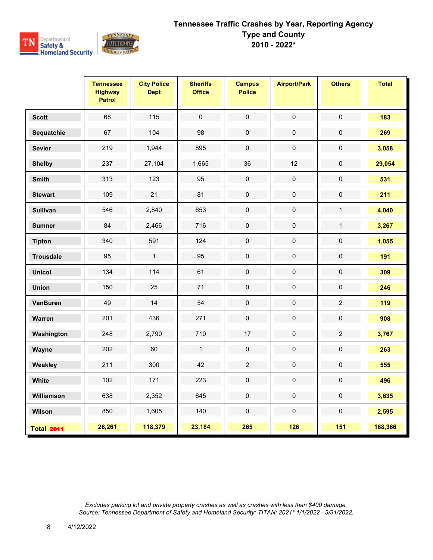

|                   | <b>Tennessee</b><br><b>Highway</b><br><b>Patrol</b> | <b>City Police</b><br><b>Dept</b> | <b>Sheriffs</b><br><b>Office</b> | <b>Campus</b><br><b>Police</b> | <b>Airport/Park</b> | <b>Others</b>  | <b>Total</b> |
|-------------------|-----------------------------------------------------|-----------------------------------|----------------------------------|--------------------------------|---------------------|----------------|--------------|
| <b>Scott</b>      | 68                                                  | 115                               | $\pmb{0}$                        | $\pmb{0}$                      | $\pmb{0}$           | $\pmb{0}$      | 183          |
| Sequatchie        | 67                                                  | 104                               | 98                               | $\mathbf 0$                    | $\boldsymbol{0}$    | $\pmb{0}$      | 269          |
| <b>Sevier</b>     | 219                                                 | 1,944                             | 895                              | $\pmb{0}$                      | $\pmb{0}$           | $\pmb{0}$      | 3,058        |
| <b>Shelby</b>     | 237                                                 | 27,104                            | 1,665                            | 36                             | 12                  | $\mathsf 0$    | 29,054       |
| <b>Smith</b>      | 313                                                 | 123                               | 95                               | $\mathsf{O}\xspace$            | $\pmb{0}$           | $\mathbf 0$    | 531          |
| <b>Stewart</b>    | 109                                                 | 21                                | 81                               | $\pmb{0}$                      | $\pmb{0}$           | $\pmb{0}$      | 211          |
| <b>Sullivan</b>   | 546                                                 | 2,840                             | 653                              | $\pmb{0}$                      | $\pmb{0}$           | $\mathbf{1}$   | 4,040        |
| <b>Sumner</b>     | 84                                                  | 2,466                             | 716                              | $\mathbf 0$                    | $\mathbf 0$         | $\mathbf{1}$   | 3,267        |
| <b>Tipton</b>     | 340                                                 | 591                               | 124                              | $\mathbf 0$                    | $\mathbf 0$         | $\pmb{0}$      | 1,055        |
| <b>Trousdale</b>  | 95                                                  | $\mathbf{1}$                      | 95                               | $\pmb{0}$                      | $\pmb{0}$           | $\pmb{0}$      | 191          |
| <b>Unicoi</b>     | 134                                                 | 114                               | 61                               | $\pmb{0}$                      | $\mathbf 0$         | 0              | 309          |
| <b>Union</b>      | 150                                                 | 25                                | 71                               | $\mathbf 0$                    | $\mathbf 0$         | $\mathbf 0$    | 246          |
| <b>VanBuren</b>   | 49                                                  | 14                                | 54                               | $\pmb{0}$                      | $\pmb{0}$           | $\overline{2}$ | 119          |
| Warren            | 201                                                 | 436                               | 271                              | $\mathbf 0$                    | $\pmb{0}$           | $\pmb{0}$      | 908          |
| Washington        | 248                                                 | 2,790                             | 710                              | 17                             | $\pmb{0}$           | $\overline{2}$ | 3,767        |
| Wayne             | 202                                                 | 60                                | $\mathbf{1}$                     | $\mathsf{O}\xspace$            | $\pmb{0}$           | 0              | 263          |
| Weakley           | 211                                                 | 300                               | 42                               | $\overline{2}$                 | $\pmb{0}$           | 0              | 555          |
| White             | 102                                                 | 171                               | 223                              | $\mathbf 0$                    | $\pmb{0}$           | $\pmb{0}$      | 496          |
| Williamson        | 638                                                 | 2,352                             | 645                              | $\mathbf 0$                    | $\mathbf 0$         | $\mathbf 0$    | 3,635        |
| Wilson            | 850                                                 | 1,605                             | 140                              | $\pmb{0}$                      | $\pmb{0}$           | $\pmb{0}$      | 2,595        |
| <b>Total 2011</b> | 26,261                                              | 118,379                           | 23,184                           | 265                            | 126                 | 151            | 168,366      |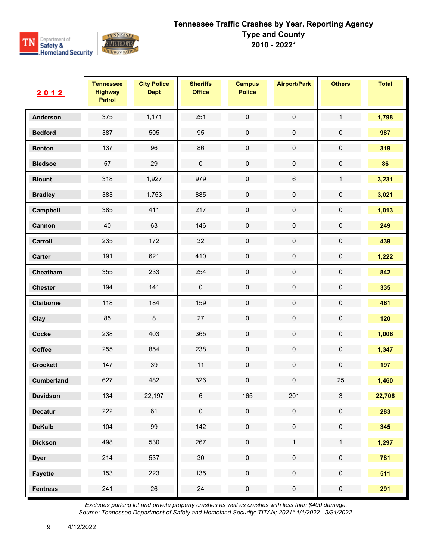

| 2012              | <b>Tennessee</b><br><b>Highway</b><br><b>Patrol</b> | <b>City Police</b><br><b>Dept</b> | <b>Sheriffs</b><br><b>Office</b> | <b>Campus</b><br><b>Police</b> | <b>Airport/Park</b> | <b>Others</b> | <b>Total</b> |
|-------------------|-----------------------------------------------------|-----------------------------------|----------------------------------|--------------------------------|---------------------|---------------|--------------|
| <b>Anderson</b>   | 375                                                 | 1,171                             | 251                              | $\pmb{0}$                      | $\pmb{0}$           | $\mathbf{1}$  | 1,798        |
| <b>Bedford</b>    | 387                                                 | 505                               | 95                               | $\pmb{0}$                      | $\pmb{0}$           | 0             | 987          |
| <b>Benton</b>     | 137                                                 | 96                                | 86                               | $\mathbf 0$                    | $\pmb{0}$           | 0             | 319          |
| <b>Bledsoe</b>    | 57                                                  | 29                                | $\pmb{0}$                        | $\mathbf 0$                    | $\mathbf 0$         | $\mathbf 0$   | 86           |
| <b>Blount</b>     | 318                                                 | 1,927                             | 979                              | $\pmb{0}$                      | 6                   | $\mathbf{1}$  | 3,231        |
| <b>Bradley</b>    | 383                                                 | 1,753                             | 885                              | $\pmb{0}$                      | $\pmb{0}$           | $\pmb{0}$     | 3,021        |
| Campbell          | 385                                                 | 411                               | 217                              | $\mathbf 0$                    | $\pmb{0}$           | $\pmb{0}$     | 1,013        |
| Cannon            | 40                                                  | 63                                | 146                              | $\pmb{0}$                      | $\pmb{0}$           | 0             | 249          |
| Carroll           | 235                                                 | 172                               | 32                               | $\pmb{0}$                      | $\pmb{0}$           | $\pmb{0}$     | 439          |
| Carter            | 191                                                 | 621                               | 410                              | $\mathbf 0$                    | $\pmb{0}$           | $\pmb{0}$     | 1,222        |
| Cheatham          | 355                                                 | 233                               | 254                              | $\mathbf 0$                    | $\pmb{0}$           | 0             | 842          |
| <b>Chester</b>    | 194                                                 | 141                               | $\pmb{0}$                        | $\pmb{0}$                      | $\pmb{0}$           | $\pmb{0}$     | 335          |
| Claiborne         | 118                                                 | 184                               | 159                              | $\pmb{0}$                      | $\pmb{0}$           | $\pmb{0}$     | 461          |
| Clay              | 85                                                  | $\,8\,$                           | 27                               | $\pmb{0}$                      | $\pmb{0}$           | $\pmb{0}$     | 120          |
| Cocke             | 238                                                 | 403                               | 365                              | $\pmb{0}$                      | $\pmb{0}$           | $\pmb{0}$     | 1,006        |
| Coffee            | 255                                                 | 854                               | 238                              | $\pmb{0}$                      | $\pmb{0}$           | $\pmb{0}$     | 1,347        |
| <b>Crockett</b>   | 147                                                 | 39                                | 11                               | $\mathbf 0$                    | $\pmb{0}$           | $\pmb{0}$     | 197          |
| <b>Cumberland</b> | 627                                                 | 482                               | 326                              | $\pmb{0}$                      | $\pmb{0}$           | 25            | 1,460        |
| <b>Davidson</b>   | 134                                                 | 22,197                            | 6                                | 165                            | 201                 | 3             | 22,706       |
| <b>Decatur</b>    | 222                                                 | 61                                | $\mathbf 0$                      | $\mathbf 0$                    | $\mathbf 0$         | $\pmb{0}$     | 283          |
| <b>DeKalb</b>     | 104                                                 | 99                                | 142                              | $\pmb{0}$                      | $\mathbf 0$         | $\pmb{0}$     | 345          |
| <b>Dickson</b>    | 498                                                 | 530                               | 267                              | $\pmb{0}$                      | $\mathbf{1}$        | $\mathbf{1}$  | 1,297        |
| <b>Dyer</b>       | 214                                                 | 537                               | $30\,$                           | $\mathbf 0$                    | $\mathbf 0$         | $\pmb{0}$     | 781          |
| <b>Fayette</b>    | 153                                                 | 223                               | 135                              | $\pmb{0}$                      | $\pmb{0}$           | $\pmb{0}$     | 511          |
| <b>Fentress</b>   | 241                                                 | 26                                | 24                               | $\pmb{0}$                      | $\pmb{0}$           | $\pmb{0}$     | 291          |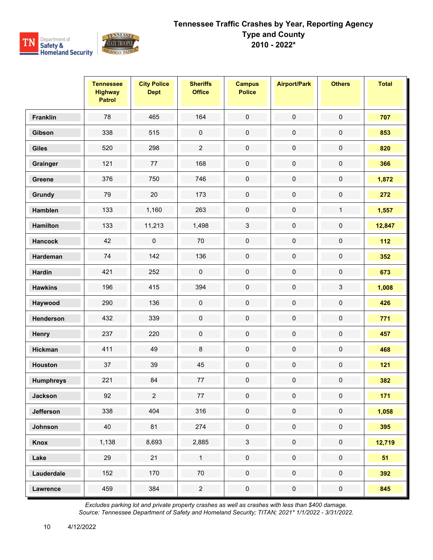

|                  | <b>Tennessee</b><br><b>Highway</b><br><b>Patrol</b> | <b>City Police</b><br><b>Dept</b> | <b>Sheriffs</b><br><b>Office</b> | <b>Campus</b><br><b>Police</b> | <b>Airport/Park</b> | <b>Others</b>       | <b>Total</b> |
|------------------|-----------------------------------------------------|-----------------------------------|----------------------------------|--------------------------------|---------------------|---------------------|--------------|
| Franklin         | 78                                                  | 465                               | 164                              | $\pmb{0}$                      | $\pmb{0}$           | $\pmb{0}$           | 707          |
| Gibson           | 338                                                 | 515                               | $\pmb{0}$                        | $\pmb{0}$                      | $\pmb{0}$           | $\pmb{0}$           | 853          |
| <b>Giles</b>     | 520                                                 | 298                               | $\overline{2}$                   | $\pmb{0}$                      | $\pmb{0}$           | $\pmb{0}$           | 820          |
| Grainger         | 121                                                 | 77                                | 168                              | $\mathbf 0$                    | $\pmb{0}$           | $\pmb{0}$           | 366          |
| Greene           | 376                                                 | 750                               | 746                              | $\pmb{0}$                      | $\pmb{0}$           | $\pmb{0}$           | 1,872        |
| Grundy           | 79                                                  | 20                                | 173                              | $\pmb{0}$                      | $\pmb{0}$           | $\pmb{0}$           | 272          |
| <b>Hamblen</b>   | 133                                                 | 1,160                             | 263                              | $\pmb{0}$                      | $\pmb{0}$           | $\mathbf{1}$        | 1,557        |
| <b>Hamilton</b>  | 133                                                 | 11,213                            | 1,498                            | $\mathbf{3}$                   | $\pmb{0}$           | 0                   | 12,847       |
| <b>Hancock</b>   | 42                                                  | $\mathbf 0$                       | $70\,$                           | $\pmb{0}$                      | $\pmb{0}$           | 0                   | $112$        |
| Hardeman         | $74\,$                                              | 142                               | 136                              | $\mathbf 0$                    | $\pmb{0}$           | $\mathsf{O}\xspace$ | 352          |
| <b>Hardin</b>    | 421                                                 | 252                               | $\pmb{0}$                        | $\pmb{0}$                      | $\pmb{0}$           | $\pmb{0}$           | 673          |
| <b>Hawkins</b>   | 196                                                 | 415                               | 394                              | $\pmb{0}$                      | $\pmb{0}$           | 3                   | 1,008        |
| Haywood          | 290                                                 | 136                               | $\pmb{0}$                        | $\pmb{0}$                      | $\pmb{0}$           | $\pmb{0}$           | 426          |
| Henderson        | 432                                                 | 339                               | $\pmb{0}$                        | $\pmb{0}$                      | $\pmb{0}$           | $\pmb{0}$           | 771          |
| Henry            | 237                                                 | 220                               | $\pmb{0}$                        | $\pmb{0}$                      | $\pmb{0}$           | $\pmb{0}$           | 457          |
| <b>Hickman</b>   | 411                                                 | 49                                | $\bf 8$                          | $\pmb{0}$                      | $\pmb{0}$           | $\pmb{0}$           | 468          |
| <b>Houston</b>   | 37                                                  | 39                                | 45                               | $\pmb{0}$                      | $\pmb{0}$           | $\pmb{0}$           | $121$        |
| <b>Humphreys</b> | 221                                                 | 84                                | 77                               | $\pmb{0}$                      | $\pmb{0}$           | $\pmb{0}$           | 382          |
| <b>Jackson</b>   | 92                                                  | $\overline{2}$                    | 77                               | 0                              | $\mathbf 0$         | 0                   | 171          |
| <b>Jefferson</b> | 338                                                 | 404                               | 316                              | $\mathbf 0$                    | $\pmb{0}$           | $\pmb{0}$           | 1,058        |
| Johnson          | 40                                                  | 81                                | 274                              | $\mathsf{O}\xspace$            | $\pmb{0}$           | $\mathsf{O}\xspace$ | 395          |
| Knox             | 1,138                                               | 8,693                             | 2,885                            | $\mathbf{3}$                   | $\pmb{0}$           | $\mathsf{O}\xspace$ | 12,719       |
| Lake             | 29                                                  | 21                                | $\mathbf{1}$                     | $\mathbf 0$                    | $\pmb{0}$           | $\pmb{0}$           | 51           |
| Lauderdale       | 152                                                 | 170                               | $70\,$                           | $\mathbf 0$                    | $\mathbf 0$         | $\mathbf 0$         | 392          |
| <b>Lawrence</b>  | 459                                                 | 384                               | $\overline{2}$                   | $\pmb{0}$                      | $\pmb{0}$           | $\mathbf 0$         | 845          |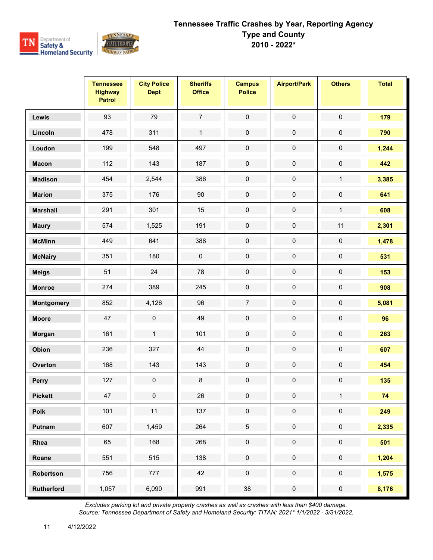

|                   | <b>Tennessee</b><br><b>Highway</b><br><b>Patrol</b> | <b>City Police</b><br><b>Dept</b> | <b>Sheriffs</b><br><b>Office</b> | <b>Campus</b><br><b>Police</b> | <b>Airport/Park</b> | <b>Others</b>       | <b>Total</b> |
|-------------------|-----------------------------------------------------|-----------------------------------|----------------------------------|--------------------------------|---------------------|---------------------|--------------|
| Lewis             | 93                                                  | 79                                | $\overline{7}$                   | $\pmb{0}$                      | $\pmb{0}$           | $\pmb{0}$           | 179          |
| Lincoln           | 478                                                 | 311                               | $\mathbf{1}$                     | $\pmb{0}$                      | $\pmb{0}$           | $\pmb{0}$           | 790          |
| Loudon            | 199                                                 | 548                               | 497                              | $\pmb{0}$                      | $\pmb{0}$           | $\pmb{0}$           | 1,244        |
| <b>Macon</b>      | 112                                                 | 143                               | 187                              | $\pmb{0}$                      | $\pmb{0}$           | $\pmb{0}$           | 442          |
| <b>Madison</b>    | 454                                                 | 2,544                             | 386                              | $\pmb{0}$                      | $\pmb{0}$           | $\mathbf{1}$        | 3,385        |
| <b>Marion</b>     | 375                                                 | 176                               | $90\,$                           | $\pmb{0}$                      | $\pmb{0}$           | $\pmb{0}$           | 641          |
| <b>Marshall</b>   | 291                                                 | 301                               | 15                               | $\pmb{0}$                      | $\pmb{0}$           | $\mathbf{1}$        | 608          |
| <b>Maury</b>      | 574                                                 | 1,525                             | 191                              | $\pmb{0}$                      | $\pmb{0}$           | 11                  | 2,301        |
| <b>McMinn</b>     | 449                                                 | 641                               | 388                              | $\pmb{0}$                      | $\pmb{0}$           | $\pmb{0}$           | 1,478        |
| <b>McNairy</b>    | 351                                                 | 180                               | $\pmb{0}$                        | $\mathbf 0$                    | $\pmb{0}$           | $\pmb{0}$           | 531          |
| <b>Meigs</b>      | 51                                                  | 24                                | 78                               | $\pmb{0}$                      | $\pmb{0}$           | $\pmb{0}$           | 153          |
| <b>Monroe</b>     | 274                                                 | 389                               | 245                              | $\pmb{0}$                      | $\pmb{0}$           | $\pmb{0}$           | 908          |
| Montgomery        | 852                                                 | 4,126                             | 96                               | $\overline{7}$                 | $\pmb{0}$           | $\pmb{0}$           | 5,081        |
| <b>Moore</b>      | 47                                                  | 0                                 | 49                               | $\pmb{0}$                      | $\pmb{0}$           | $\pmb{0}$           | 96           |
| Morgan            | 161                                                 | $\mathbf{1}$                      | 101                              | $\pmb{0}$                      | $\pmb{0}$           | $\pmb{0}$           | 263          |
| Obion             | 236                                                 | 327                               | 44                               | $\pmb{0}$                      | $\pmb{0}$           | $\pmb{0}$           | 607          |
| Overton           | 168                                                 | 143                               | 143                              | $\pmb{0}$                      | $\pmb{0}$           | $\pmb{0}$           | 454          |
| Perry             | 127                                                 | $\mathsf 0$                       | $\bf 8$                          | $\pmb{0}$                      | $\pmb{0}$           | $\pmb{0}$           | 135          |
| <b>Pickett</b>    | 47                                                  | 0                                 | 26                               | $\pmb{0}$                      | $\pmb{0}$           | $\mathbf{1}$        | 74           |
| Polk              | 101                                                 | 11                                | 137                              | $\mathbf 0$                    | $\pmb{0}$           | $\mathbf 0$         | 249          |
| Putnam            | 607                                                 | 1,459                             | 264                              | $5\phantom{.0}$                | $\pmb{0}$           | $\mathsf{O}\xspace$ | 2,335        |
| Rhea              | 65                                                  | 168                               | 268                              | $\mathbf 0$                    | $\pmb{0}$           | $\mathsf{O}\xspace$ | 501          |
| Roane             | 551                                                 | 515                               | 138                              | $\mathbf 0$                    | $\pmb{0}$           | $\pmb{0}$           | 1,204        |
| Robertson         | 756                                                 | 777                               | 42                               | $\mathsf{O}\xspace$            | $\pmb{0}$           | $\mathsf{O}\xspace$ | 1,575        |
| <b>Rutherford</b> | 1,057                                               | 6,090                             | 991                              | 38                             | $\pmb{0}$           | $\pmb{0}$           | 8,176        |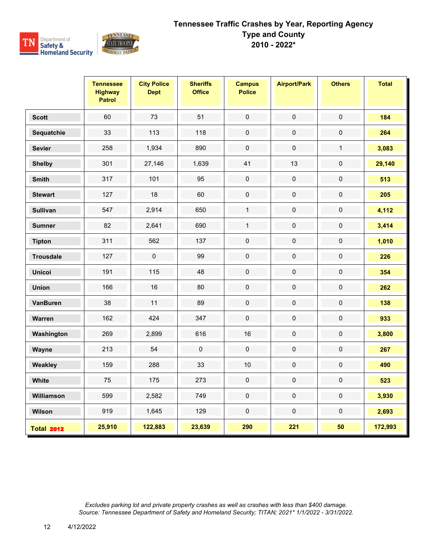

|                   | <b>Tennessee</b><br><b>Highway</b><br><b>Patrol</b> | <b>City Police</b><br><b>Dept</b> | <b>Sheriffs</b><br><b>Office</b> | <b>Campus</b><br><b>Police</b> | <b>Airport/Park</b> | <b>Others</b> | <b>Total</b> |
|-------------------|-----------------------------------------------------|-----------------------------------|----------------------------------|--------------------------------|---------------------|---------------|--------------|
| <b>Scott</b>      | 60                                                  | 73                                | 51                               | $\pmb{0}$                      | $\pmb{0}$           | $\pmb{0}$     | 184          |
| Sequatchie        | 33                                                  | 113                               | 118                              | $\pmb{0}$                      | $\mathbf 0$         | $\mathbf 0$   | 264          |
| <b>Sevier</b>     | 258                                                 | 1,934                             | 890                              | $\pmb{0}$                      | $\pmb{0}$           | $\mathbf{1}$  | 3,083        |
| <b>Shelby</b>     | 301                                                 | 27,146                            | 1,639                            | 41                             | 13                  | $\mathsf 0$   | 29,140       |
| <b>Smith</b>      | 317                                                 | 101                               | 95                               | $\pmb{0}$                      | $\pmb{0}$           | $\pmb{0}$     | 513          |
| <b>Stewart</b>    | 127                                                 | 18                                | 60                               | $\mathbf 0$                    | $\pmb{0}$           | $\pmb{0}$     | 205          |
| <b>Sullivan</b>   | 547                                                 | 2,914                             | 650                              | $\mathbf{1}$                   | $\pmb{0}$           | 0             | 4,112        |
| <b>Sumner</b>     | 82                                                  | 2,641                             | 690                              | $\mathbf{1}$                   | $\pmb{0}$           | 0             | 3,414        |
| <b>Tipton</b>     | 311                                                 | 562                               | 137                              | $\mathbf 0$                    | $\pmb{0}$           | 0             | 1,010        |
| <b>Trousdale</b>  | 127                                                 | $\pmb{0}$                         | 99                               | $\pmb{0}$                      | $\pmb{0}$           | $\pmb{0}$     | 226          |
| <b>Unicoi</b>     | 191                                                 | 115                               | 48                               | $\mathbf 0$                    | $\mathbf 0$         | $\mathbf 0$   | 354          |
| <b>Union</b>      | 166                                                 | 16                                | 80                               | $\pmb{0}$                      | $\pmb{0}$           | $\mathsf 0$   | 262          |
| <b>VanBuren</b>   | 38                                                  | 11                                | 89                               | $\mathbf 0$                    | $\mathbf 0$         | $\pmb{0}$     | 138          |
| Warren            | 162                                                 | 424                               | 347                              | $\pmb{0}$                      | $\mathbf 0$         | $\pmb{0}$     | 933          |
| Washington        | 269                                                 | 2,899                             | 616                              | 16                             | $\pmb{0}$           | $\pmb{0}$     | 3,800        |
| Wayne             | 213                                                 | 54                                | $\pmb{0}$                        | $\pmb{0}$                      | $\pmb{0}$           | $\pmb{0}$     | 267          |
| Weakley           | 159                                                 | 288                               | 33                               | 10                             | $\pmb{0}$           | $\pmb{0}$     | 490          |
| White             | 75                                                  | 175                               | 273                              | $\pmb{0}$                      | $\mathbf 0$         | $\mathbf 0$   | 523          |
| Williamson        | 599                                                 | 2,582                             | 749                              | $\pmb{0}$                      | $\mathbf 0$         | $\pmb{0}$     | 3,930        |
| Wilson            | 919                                                 | 1,645                             | 129                              | $\pmb{0}$                      | $\pmb{0}$           | 0             | 2,693        |
| <b>Total 2012</b> | 25,910                                              | 122,883                           | 23,639                           | 290                            | 221                 | 50            | 172,993      |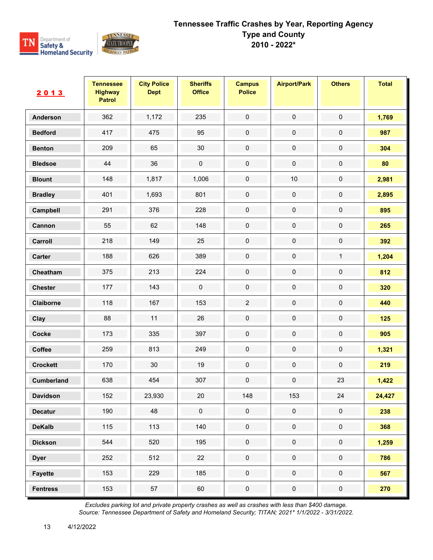

| 2013            | <b>Tennessee</b><br><b>Highway</b><br><b>Patrol</b> | <b>City Police</b><br><b>Dept</b> | <b>Sheriffs</b><br><b>Office</b> | <b>Campus</b><br><b>Police</b> | <b>Airport/Park</b> | <b>Others</b>       | <b>Total</b> |
|-----------------|-----------------------------------------------------|-----------------------------------|----------------------------------|--------------------------------|---------------------|---------------------|--------------|
| <b>Anderson</b> | 362                                                 | 1,172                             | 235                              | $\pmb{0}$                      | $\pmb{0}$           | $\pmb{0}$           | 1,769        |
| <b>Bedford</b>  | 417                                                 | 475                               | 95                               | 0                              | $\pmb{0}$           | $\pmb{0}$           | 987          |
| <b>Benton</b>   | 209                                                 | 65                                | 30                               | $\pmb{0}$                      | $\pmb{0}$           | $\pmb{0}$           | 304          |
| <b>Bledsoe</b>  | 44                                                  | 36                                | $\pmb{0}$                        | 0                              | $\pmb{0}$           | $\pmb{0}$           | 80           |
| <b>Blount</b>   | 148                                                 | 1,817                             | 1,006                            | 0                              | $10$                | $\pmb{0}$           | 2,981        |
| <b>Bradley</b>  | 401                                                 | 1,693                             | 801                              | $\pmb{0}$                      | $\pmb{0}$           | $\pmb{0}$           | 2,895        |
| Campbell        | 291                                                 | 376                               | 228                              | 0                              | $\pmb{0}$           | $\pmb{0}$           | 895          |
| Cannon          | 55                                                  | 62                                | 148                              | $\pmb{0}$                      | $\pmb{0}$           | $\pmb{0}$           | 265          |
| Carroll         | 218                                                 | 149                               | 25                               | $\pmb{0}$                      | $\pmb{0}$           | $\pmb{0}$           | 392          |
| Carter          | 188                                                 | 626                               | 389                              | $\pmb{0}$                      | $\mathbf 0$         | $\mathbf{1}$        | 1,204        |
| Cheatham        | 375                                                 | 213                               | 224                              | 0                              | $\pmb{0}$           | $\pmb{0}$           | 812          |
| <b>Chester</b>  | 177                                                 | 143                               | $\pmb{0}$                        | 0                              | $\pmb{0}$           | $\pmb{0}$           | 320          |
| Claiborne       | 118                                                 | 167                               | 153                              | $\overline{2}$                 | $\mathbf 0$         | $\mathbf 0$         | 440          |
| Clay            | 88                                                  | 11                                | 26                               | $\pmb{0}$                      | $\pmb{0}$           | $\pmb{0}$           | 125          |
| Cocke           | 173                                                 | 335                               | 397                              | $\pmb{0}$                      | $\mathbf 0$         | $\pmb{0}$           | 905          |
| Coffee          | 259                                                 | 813                               | 249                              | $\pmb{0}$                      | $\mathbf 0$         | $\mathbf 0$         | 1,321        |
| <b>Crockett</b> | 170                                                 | 30                                | 19                               | 0                              | $\pmb{0}$           | $\pmb{0}$           | 219          |
| Cumberland      | 638                                                 | 454                               | 307                              | $\pmb{0}$                      | $\pmb{0}$           | 23                  | 1,422        |
| <b>Davidson</b> | 152                                                 | 23,930                            | 20                               | 148                            | 153                 | 24                  | 24,427       |
| <b>Decatur</b>  | 190                                                 | 48                                | $\pmb{0}$                        | $\pmb{0}$                      | $\mathbf 0$         | $\mathbf 0$         | 238          |
| <b>DeKalb</b>   | 115                                                 | 113                               | 140                              | $\pmb{0}$                      | $\mathbf 0$         | $\mathsf{O}\xspace$ | 368          |
| <b>Dickson</b>  | 544                                                 | 520                               | 195                              | $\mathsf{O}\xspace$            | $\pmb{0}$           | $\pmb{0}$           | 1,259        |
| <b>Dyer</b>     | 252                                                 | 512                               | 22                               | $\mathbf 0$                    | $\mathbf 0$         | $\mathbf 0$         | 786          |
| <b>Fayette</b>  | 153                                                 | 229                               | 185                              | $\pmb{0}$                      | $\mathbf 0$         | $\mathbf 0$         | 567          |
| <b>Fentress</b> | 153                                                 | 57                                | 60                               | $\pmb{0}$                      | $\pmb{0}$           | $\pmb{0}$           | 270          |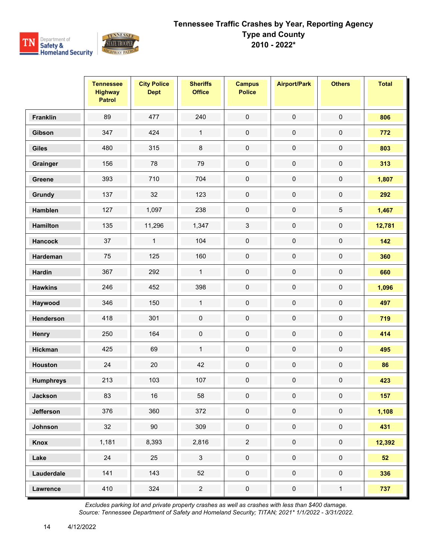

|                  | <b>Tennessee</b><br><b>Highway</b><br><b>Patrol</b> | <b>City Police</b><br><b>Dept</b> | <b>Sheriffs</b><br><b>Office</b> | <b>Campus</b><br><b>Police</b> | <b>Airport/Park</b> | <b>Others</b>       | <b>Total</b> |
|------------------|-----------------------------------------------------|-----------------------------------|----------------------------------|--------------------------------|---------------------|---------------------|--------------|
| <b>Franklin</b>  | 89                                                  | 477                               | 240                              | $\mathsf{O}\xspace$            | $\pmb{0}$           | $\mathbf 0$         | 806          |
| Gibson           | 347                                                 | 424                               | $\mathbf{1}$                     | $\pmb{0}$                      | $\pmb{0}$           | 0                   | 772          |
| <b>Giles</b>     | 480                                                 | 315                               | $\bf 8$                          | $\pmb{0}$                      | $\mathbf 0$         | $\pmb{0}$           | 803          |
| Grainger         | 156                                                 | 78                                | 79                               | $\mathbf 0$                    | $\pmb{0}$           | $\pmb{0}$           | 313          |
| Greene           | 393                                                 | 710                               | 704                              | $\pmb{0}$                      | 0                   | $\pmb{0}$           | 1,807        |
| Grundy           | 137                                                 | 32                                | 123                              | $\pmb{0}$                      | $\pmb{0}$           | $\pmb{0}$           | 292          |
| Hamblen          | 127                                                 | 1,097                             | 238                              | $\mathbf 0$                    | $\pmb{0}$           | $\overline{5}$      | 1,467        |
| <b>Hamilton</b>  | 135                                                 | 11,296                            | 1,347                            | $\sqrt{3}$                     | $\pmb{0}$           | $\pmb{0}$           | 12,781       |
| <b>Hancock</b>   | 37                                                  | $\mathbf{1}$                      | 104                              | $\pmb{0}$                      | $\pmb{0}$           | $\pmb{0}$           | 142          |
| Hardeman         | 75                                                  | 125                               | 160                              | $\pmb{0}$                      | 0                   | $\pmb{0}$           | 360          |
| <b>Hardin</b>    | 367                                                 | 292                               | $\mathbf{1}$                     | $\mathbf 0$                    | $\pmb{0}$           | $\pmb{0}$           | 660          |
| <b>Hawkins</b>   | 246                                                 | 452                               | 398                              | $\pmb{0}$                      | $\pmb{0}$           | $\pmb{0}$           | 1,096        |
| Haywood          | 346                                                 | 150                               | $\mathbf{1}$                     | $\pmb{0}$                      | $\pmb{0}$           | $\pmb{0}$           | 497          |
| Henderson        | 418                                                 | 301                               | $\mathsf{O}\xspace$              | $\pmb{0}$                      | $\pmb{0}$           | $\mathsf{O}\xspace$ | 719          |
| Henry            | 250                                                 | 164                               | $\pmb{0}$                        | $\pmb{0}$                      | $\pmb{0}$           | $\mathsf{O}\xspace$ | 414          |
| <b>Hickman</b>   | 425                                                 | 69                                | $\mathbf{1}$                     | $\pmb{0}$                      | 0                   | $\pmb{0}$           | 495          |
| <b>Houston</b>   | 24                                                  | 20                                | 42                               | $\mathbf 0$                    | $\pmb{0}$           | $\pmb{0}$           | 86           |
| <b>Humphreys</b> | 213                                                 | 103                               | 107                              | $\pmb{0}$                      | $\pmb{0}$           | $\mathsf{O}\xspace$ | 423          |
| <b>Jackson</b>   | 83                                                  | $16\,$                            | 58                               | 0                              | 0                   | 0                   | 157          |
| <b>Jefferson</b> | 376                                                 | 360                               | 372                              | $\mathbf 0$                    | $\mathbf 0$         | $\pmb{0}$           | 1,108        |
| Johnson          | 32                                                  | 90                                | 309                              | $\pmb{0}$                      | $\pmb{0}$           | $\pmb{0}$           | 431          |
| Knox             | 1,181                                               | 8,393                             | 2,816                            | $\overline{2}$                 | $\pmb{0}$           | $\pmb{0}$           | 12,392       |
| Lake             | 24                                                  | 25                                | $\mathfrak{S}$                   | $\mathbf 0$                    | $\mathbf 0$         | $\pmb{0}$           | 52           |
| Lauderdale       | 141                                                 | 143                               | 52                               | $\pmb{0}$                      | $\mathbf 0$         | $\pmb{0}$           | 336          |
| <b>Lawrence</b>  | 410                                                 | 324                               | $\overline{c}$                   | $\pmb{0}$                      | 0                   | $\mathbf{1}$        | 737          |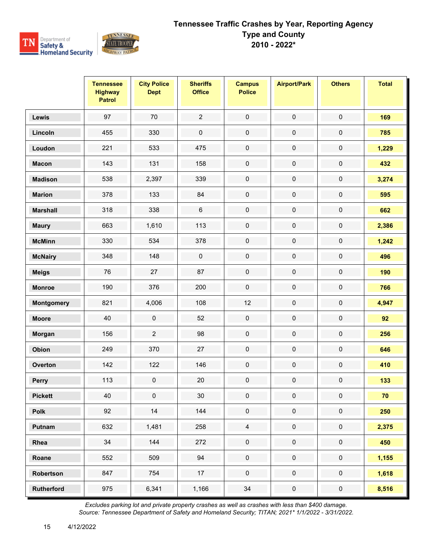

|                   | <b>Tennessee</b><br><b>Highway</b><br><b>Patrol</b> | <b>City Police</b><br><b>Dept</b> | <b>Sheriffs</b><br><b>Office</b> | <b>Campus</b><br><b>Police</b> | <b>Airport/Park</b> | <b>Others</b>       | <b>Total</b> |
|-------------------|-----------------------------------------------------|-----------------------------------|----------------------------------|--------------------------------|---------------------|---------------------|--------------|
| Lewis             | 97                                                  | 70                                | $\overline{2}$                   | $\pmb{0}$                      | $\pmb{0}$           | $\pmb{0}$           | 169          |
| Lincoln           | 455                                                 | 330                               | $\pmb{0}$                        | $\pmb{0}$                      | $\pmb{0}$           | $\pmb{0}$           | 785          |
| Loudon            | 221                                                 | 533                               | 475                              | $\pmb{0}$                      | $\pmb{0}$           | $\pmb{0}$           | 1,229        |
| <b>Macon</b>      | 143                                                 | 131                               | 158                              | $\mathsf{O}\xspace$            | $\pmb{0}$           | $\pmb{0}$           | 432          |
| <b>Madison</b>    | 538                                                 | 2,397                             | 339                              | $\pmb{0}$                      | $\pmb{0}$           | 0                   | 3,274        |
| <b>Marion</b>     | 378                                                 | 133                               | 84                               | $\pmb{0}$                      | $\mathbf 0$         | $\pmb{0}$           | 595          |
| <b>Marshall</b>   | 318                                                 | 338                               | $\,6\,$                          | $\pmb{0}$                      | $\pmb{0}$           | $\pmb{0}$           | 662          |
| <b>Maury</b>      | 663                                                 | 1,610                             | 113                              | $\pmb{0}$                      | $\pmb{0}$           | $\pmb{0}$           | 2,386        |
| <b>McMinn</b>     | 330                                                 | 534                               | 378                              | $\mathbf 0$                    | $\pmb{0}$           | $\pmb{0}$           | 1,242        |
| <b>McNairy</b>    | 348                                                 | 148                               | $\pmb{0}$                        | $\pmb{0}$                      | $\pmb{0}$           | $\pmb{0}$           | 496          |
| <b>Meigs</b>      | 76                                                  | 27                                | 87                               | $\mathbf 0$                    | $\pmb{0}$           | $\pmb{0}$           | 190          |
| <b>Monroe</b>     | 190                                                 | 376                               | 200                              | $\pmb{0}$                      | $\pmb{0}$           | $\pmb{0}$           | 766          |
| Montgomery        | 821                                                 | 4,006                             | 108                              | 12                             | $\pmb{0}$           | $\pmb{0}$           | 4,947        |
| <b>Moore</b>      | 40                                                  | $\pmb{0}$                         | 52                               | $\pmb{0}$                      | $\pmb{0}$           | $\pmb{0}$           | 92           |
| Morgan            | 156                                                 | $\overline{c}$                    | 98                               | $\pmb{0}$                      | $\pmb{0}$           | $\pmb{0}$           | 256          |
| Obion             | 249                                                 | 370                               | 27                               | $\pmb{0}$                      | $\pmb{0}$           | $\pmb{0}$           | 646          |
| Overton           | 142                                                 | 122                               | 146                              | $\pmb{0}$                      | $\pmb{0}$           | $\pmb{0}$           | 410          |
| <b>Perry</b>      | 113                                                 | $\mathsf 0$                       | 20                               | $\pmb{0}$                      | $\pmb{0}$           | $\pmb{0}$           | 133          |
| <b>Pickett</b>    | 40                                                  | 0                                 | 30                               | 0                              | 0                   | 0                   | 70           |
| Polk              | 92                                                  | $14$                              | 144                              | $\pmb{0}$                      | $\pmb{0}$           | $\pmb{0}$           | 250          |
| Putnam            | 632                                                 | 1,481                             | 258                              | $\overline{4}$                 | $\pmb{0}$           | $\mathsf{O}\xspace$ | 2,375        |
| Rhea              | 34                                                  | 144                               | 272                              | $\mathbf 0$                    | $\pmb{0}$           | $\mathbf 0$         | 450          |
| Roane             | 552                                                 | 509                               | 94                               | $\pmb{0}$                      | $\pmb{0}$           | $\pmb{0}$           | 1,155        |
| Robertson         | 847                                                 | 754                               | 17                               | $\mathsf{O}\xspace$            | $\mathsf{O}\xspace$ | $\mathsf{O}\xspace$ | 1,618        |
| <b>Rutherford</b> | 975                                                 | 6,341                             | 1,166                            | 34                             | $\pmb{0}$           | $\pmb{0}$           | 8,516        |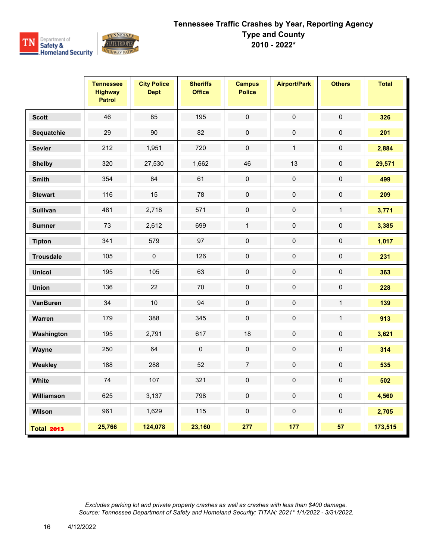

|                   | <b>Tennessee</b><br><b>Highway</b><br><b>Patrol</b> | <b>City Police</b><br><b>Dept</b> | <b>Sheriffs</b><br><b>Office</b> | <b>Campus</b><br><b>Police</b> | <b>Airport/Park</b> | <b>Others</b> | <b>Total</b> |
|-------------------|-----------------------------------------------------|-----------------------------------|----------------------------------|--------------------------------|---------------------|---------------|--------------|
| <b>Scott</b>      | 46                                                  | 85                                | 195                              | $\pmb{0}$                      | $\pmb{0}$           | $\pmb{0}$     | 326          |
| Sequatchie        | 29                                                  | 90                                | 82                               | $\pmb{0}$                      | $\pmb{0}$           | $\mathsf 0$   | 201          |
| <b>Sevier</b>     | 212                                                 | 1,951                             | 720                              | $\pmb{0}$                      | $\mathbf{1}$        | $\pmb{0}$     | 2,884        |
| <b>Shelby</b>     | 320                                                 | 27,530                            | 1,662                            | 46                             | 13                  | $\mathsf 0$   | 29,571       |
| <b>Smith</b>      | 354                                                 | 84                                | 61                               | $\mathbf 0$                    | $\pmb{0}$           | $\mathbf 0$   | 499          |
| <b>Stewart</b>    | 116                                                 | 15                                | 78                               | $\mathbf 0$                    | $\pmb{0}$           | $\pmb{0}$     | 209          |
| <b>Sullivan</b>   | 481                                                 | 2,718                             | 571                              | $\pmb{0}$                      | $\pmb{0}$           | $\mathbf{1}$  | 3,771        |
| <b>Sumner</b>     | 73                                                  | 2,612                             | 699                              | $\mathbf{1}$                   | $\pmb{0}$           | $\mathbf 0$   | 3,385        |
| <b>Tipton</b>     | 341                                                 | 579                               | 97                               | $\mathbf 0$                    | $\mathbf 0$         | $\pmb{0}$     | 1,017        |
| <b>Trousdale</b>  | 105                                                 | $\mathbf 0$                       | 126                              | $\mathbf 0$                    | $\pmb{0}$           | $\mathbf 0$   | 231          |
| <b>Unicoi</b>     | 195                                                 | 105                               | 63                               | $\pmb{0}$                      | $\pmb{0}$           | $\pmb{0}$     | 363          |
| <b>Union</b>      | 136                                                 | 22                                | 70                               | $\mathbf 0$                    | $\pmb{0}$           | $\mathbf 0$   | 228          |
| <b>VanBuren</b>   | 34                                                  | 10                                | 94                               | $\pmb{0}$                      | $\pmb{0}$           | $\mathbf{1}$  | 139          |
| Warren            | 179                                                 | 388                               | 345                              | $\pmb{0}$                      | $\mathbf 0$         | $\mathbf{1}$  | 913          |
| Washington        | 195                                                 | 2,791                             | 617                              | 18                             | $\mathbf 0$         | $\mathbf 0$   | 3,621        |
| Wayne             | 250                                                 | 64                                | $\pmb{0}$                        | $\pmb{0}$                      | $\pmb{0}$           | $\pmb{0}$     | 314          |
| Weakley           | 188                                                 | 288                               | 52                               | $\boldsymbol{7}$               | $\mathbf 0$         | $\pmb{0}$     | 535          |
| White             | $74\,$                                              | 107                               | 321                              | $\mathbf 0$                    | $\pmb{0}$           | $\mathbf 0$   | 502          |
| Williamson        | 625                                                 | 3,137                             | 798                              | $\pmb{0}$                      | $\mathbf 0$         | $\mathbf 0$   | 4,560        |
| Wilson            | 961                                                 | 1,629                             | 115                              | $\mathbf 0$                    | $\pmb{0}$           | $\pmb{0}$     | 2,705        |
| <b>Total 2013</b> | 25,766                                              | 124,078                           | 23,160                           | 277                            | 177                 | 57            | 173,515      |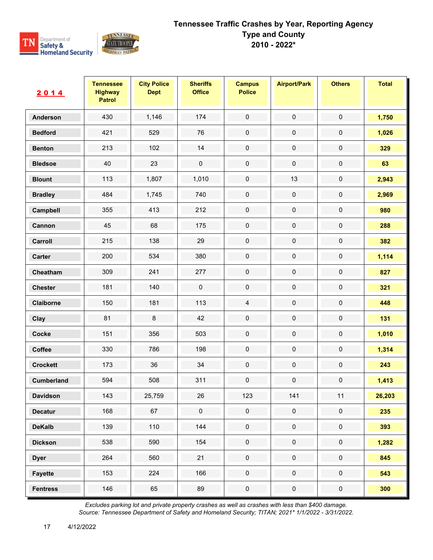

| <u>2014</u>     | <b>Tennessee</b><br><b>Highway</b><br><b>Patrol</b> | <b>City Police</b><br><b>Dept</b> | <b>Sheriffs</b><br><b>Office</b> | <b>Campus</b><br><b>Police</b> | <b>Airport/Park</b> | <b>Others</b> | <b>Total</b> |
|-----------------|-----------------------------------------------------|-----------------------------------|----------------------------------|--------------------------------|---------------------|---------------|--------------|
| Anderson        | 430                                                 | 1,146                             | 174                              | $\mathsf{O}\xspace$            | $\pmb{0}$           | $\mathbf 0$   | 1,750        |
| <b>Bedford</b>  | 421                                                 | 529                               | 76                               | $\pmb{0}$                      | $\pmb{0}$           | $\pmb{0}$     | 1,026        |
| <b>Benton</b>   | 213                                                 | 102                               | 14                               | $\pmb{0}$                      | $\mathbf 0$         | $\pmb{0}$     | 329          |
| <b>Bledsoe</b>  | 40                                                  | 23                                | $\pmb{0}$                        | $\mathbf 0$                    | $\pmb{0}$           | $\mathbf 0$   | 63           |
| <b>Blount</b>   | 113                                                 | 1,807                             | 1,010                            | $\pmb{0}$                      | 13                  | 0             | 2,943        |
| <b>Bradley</b>  | 484                                                 | 1,745                             | 740                              | $\pmb{0}$                      | $\pmb{0}$           | $\pmb{0}$     | 2,969        |
| Campbell        | 355                                                 | 413                               | 212                              | $\mathbf 0$                    | $\pmb{0}$           | $\pmb{0}$     | 980          |
| Cannon          | 45                                                  | 68                                | 175                              | $\pmb{0}$                      | $\pmb{0}$           | 0             | 288          |
| Carroll         | 215                                                 | 138                               | 29                               | $\pmb{0}$                      | $\pmb{0}$           | $\pmb{0}$     | 382          |
| Carter          | 200                                                 | 534                               | 380                              | $\mathbf 0$                    | $\pmb{0}$           | $\pmb{0}$     | 1,114        |
| Cheatham        | 309                                                 | 241                               | 277                              | $\mathbf 0$                    | $\pmb{0}$           | $\pmb{0}$     | 827          |
| <b>Chester</b>  | 181                                                 | 140                               | $\pmb{0}$                        | $\pmb{0}$                      | $\pmb{0}$           | $\pmb{0}$     | 321          |
| Claiborne       | 150                                                 | 181                               | 113                              | $\overline{4}$                 | $\pmb{0}$           | $\pmb{0}$     | 448          |
| Clay            | 81                                                  | $\bf 8$                           | 42                               | $\mathbf 0$                    | $\pmb{0}$           | $\pmb{0}$     | 131          |
| Cocke           | 151                                                 | 356                               | 503                              | $\pmb{0}$                      | $\pmb{0}$           | $\pmb{0}$     | 1,010        |
| Coffee          | 330                                                 | 786                               | 198                              | $\pmb{0}$                      | $\pmb{0}$           | $\pmb{0}$     | 1,314        |
| <b>Crockett</b> | 173                                                 | 36                                | 34                               | $\mathbf 0$                    | $\pmb{0}$           | $\pmb{0}$     | 243          |
| Cumberland      | 594                                                 | 508                               | 311                              | $\pmb{0}$                      | $\pmb{0}$           | $\pmb{0}$     | 1,413        |
| <b>Davidson</b> | 143                                                 | 25,759                            | 26                               | 123                            | 141                 | 11            | 26,203       |
| <b>Decatur</b>  | 168                                                 | 67                                | $\mathsf{O}\xspace$              | $\mathbf 0$                    | $\mathbf 0$         | $\pmb{0}$     | 235          |
| <b>DeKalb</b>   | 139                                                 | 110                               | 144                              | $\pmb{0}$                      | $\mathbf 0$         | $\pmb{0}$     | 393          |
| <b>Dickson</b>  | 538                                                 | 590                               | 154                              | $\pmb{0}$                      | $\pmb{0}$           | $\pmb{0}$     | 1,282        |
| <b>Dyer</b>     | 264                                                 | 560                               | 21                               | $\mathbf 0$                    | $\mathbf 0$         | $\pmb{0}$     | 845          |
| <b>Fayette</b>  | 153                                                 | 224                               | 166                              | $\pmb{0}$                      | $\mathbf 0$         | $\pmb{0}$     | 543          |
| <b>Fentress</b> | 146                                                 | 65                                | 89                               | $\pmb{0}$                      | $\pmb{0}$           | $\pmb{0}$     | 300          |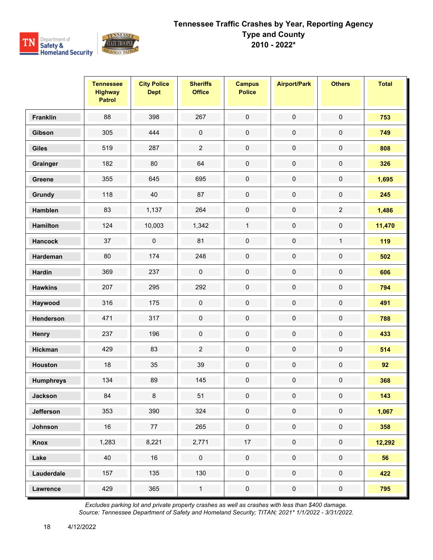

|                  | <b>Tennessee</b><br><b>Highway</b><br><b>Patrol</b> | <b>City Police</b><br><b>Dept</b> | <b>Sheriffs</b><br><b>Office</b> | <b>Campus</b><br><b>Police</b> | <b>Airport/Park</b> | <b>Others</b>       | <b>Total</b> |
|------------------|-----------------------------------------------------|-----------------------------------|----------------------------------|--------------------------------|---------------------|---------------------|--------------|
| <b>Franklin</b>  | 88                                                  | 398                               | 267                              | $\pmb{0}$                      | $\pmb{0}$           | $\pmb{0}$           | 753          |
| Gibson           | 305                                                 | 444                               | $\pmb{0}$                        | $\pmb{0}$                      | $\pmb{0}$           | $\pmb{0}$           | 749          |
| <b>Giles</b>     | 519                                                 | 287                               | $\overline{2}$                   | $\pmb{0}$                      | $\pmb{0}$           | $\pmb{0}$           | 808          |
| Grainger         | 182                                                 | 80                                | 64                               | $\pmb{0}$                      | $\pmb{0}$           | $\pmb{0}$           | 326          |
| Greene           | 355                                                 | 645                               | 695                              | $\pmb{0}$                      | $\pmb{0}$           | $\pmb{0}$           | 1,695        |
| Grundy           | 118                                                 | 40                                | 87                               | $\pmb{0}$                      | $\pmb{0}$           | $\pmb{0}$           | 245          |
| Hamblen          | 83                                                  | 1,137                             | 264                              | $\pmb{0}$                      | $\pmb{0}$           | $\overline{2}$      | 1,486        |
| <b>Hamilton</b>  | 124                                                 | 10,003                            | 1,342                            | $\mathbf{1}$                   | $\pmb{0}$           | $\pmb{0}$           | 11,470       |
| <b>Hancock</b>   | 37                                                  | $\pmb{0}$                         | 81                               | $\pmb{0}$                      | $\pmb{0}$           | $\mathbf{1}$        | 119          |
| Hardeman         | 80                                                  | 174                               | 248                              | $\mathbf 0$                    | $\pmb{0}$           | $\pmb{0}$           | 502          |
| <b>Hardin</b>    | 369                                                 | 237                               | $\pmb{0}$                        | $\pmb{0}$                      | $\pmb{0}$           | $\pmb{0}$           | 606          |
| <b>Hawkins</b>   | 207                                                 | 295                               | 292                              | $\pmb{0}$                      | $\pmb{0}$           | $\pmb{0}$           | 794          |
| Haywood          | 316                                                 | 175                               | $\pmb{0}$                        | $\mathsf{O}\xspace$            | $\pmb{0}$           | $\pmb{0}$           | 491          |
| Henderson        | 471                                                 | 317                               | $\pmb{0}$                        | $\pmb{0}$                      | $\pmb{0}$           | $\pmb{0}$           | 788          |
| Henry            | 237                                                 | 196                               | $\pmb{0}$                        | $\pmb{0}$                      | $\pmb{0}$           | $\pmb{0}$           | 433          |
| <b>Hickman</b>   | 429                                                 | 83                                | $\overline{2}$                   | $\pmb{0}$                      | $\pmb{0}$           | $\pmb{0}$           | 514          |
| <b>Houston</b>   | 18                                                  | 35                                | 39                               | $\pmb{0}$                      | $\pmb{0}$           | $\pmb{0}$           | 92           |
| <b>Humphreys</b> | 134                                                 | 89                                | 145                              | $\pmb{0}$                      | $\pmb{0}$           | $\pmb{0}$           | 368          |
| <b>Jackson</b>   | 84                                                  | 8                                 | 51                               | $\mathbf 0$                    | $\pmb{0}$           | $\mathbf 0$         | 143          |
| <b>Jefferson</b> | 353                                                 | 390                               | 324                              | $\mathbf 0$                    | $\pmb{0}$           | $\mathbf 0$         | 1,067        |
| Johnson          | 16                                                  | 77                                | 265                              | $\pmb{0}$                      | $\pmb{0}$           | $\mathsf{O}\xspace$ | 358          |
| Knox             | 1,283                                               | 8,221                             | 2,771                            | $17$                           | $\pmb{0}$           | $\mathsf{O}\xspace$ | 12,292       |
| Lake             | 40                                                  | 16                                | $\pmb{0}$                        | $\pmb{0}$                      | $\pmb{0}$           | $\pmb{0}$           | 56           |
| Lauderdale       | 157                                                 | 135                               | 130                              | $\mathsf{O}\xspace$            | $\mathbf 0$         | $\mathsf{O}\xspace$ | 422          |
| Lawrence         | 429                                                 | 365                               | $\mathbf{1}$                     | $\pmb{0}$                      | $\pmb{0}$           | $\pmb{0}$           | 795          |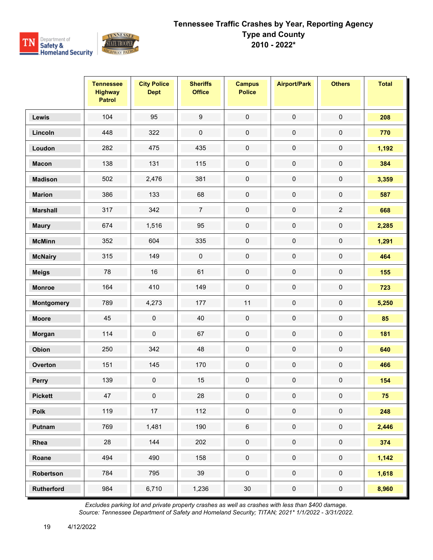

|                   | <b>Tennessee</b><br><b>Highway</b><br><b>Patrol</b> | <b>City Police</b><br><b>Dept</b> | <b>Sheriffs</b><br><b>Office</b> | <b>Campus</b><br><b>Police</b> | <b>Airport/Park</b> | <b>Others</b>  | <b>Total</b> |
|-------------------|-----------------------------------------------------|-----------------------------------|----------------------------------|--------------------------------|---------------------|----------------|--------------|
| Lewis             | 104                                                 | 95                                | $\boldsymbol{9}$                 | $\pmb{0}$                      | $\pmb{0}$           | $\pmb{0}$      | 208          |
| Lincoln           | 448                                                 | 322                               | $\pmb{0}$                        | $\pmb{0}$                      | 0                   | $\pmb{0}$      | 770          |
| Loudon            | 282                                                 | 475                               | 435                              | $\pmb{0}$                      | $\pmb{0}$           | $\pmb{0}$      | 1,192        |
| <b>Macon</b>      | 138                                                 | 131                               | 115                              | $\pmb{0}$                      | $\pmb{0}$           | $\pmb{0}$      | 384          |
| <b>Madison</b>    | 502                                                 | 2,476                             | 381                              | $\pmb{0}$                      | 0                   | $\pmb{0}$      | 3,359        |
| <b>Marion</b>     | 386                                                 | 133                               | 68                               | $\pmb{0}$                      | $\pmb{0}$           | $\pmb{0}$      | 587          |
| <b>Marshall</b>   | 317                                                 | 342                               | $\boldsymbol{7}$                 | $\mathbf 0$                    | $\pmb{0}$           | $\overline{2}$ | 668          |
| <b>Maury</b>      | 674                                                 | 1,516                             | 95                               | $\pmb{0}$                      | 0                   | $\pmb{0}$      | 2,285        |
| <b>McMinn</b>     | 352                                                 | 604                               | 335                              | $\pmb{0}$                      | $\mathsf 0$         | $\pmb{0}$      | 1,291        |
| <b>McNairy</b>    | 315                                                 | 149                               | $\mathbf 0$                      | $\mathbf 0$                    | $\pmb{0}$           | $\pmb{0}$      | 464          |
| <b>Meigs</b>      | 78                                                  | 16                                | 61                               | $\mathbf 0$                    | $\pmb{0}$           | $\pmb{0}$      | 155          |
| <b>Monroe</b>     | 164                                                 | 410                               | 149                              | $\pmb{0}$                      | $\pmb{0}$           | $\pmb{0}$      | 723          |
| Montgomery        | 789                                                 | 4,273                             | 177                              | 11                             | $\pmb{0}$           | $\pmb{0}$      | 5,250        |
| <b>Moore</b>      | 45                                                  | $\pmb{0}$                         | 40                               | $\pmb{0}$                      | $\pmb{0}$           | $\pmb{0}$      | 85           |
| Morgan            | 114                                                 | $\pmb{0}$                         | 67                               | $\pmb{0}$                      | $\pmb{0}$           | $\pmb{0}$      | 181          |
| Obion             | 250                                                 | 342                               | 48                               | $\mathbf 0$                    | 0                   | $\pmb{0}$      | 640          |
| Overton           | 151                                                 | 145                               | 170                              | $\mathbf 0$                    | $\pmb{0}$           | $\pmb{0}$      | 466          |
| <b>Perry</b>      | 139                                                 | 0                                 | 15                               | $\pmb{0}$                      | $\pmb{0}$           | $\pmb{0}$      | 154          |
| <b>Pickett</b>    | 47                                                  | 0                                 | 28                               | 0                              | 0                   | 0              | 75           |
| Polk              | 119                                                 | 17                                | 112                              | $\mathbf 0$                    | $\mathbf 0$         | $\pmb{0}$      | 248          |
| Putnam            | 769                                                 | 1,481                             | 190                              | $\,6\,$                        | $\pmb{0}$           | $\pmb{0}$      | 2,446        |
| Rhea              | 28                                                  | 144                               | 202                              | $\mathbf 0$                    | $\pmb{0}$           | $\pmb{0}$      | 374          |
| Roane             | 494                                                 | 490                               | 158                              | $\mathbf 0$                    | $\mathbf 0$         | $\pmb{0}$      | 1,142        |
| Robertson         | 784                                                 | 795                               | 39                               | $\mathbf 0$                    | $\mathbf 0$         | $\pmb{0}$      | 1,618        |
| <b>Rutherford</b> | 984                                                 | 6,710                             | 1,236                            | $30\,$                         | $\pmb{0}$           | $\pmb{0}$      | 8,960        |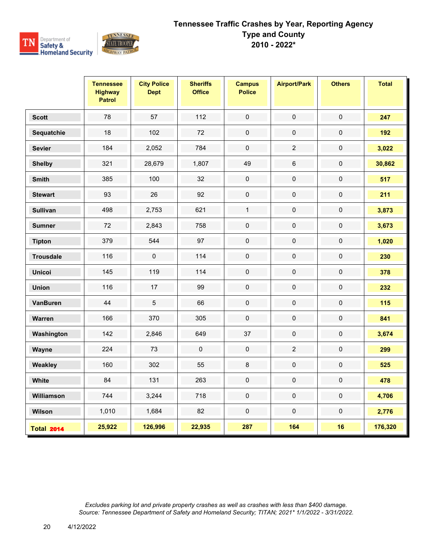

|                   | <b>Tennessee</b><br><b>Highway</b><br><b>Patrol</b> | <b>City Police</b><br><b>Dept</b> | <b>Sheriffs</b><br><b>Office</b> | <b>Campus</b><br><b>Police</b> | <b>Airport/Park</b> | <b>Others</b> | <b>Total</b> |
|-------------------|-----------------------------------------------------|-----------------------------------|----------------------------------|--------------------------------|---------------------|---------------|--------------|
| <b>Scott</b>      | 78                                                  | 57                                | 112                              | $\pmb{0}$                      | $\pmb{0}$           | $\pmb{0}$     | 247          |
| Sequatchie        | 18                                                  | 102                               | 72                               | $\pmb{0}$                      | $\mathbf 0$         | $\mathsf 0$   | 192          |
| <b>Sevier</b>     | 184                                                 | 2,052                             | 784                              | $\pmb{0}$                      | $\sqrt{2}$          | $\pmb{0}$     | 3,022        |
| <b>Shelby</b>     | 321                                                 | 28,679                            | 1,807                            | 49                             | $\,6\,$             | $\mathsf 0$   | 30,862       |
| <b>Smith</b>      | 385                                                 | 100                               | 32                               | $\mathbf 0$                    | $\pmb{0}$           | $\mathbf 0$   | 517          |
| <b>Stewart</b>    | 93                                                  | 26                                | 92                               | $\boldsymbol{0}$               | $\mathbf 0$         | $\pmb{0}$     | 211          |
| <b>Sullivan</b>   | 498                                                 | 2,753                             | 621                              | $\mathbf{1}$                   | $\pmb{0}$           | 0             | 3,873        |
| <b>Sumner</b>     | 72                                                  | 2,843                             | 758                              | $\mathbf 0$                    | $\pmb{0}$           | $\mathbf 0$   | 3,673        |
| <b>Tipton</b>     | 379                                                 | 544                               | 97                               | $\pmb{0}$                      | $\mathbf 0$         | $\pmb{0}$     | 1,020        |
| <b>Trousdale</b>  | 116                                                 | $\mathbf 0$                       | 114                              | $\mathbf 0$                    | $\pmb{0}$           | $\pmb{0}$     | 230          |
| <b>Unicoi</b>     | 145                                                 | 119                               | 114                              | $\pmb{0}$                      | $\pmb{0}$           | $\pmb{0}$     | 378          |
| <b>Union</b>      | 116                                                 | 17                                | 99                               | $\pmb{0}$                      | $\pmb{0}$           | $\mathbf 0$   | 232          |
| <b>VanBuren</b>   | 44                                                  | 5                                 | 66                               | $\pmb{0}$                      | $\pmb{0}$           | $\pmb{0}$     | 115          |
| Warren            | 166                                                 | 370                               | 305                              | $\pmb{0}$                      | $\mathbf 0$         | $\mathbf 0$   | 841          |
| Washington        | 142                                                 | 2,846                             | 649                              | 37                             | $\pmb{0}$           | $\mathbf 0$   | 3,674        |
| Wayne             | 224                                                 | 73                                | $\pmb{0}$                        | $\pmb{0}$                      | $\overline{2}$      | $\pmb{0}$     | 299          |
| Weakley           | 160                                                 | 302                               | 55                               | $\,8\,$                        | $\pmb{0}$           | $\pmb{0}$     | 525          |
| White             | 84                                                  | 131                               | 263                              | $\mathbf 0$                    | $\pmb{0}$           | $\mathbf 0$   | 478          |
| Williamson        | 744                                                 | 3,244                             | 718                              | $\pmb{0}$                      | $\mathbf 0$         | $\mathbf 0$   | 4,706        |
| Wilson            | 1,010                                               | 1,684                             | 82                               | $\pmb{0}$                      | $\pmb{0}$           | $\pmb{0}$     | 2,776        |
| <b>Total 2014</b> | 25,922                                              | 126,996                           | 22,935                           | 287                            | 164                 | 16            | 176,320      |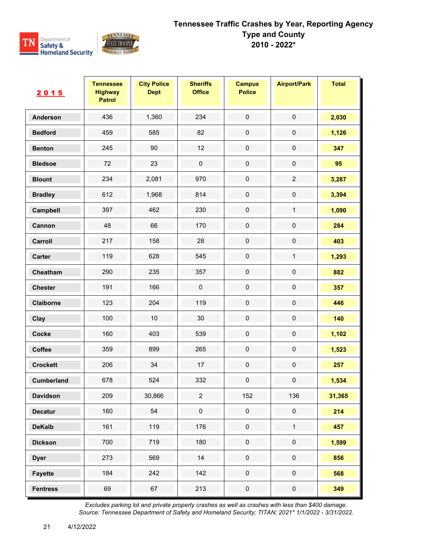

| 2015              | <b>Tennessee</b><br><b>Highway</b><br><b>Patrol</b> | <b>City Police</b><br><b>Dept</b> | <b>Sheriffs</b><br><b>Office</b> | <b>Campus</b><br><b>Police</b> | <b>Airport/Park</b> | <b>Total</b> |
|-------------------|-----------------------------------------------------|-----------------------------------|----------------------------------|--------------------------------|---------------------|--------------|
| <b>Anderson</b>   | 436                                                 | 1,360                             | 234                              | $\pmb{0}$                      | $\pmb{0}$           | 2,030        |
| <b>Bedford</b>    | 459                                                 | 585                               | 82                               | $\pmb{0}$                      | $\pmb{0}$           | 1,126        |
| <b>Benton</b>     | 245                                                 | 90                                | 12                               | $\pmb{0}$                      | $\mathbf 0$         | 347          |
| <b>Bledsoe</b>    | 72                                                  | 23                                | $\pmb{0}$                        | $\pmb{0}$                      | $\pmb{0}$           | 95           |
| <b>Blount</b>     | 234                                                 | 2,081                             | 970                              | $\pmb{0}$                      | $\sqrt{2}$          | 3,287        |
| <b>Bradley</b>    | 612                                                 | 1,968                             | 814                              | $\pmb{0}$                      | $\pmb{0}$           | 3,394        |
| Campbell          | 397                                                 | 462                               | 230                              | $\pmb{0}$                      | 1                   | 1,090        |
| Cannon            | 48                                                  | 66                                | 170                              | $\mathbf 0$                    | $\pmb{0}$           | 284          |
| Carroll           | 217                                                 | 158                               | 28                               | $\pmb{0}$                      | $\pmb{0}$           | 403          |
| Carter            | 119                                                 | 628                               | 545                              | $\pmb{0}$                      | $\mathbf{1}$        | 1,293        |
| Cheatham          | 290                                                 | 235                               | 357                              | $\pmb{0}$                      | $\pmb{0}$           | 882          |
| <b>Chester</b>    | 191                                                 | 166                               | $\pmb{0}$                        | $\pmb{0}$                      | $\pmb{0}$           | 357          |
| Claiborne         | 123                                                 | 204                               | 119                              | $\pmb{0}$                      | $\pmb{0}$           | 446          |
| Clay              | 100                                                 | 10                                | $30\,$                           | $\pmb{0}$                      | $\mathbf 0$         | 140          |
| Cocke             | 160                                                 | 403                               | 539                              | $\pmb{0}$                      | $\pmb{0}$           | 1,102        |
| Coffee            | 359                                                 | 899                               | 265                              | $\pmb{0}$                      | $\pmb{0}$           | 1,523        |
| <b>Crockett</b>   | 206                                                 | 34                                | 17                               | $\pmb{0}$                      | $\pmb{0}$           | 257          |
| <b>Cumberland</b> | 678                                                 | 524                               | 332                              | $\pmb{0}$                      | $\mathbf 0$         | 1,534        |
| <b>Davidson</b>   | 209                                                 | 30,866                            | $\boldsymbol{2}$                 | 152                            | 136                 | 31,365       |
| <b>Decatur</b>    | 160                                                 | 54                                | $\pmb{0}$                        | $\pmb{0}$                      | $\pmb{0}$           | 214          |
| <b>DeKalb</b>     | 161                                                 | 119                               | 176                              | $\mathbf 0$                    | $\mathbf{1}$        | 457          |
| <b>Dickson</b>    | 700                                                 | 719                               | 180                              | $\mathsf{O}\xspace$            | $\pmb{0}$           | 1,599        |
| <b>Dyer</b>       | 273                                                 | 569                               | 14                               | $\pmb{0}$                      | $\pmb{0}$           | 856          |
| <b>Fayette</b>    | 184                                                 | 242                               | 142                              | $\pmb{0}$                      | $\pmb{0}$           | 568          |
| <b>Fentress</b>   | 69                                                  | 67                                | 213                              | $\mathbf 0$                    | $\mathbf 0$         | 349          |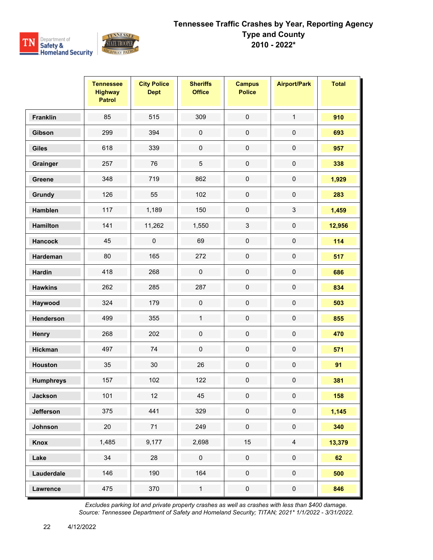

|                  | <b>Tennessee</b><br><b>Highway</b><br><b>Patrol</b> | <b>City Police</b><br><b>Dept</b> | <b>Sheriffs</b><br><b>Office</b> | <b>Campus</b><br><b>Police</b> | <b>Airport/Park</b> | <b>Total</b> |
|------------------|-----------------------------------------------------|-----------------------------------|----------------------------------|--------------------------------|---------------------|--------------|
| <b>Franklin</b>  | 85                                                  | 515                               | 309                              | $\pmb{0}$                      | $\mathbf{1}$        | 910          |
| Gibson           | 299                                                 | 394                               | $\pmb{0}$                        | $\pmb{0}$                      | $\mathsf{O}\xspace$ | 693          |
| <b>Giles</b>     | 618                                                 | 339                               | $\pmb{0}$                        | $\mathsf{O}\xspace$            | $\mathbf 0$         | 957          |
| Grainger         | 257                                                 | 76                                | $\mathbf 5$                      | $\pmb{0}$                      | $\pmb{0}$           | 338          |
| Greene           | 348                                                 | 719                               | 862                              | $\mathsf 0$                    | $\pmb{0}$           | 1,929        |
| Grundy           | 126                                                 | 55                                | 102                              | $\pmb{0}$                      | $\pmb{0}$           | 283          |
| Hamblen          | 117                                                 | 1,189                             | 150                              | $\pmb{0}$                      | 3                   | 1,459        |
| <b>Hamilton</b>  | 141                                                 | 11,262                            | 1,550                            | 3                              | $\mathbf 0$         | 12,956       |
| <b>Hancock</b>   | 45                                                  | $\mathsf{O}\xspace$               | 69                               | $\mathsf 0$                    | $\mathsf{O}\xspace$ | 114          |
| Hardeman         | 80                                                  | 165                               | 272                              | $\pmb{0}$                      | $\mathsf{O}\xspace$ | 517          |
| <b>Hardin</b>    | 418                                                 | 268                               | $\pmb{0}$                        | $\pmb{0}$                      | $\mathbf 0$         | 686          |
| <b>Hawkins</b>   | 262                                                 | 285                               | 287                              | $\mathsf 0$                    | $\mathsf{O}\xspace$ | 834          |
| Haywood          | 324                                                 | 179                               | $\mathsf 0$                      | $\pmb{0}$                      | $\mathsf{O}\xspace$ | 503          |
| Henderson        | 499                                                 | 355                               | $\mathbf{1}$                     | $\pmb{0}$                      | $\mathsf{O}\xspace$ | 855          |
| Henry            | 268                                                 | 202                               | $\mathsf 0$                      | $\pmb{0}$                      | $\mathbf 0$         | 470          |
| Hickman          | 497                                                 | 74                                | $\pmb{0}$                        | $\pmb{0}$                      | $\pmb{0}$           | 571          |
| <b>Houston</b>   | 35                                                  | 30                                | 26                               | $\pmb{0}$                      | $\pmb{0}$           | 91           |
| <b>Humphreys</b> | 157                                                 | 102                               | 122                              | $\mathbf 0$                    | $\mathbf 0$         | 381          |
| <b>Jackson</b>   | 101                                                 | 12                                | 45                               | 0                              | 0                   | 158          |
| Jefferson        | 375                                                 | 441                               | 329                              | $\mathsf{O}\xspace$            | $\pmb{0}$           | 1,145        |
| Johnson          | 20                                                  | 71                                | 249                              | $\pmb{0}$                      | $\pmb{0}$           | 340          |
| Knox             | 1,485                                               | 9,177                             | 2,698                            | 15                             | $\overline{4}$      | 13,379       |
| Lake             | 34                                                  | 28                                | $\pmb{0}$                        | $\mathbf 0$                    | $\pmb{0}$           | 62           |
| Lauderdale       | 146                                                 | 190                               | 164                              | $\pmb{0}$                      | $\pmb{0}$           | 500          |
| Lawrence         | 475                                                 | 370                               | $\mathbf{1}$                     | $\pmb{0}$                      | $\pmb{0}$           | 846          |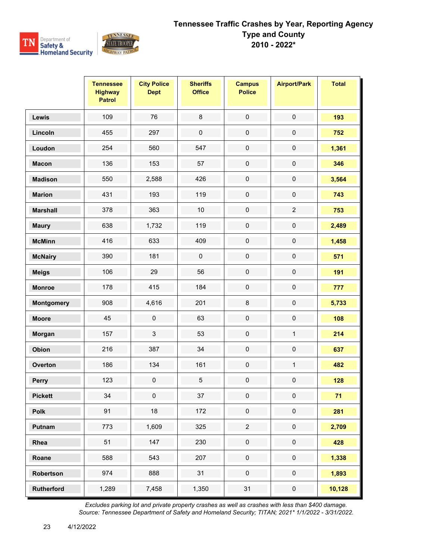

|                   | <b>Tennessee</b><br><b>Highway</b><br><b>Patrol</b> | <b>City Police</b><br><b>Dept</b> | <b>Sheriffs</b><br><b>Office</b> | <b>Campus</b><br><b>Police</b> | <b>Airport/Park</b> | <b>Total</b> |
|-------------------|-----------------------------------------------------|-----------------------------------|----------------------------------|--------------------------------|---------------------|--------------|
| Lewis             | 109                                                 | 76                                | $\bf 8$                          | $\mathsf{O}\xspace$            | $\mathsf{O}\xspace$ | 193          |
| Lincoln           | 455                                                 | 297                               | $\pmb{0}$                        | $\pmb{0}$                      | $\pmb{0}$           | 752          |
| Loudon            | 254                                                 | 560                               | 547                              | $\mathbf 0$                    | $\mathbf 0$         | 1,361        |
| <b>Macon</b>      | 136                                                 | 153                               | 57                               | $\mathsf{O}\xspace$            | $\mathsf{O}\xspace$ | 346          |
| <b>Madison</b>    | 550                                                 | 2,588                             | 426                              | $\mathsf{O}\xspace$            | $\mathbf 0$         | 3,564        |
| <b>Marion</b>     | 431                                                 | 193                               | 119                              | $\pmb{0}$                      | $\mathsf{O}\xspace$ | 743          |
| <b>Marshall</b>   | 378                                                 | 363                               | $10$                             | $\mathsf{O}\xspace$            | $\overline{2}$      | 753          |
| <b>Maury</b>      | 638                                                 | 1,732                             | 119                              | $\mathsf{O}\xspace$            | $\mathbf 0$         | 2,489        |
| <b>McMinn</b>     | 416                                                 | 633                               | 409                              | $\mathsf{O}\xspace$            | $\mathbf 0$         | 1,458        |
| <b>McNairy</b>    | 390                                                 | 181                               | $\pmb{0}$                        | $\pmb{0}$                      | $\mathsf{O}\xspace$ | 571          |
| <b>Meigs</b>      | 106                                                 | 29                                | 56                               | $\pmb{0}$                      | $\pmb{0}$           | 191          |
| <b>Monroe</b>     | 178                                                 | 415                               | 184                              | $\mathsf{O}\xspace$            | $\mathbf 0$         | 777          |
| <b>Montgomery</b> | 908                                                 | 4,616                             | 201                              | 8                              | $\mathbf 0$         | 5,733        |
| <b>Moore</b>      | 45                                                  | $\mathbf 0$                       | 63                               | $\mathsf{O}\xspace$            | $\pmb{0}$           | 108          |
| Morgan            | 157                                                 | $\mathbf{3}$                      | 53                               | $\mathsf{O}\xspace$            | $\mathbf{1}$        | 214          |
| Obion             | 216                                                 | 387                               | 34                               | $\pmb{0}$                      | $\mathbf 0$         | 637          |
| Overton           | 186                                                 | 134                               | 161                              | $\pmb{0}$                      | $\mathbf{1}$        | 482          |
| Perry             | 123                                                 | $\mathbf 0$                       | 5                                | $\mathsf{O}\xspace$            | $\mathbf 0$         | 128          |
| <b>Pickett</b>    | 34                                                  | $\pmb{0}$                         | $37\,$                           | 0                              | $\mathbf 0$         | 71           |
| Polk              | 91                                                  | 18                                | 172                              | $\mathsf{O}\xspace$            | $\mathsf{O}\xspace$ | 281          |
| Putnam            | 773                                                 | 1,609                             | 325                              | $\overline{a}$                 | $\pmb{0}$           | 2,709        |
| Rhea              | 51                                                  | 147                               | 230                              | $\pmb{0}$                      | $\pmb{0}$           | 428          |
| Roane             | 588                                                 | 543                               | 207                              | $\mathsf{O}\xspace$            | $\pmb{0}$           | 1,338        |
| Robertson         | 974                                                 | 888                               | 31                               | $\pmb{0}$                      | $\pmb{0}$           | 1,893        |
| <b>Rutherford</b> | 1,289                                               | 7,458                             | 1,350                            | 31                             | $\pmb{0}$           | 10,128       |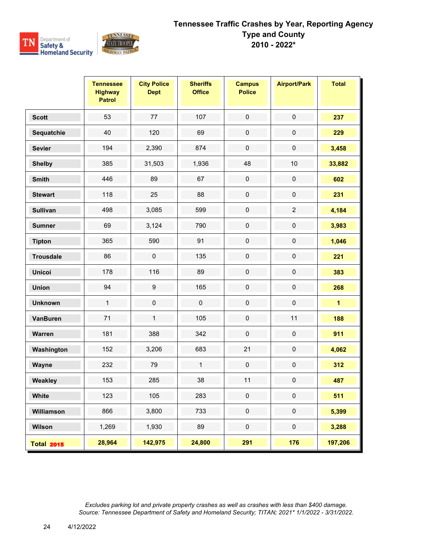

|                   | <b>Tennessee</b><br><b>Highway</b><br><b>Patrol</b> | <b>City Police</b><br><b>Dept</b> | <b>Sheriffs</b><br><b>Office</b> | <b>Campus</b><br><b>Police</b> | <b>Airport/Park</b> | <b>Total</b>            |
|-------------------|-----------------------------------------------------|-----------------------------------|----------------------------------|--------------------------------|---------------------|-------------------------|
| <b>Scott</b>      | 53                                                  | 77                                | 107                              | $\pmb{0}$                      | $\pmb{0}$           | 237                     |
| Sequatchie        | 40                                                  | 120                               | 69                               | $\pmb{0}$                      | $\mathbf 0$         | 229                     |
| <b>Sevier</b>     | 194                                                 | 2,390                             | 874                              | $\mathsf 0$                    | $\pmb{0}$           | 3,458                   |
| <b>Shelby</b>     | 385                                                 | 31,503                            | 1,936                            | 48                             | $10$                | 33,882                  |
| <b>Smith</b>      | 446                                                 | 89                                | 67                               | $\mathsf 0$                    | $\mathsf 0$         | 602                     |
| <b>Stewart</b>    | 118                                                 | 25                                | 88                               | $\mathsf{O}\xspace$            | $\mathbf 0$         | 231                     |
| <b>Sullivan</b>   | 498                                                 | 3,085                             | 599                              | $\pmb{0}$                      | $\overline{2}$      | 4,184                   |
| <b>Sumner</b>     | 69                                                  | 3,124                             | 790                              | $\pmb{0}$                      | $\pmb{0}$           | 3,983                   |
| <b>Tipton</b>     | 365                                                 | 590                               | 91                               | $\mathsf 0$                    | $\mathsf 0$         | 1,046                   |
| <b>Trousdale</b>  | 86                                                  | $\pmb{0}$                         | 135                              | $\mathsf 0$                    | $\mathsf{O}\xspace$ | 221                     |
| <b>Unicoi</b>     | 178                                                 | 116                               | 89                               | $\pmb{0}$                      | $\pmb{0}$           | 383                     |
| <b>Union</b>      | 94                                                  | $\boldsymbol{9}$                  | 165                              | $\mathsf 0$                    | $\mathbf 0$         | 268                     |
| <b>Unknown</b>    | $\mathbf{1}$                                        | $\mathsf 0$                       | $\mathsf 0$                      | $\mathsf{O}\xspace$            | $\mathsf 0$         | $\overline{\mathbf{1}}$ |
| <b>VanBuren</b>   | 71                                                  | $\mathbf{1}$                      | 105                              | $\mathsf 0$                    | 11                  | 188                     |
| Warren            | 181                                                 | 388                               | 342                              | $\pmb{0}$                      | $\mathbf 0$         | 911                     |
| Washington        | 152                                                 | 3,206                             | 683                              | 21                             | $\pmb{0}$           | 4,062                   |
| Wayne             | 232                                                 | 79                                | $\mathbf{1}$                     | $\mathsf 0$                    | $\mathsf 0$         | 312                     |
| Weakley           | 153                                                 | 285                               | 38                               | 11                             | $\mathsf{O}\xspace$ | 487                     |
| White             | 123                                                 | 105                               | 283                              | $\mathbf 0$                    | $\mathbf 0$         | 511                     |
| Williamson        | 866                                                 | 3,800                             | 733                              | $\mathsf{O}\xspace$            | $\mathsf 0$         | 5,399                   |
| Wilson            | 1,269                                               | 1,930                             | 89                               | $\mathsf 0$                    | $\mathbf 0$         | 3,288                   |
| <b>Total 2015</b> | 28,964                                              | 142,975                           | 24,800                           | 291                            | 176                 | 197,206                 |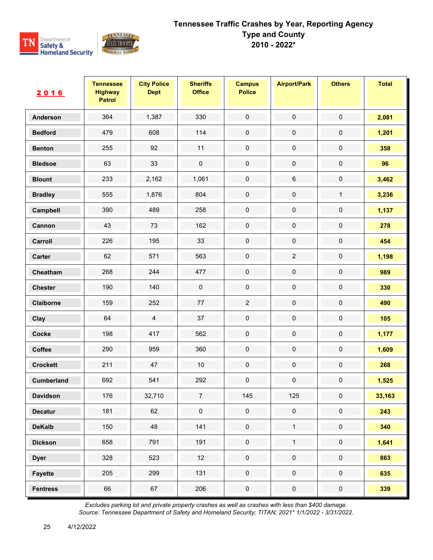

| 2016            | <b>Tennessee</b><br><b>Highway</b><br><b>Patrol</b> | <b>City Police</b><br><b>Dept</b> | <b>Sheriffs</b><br><b>Office</b> | <b>Campus</b><br><b>Police</b> | <b>Airport/Park</b> | <b>Others</b> | <b>Total</b> |
|-----------------|-----------------------------------------------------|-----------------------------------|----------------------------------|--------------------------------|---------------------|---------------|--------------|
| <b>Anderson</b> | 364                                                 | 1,387                             | 330                              | $\mathbf 0$                    | $\mathbf 0$         | $\mathbf 0$   | 2,081        |
| <b>Bedford</b>  | 479                                                 | 608                               | 114                              | $\pmb{0}$                      | $\pmb{0}$           | 0             | 1,201        |
| <b>Benton</b>   | 255                                                 | 92                                | 11                               | $\mathbf 0$                    | $\pmb{0}$           | $\pmb{0}$     | 358          |
| <b>Bledsoe</b>  | 63                                                  | 33                                | $\pmb{0}$                        | $\pmb{0}$                      | $\pmb{0}$           | $\pmb{0}$     | 96           |
| <b>Blount</b>   | 233                                                 | 2,162                             | 1,061                            | $\pmb{0}$                      | $\,6\,$             | 0             | 3,462        |
| <b>Bradley</b>  | 555                                                 | 1,876                             | 804                              | $\mathbf 0$                    | $\pmb{0}$           | $\mathbf{1}$  | 3,236        |
| Campbell        | 390                                                 | 489                               | 258                              | $\pmb{0}$                      | $\pmb{0}$           | $\pmb{0}$     | 1,137        |
| Cannon          | 43                                                  | $73\,$                            | 162                              | $\mathbf 0$                    | $\pmb{0}$           | $\pmb{0}$     | 278          |
| Carroll         | 226                                                 | 195                               | 33                               | $\pmb{0}$                      | $\pmb{0}$           | $\pmb{0}$     | 454          |
| Carter          | 62                                                  | 571                               | 563                              | $\pmb{0}$                      | $\sqrt{2}$          | $\pmb{0}$     | 1,198        |
| Cheatham        | 268                                                 | 244                               | 477                              | $\mathbf 0$                    | $\pmb{0}$           | $\pmb{0}$     | 989          |
| <b>Chester</b>  | 190                                                 | 140                               | $\pmb{0}$                        | $\mathbf 0$                    | $\pmb{0}$           | $\pmb{0}$     | 330          |
| Claiborne       | 159                                                 | 252                               | $77\,$                           | $\overline{2}$                 | $\pmb{0}$           | $\pmb{0}$     | 490          |
| Clay            | 64                                                  | $\overline{4}$                    | 37                               | $\mathbf 0$                    | $\pmb{0}$           | 0             | 105          |
| Cocke           | 198                                                 | 417                               | 562                              | $\pmb{0}$                      | $\pmb{0}$           | $\pmb{0}$     | 1,177        |
| Coffee          | 290                                                 | 959                               | 360                              | $\pmb{0}$                      | $\pmb{0}$           | $\pmb{0}$     | 1,609        |
| <b>Crockett</b> | 211                                                 | 47                                | $10$                             | $\mathbf 0$                    | $\pmb{0}$           | $\pmb{0}$     | 268          |
| Cumberland      | 692                                                 | 541                               | 292                              | $\mathbf 0$                    | $\pmb{0}$           | $\pmb{0}$     | 1,525        |
| <b>Davidson</b> | 176                                                 | 32,710                            | $\overline{7}$                   | 145                            | 125                 | 0             | 33,163       |
| <b>Decatur</b>  | 181                                                 | 62                                | $\pmb{0}$                        | $\mathbf 0$                    | $\mathsf{O}\xspace$ | $\mathbf 0$   | 243          |
| <b>DeKalb</b>   | 150                                                 | 48                                | 141                              | $\pmb{0}$                      | $\mathbf{1}$        | $\pmb{0}$     | 340          |
| <b>Dickson</b>  | 658                                                 | 791                               | 191                              | $\pmb{0}$                      | $\mathbf{1}$        | $\pmb{0}$     | 1,641        |
| <b>Dyer</b>     | 328                                                 | 523                               | 12                               | $\mathbf 0$                    | $\mathsf{O}\xspace$ | $\mathbf 0$   | 863          |
| <b>Fayette</b>  | 205                                                 | 299                               | 131                              | $\mathbf 0$                    | $\pmb{0}$           | $\pmb{0}$     | 635          |
| <b>Fentress</b> | 66                                                  | 67                                | 206                              | $\pmb{0}$                      | $\pmb{0}$           | $\pmb{0}$     | 339          |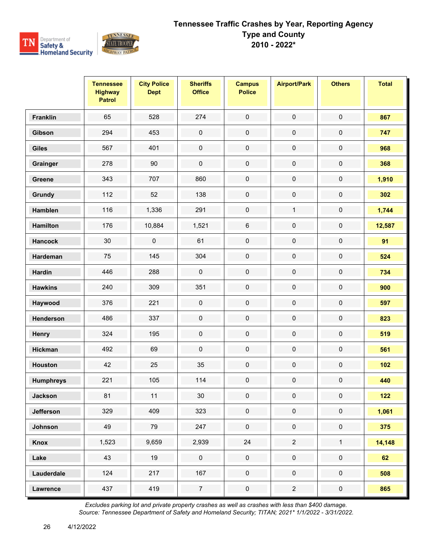

|                  | <b>Tennessee</b><br><b>Highway</b><br><b>Patrol</b> | <b>City Police</b><br><b>Dept</b> | <b>Sheriffs</b><br><b>Office</b> | <b>Campus</b><br><b>Police</b> | <b>Airport/Park</b> | <b>Others</b>       | <b>Total</b> |
|------------------|-----------------------------------------------------|-----------------------------------|----------------------------------|--------------------------------|---------------------|---------------------|--------------|
| <b>Franklin</b>  | 65                                                  | 528                               | 274                              | $\pmb{0}$                      | $\pmb{0}$           | $\pmb{0}$           | 867          |
| Gibson           | 294                                                 | 453                               | $\pmb{0}$                        | $\pmb{0}$                      | $\pmb{0}$           | 0                   | 747          |
| <b>Giles</b>     | 567                                                 | 401                               | $\pmb{0}$                        | $\pmb{0}$                      | $\pmb{0}$           | $\pmb{0}$           | 968          |
| Grainger         | 278                                                 | 90                                | $\pmb{0}$                        | $\mathsf{O}\xspace$            | $\pmb{0}$           | $\pmb{0}$           | 368          |
| Greene           | 343                                                 | 707                               | 860                              | $\pmb{0}$                      | $\pmb{0}$           | 0                   | 1,910        |
| Grundy           | 112                                                 | 52                                | 138                              | $\pmb{0}$                      | $\mathbf 0$         | 0                   | 302          |
| <b>Hamblen</b>   | 116                                                 | 1,336                             | 291                              | $\pmb{0}$                      | $\mathbf{1}$        | $\pmb{0}$           | 1,744        |
| <b>Hamilton</b>  | 176                                                 | 10,884                            | 1,521                            | $\,6\,$                        | $\pmb{0}$           | 0                   | 12,587       |
| <b>Hancock</b>   | 30                                                  | $\mathsf 0$                       | 61                               | $\pmb{0}$                      | $\mathbf 0$         | $\pmb{0}$           | 91           |
| Hardeman         | 75                                                  | 145                               | 304                              | $\pmb{0}$                      | $\pmb{0}$           | $\pmb{0}$           | 524          |
| Hardin           | 446                                                 | 288                               | $\pmb{0}$                        | $\mathbf 0$                    | $\pmb{0}$           | $\pmb{0}$           | 734          |
| <b>Hawkins</b>   | 240                                                 | 309                               | 351                              | $\pmb{0}$                      | $\pmb{0}$           | $\pmb{0}$           | 900          |
| Haywood          | 376                                                 | 221                               | $\pmb{0}$                        | $\pmb{0}$                      | $\pmb{0}$           | $\pmb{0}$           | 597          |
| Henderson        | 486                                                 | 337                               | $\pmb{0}$                        | $\pmb{0}$                      | $\pmb{0}$           | $\pmb{0}$           | 823          |
| Henry            | 324                                                 | 195                               | $\pmb{0}$                        | $\pmb{0}$                      | $\pmb{0}$           | $\pmb{0}$           | 519          |
| <b>Hickman</b>   | 492                                                 | 69                                | $\pmb{0}$                        | $\pmb{0}$                      | $\pmb{0}$           | $\pmb{0}$           | 561          |
| <b>Houston</b>   | 42                                                  | 25                                | 35                               | $\pmb{0}$                      | $\pmb{0}$           | $\pmb{0}$           | 102          |
| <b>Humphreys</b> | 221                                                 | 105                               | 114                              | $\pmb{0}$                      | $\pmb{0}$           | $\pmb{0}$           | 440          |
| <b>Jackson</b>   | 81                                                  | 11                                | 30                               | 0                              | 0                   | 0                   | 122          |
| <b>Jefferson</b> | 329                                                 | 409                               | 323                              | $\pmb{0}$                      | $\pmb{0}$           | $\mathsf{O}\xspace$ | 1,061        |
| Johnson          | 49                                                  | 79                                | 247                              | $\mathbf 0$                    | $\pmb{0}$           | $\mathsf{O}\xspace$ | 375          |
| Knox             | 1,523                                               | 9,659                             | 2,939                            | $24\,$                         | $\overline{2}$      | $\mathbf{1}$        | 14,148       |
| Lake             | 43                                                  | 19                                | $\pmb{0}$                        | $\pmb{0}$                      | $\mathbf 0$         | $\pmb{0}$           | 62           |
| Lauderdale       | 124                                                 | 217                               | 167                              | $\mathsf{O}\xspace$            | $\mathsf{O}\xspace$ | $\mathsf{O}\xspace$ | 508          |
| <b>Lawrence</b>  | 437                                                 | 419                               | $\overline{7}$                   | $\pmb{0}$                      | $\overline{c}$      | $\pmb{0}$           | 865          |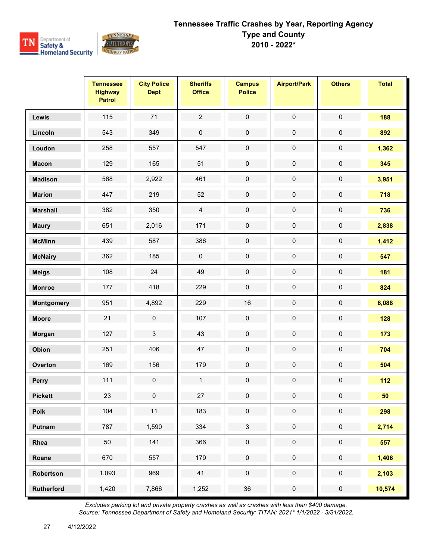

|                   | <b>Tennessee</b><br><b>Highway</b><br><b>Patrol</b> | <b>City Police</b><br><b>Dept</b> | <b>Sheriffs</b><br><b>Office</b> | <b>Campus</b><br><b>Police</b> | <b>Airport/Park</b> | <b>Others</b>       | <b>Total</b> |
|-------------------|-----------------------------------------------------|-----------------------------------|----------------------------------|--------------------------------|---------------------|---------------------|--------------|
| Lewis             | 115                                                 | 71                                | $\overline{2}$                   | $\mathbf 0$                    | $\pmb{0}$           | $\mathbf 0$         | 188          |
| Lincoln           | 543                                                 | 349                               | $\pmb{0}$                        | $\pmb{0}$                      | $\pmb{0}$           | $\pmb{0}$           | 892          |
| Loudon            | 258                                                 | 557                               | 547                              | $\mathbf 0$                    | $\pmb{0}$           | $\pmb{0}$           | 1,362        |
| <b>Macon</b>      | 129                                                 | 165                               | 51                               | $\mathbf 0$                    | $\pmb{0}$           | $\pmb{0}$           | 345          |
| <b>Madison</b>    | 568                                                 | 2,922                             | 461                              | $\pmb{0}$                      | $\pmb{0}$           | $\pmb{0}$           | 3,951        |
| <b>Marion</b>     | 447                                                 | 219                               | 52                               | $\pmb{0}$                      | $\pmb{0}$           | $\pmb{0}$           | 718          |
| <b>Marshall</b>   | 382                                                 | 350                               | $\overline{4}$                   | $\pmb{0}$                      | $\pmb{0}$           | $\pmb{0}$           | 736          |
| <b>Maury</b>      | 651                                                 | 2,016                             | 171                              | $\pmb{0}$                      | $\pmb{0}$           | $\pmb{0}$           | 2,838        |
| <b>McMinn</b>     | 439                                                 | 587                               | 386                              | $\pmb{0}$                      | $\pmb{0}$           | $\pmb{0}$           | 1,412        |
| <b>McNairy</b>    | 362                                                 | 185                               | $\pmb{0}$                        | $\pmb{0}$                      | $\pmb{0}$           | $\pmb{0}$           | 547          |
| <b>Meigs</b>      | 108                                                 | 24                                | 49                               | $\pmb{0}$                      | $\pmb{0}$           | $\pmb{0}$           | 181          |
| <b>Monroe</b>     | 177                                                 | 418                               | 229                              | $\mathbf 0$                    | $\pmb{0}$           | $\pmb{0}$           | 824          |
| Montgomery        | 951                                                 | 4,892                             | 229                              | 16                             | $\pmb{0}$           | $\pmb{0}$           | 6,088        |
| <b>Moore</b>      | 21                                                  | $\pmb{0}$                         | 107                              | $\pmb{0}$                      | $\pmb{0}$           | $\pmb{0}$           | 128          |
| Morgan            | 127                                                 | 3                                 | 43                               | $\pmb{0}$                      | $\pmb{0}$           | $\pmb{0}$           | 173          |
| Obion             | 251                                                 | 406                               | 47                               | $\pmb{0}$                      | $\pmb{0}$           | $\pmb{0}$           | 704          |
| Overton           | 169                                                 | 156                               | 179                              | $\pmb{0}$                      | $\pmb{0}$           | $\pmb{0}$           | 504          |
| Perry             | 111                                                 | $\pmb{0}$                         | $\mathbf{1}$                     | $\pmb{0}$                      | $\mathbf 0$         | $\pmb{0}$           | 112          |
| <b>Pickett</b>    | 23                                                  | 0                                 | 27                               | 0                              | 0                   | 0                   | 50           |
| Polk              | 104                                                 | 11                                | 183                              | $\pmb{0}$                      | $\pmb{0}$           | $\pmb{0}$           | 298          |
| Putnam            | 787                                                 | 1,590                             | 334                              | $\mathfrak{S}$                 | $\pmb{0}$           | $\mathsf{O}\xspace$ | 2,714        |
| Rhea              | $50\,$                                              | 141                               | 366                              | $\pmb{0}$                      | $\pmb{0}$           | $\pmb{0}$           | 557          |
| Roane             | 670                                                 | 557                               | 179                              | $\mathbf 0$                    | $\mathbf 0$         | $\mathbf 0$         | 1,406        |
| Robertson         | 1,093                                               | 969                               | 41                               | $\pmb{0}$                      | $\mathsf{O}\xspace$ | $\mathsf{O}\xspace$ | 2,103        |
| <b>Rutherford</b> | 1,420                                               | 7,866                             | 1,252                            | $36\,$                         | $\pmb{0}$           | $\pmb{0}$           | 10,574       |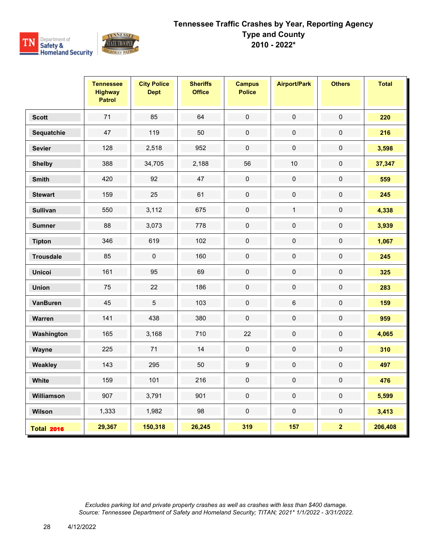

|                   | <b>Tennessee</b><br><b>Highway</b><br><b>Patrol</b> | <b>City Police</b><br><b>Dept</b> | <b>Sheriffs</b><br><b>Office</b> | <b>Campus</b><br><b>Police</b> | <b>Airport/Park</b> | <b>Others</b>           | <b>Total</b> |
|-------------------|-----------------------------------------------------|-----------------------------------|----------------------------------|--------------------------------|---------------------|-------------------------|--------------|
| <b>Scott</b>      | 71                                                  | 85                                | 64                               | $\pmb{0}$                      | $\pmb{0}$           | $\pmb{0}$               | 220          |
| Sequatchie        | 47                                                  | 119                               | 50                               | $\mathbf 0$                    | $\boldsymbol{0}$    | $\pmb{0}$               | 216          |
| <b>Sevier</b>     | 128                                                 | 2,518                             | 952                              | $\pmb{0}$                      | $\pmb{0}$           | $\pmb{0}$               | 3,598        |
| <b>Shelby</b>     | 388                                                 | 34,705                            | 2,188                            | 56                             | 10                  | $\mathsf 0$             | 37,347       |
| <b>Smith</b>      | 420                                                 | 92                                | 47                               | $\mathsf{O}\xspace$            | $\pmb{0}$           | $\mathbf 0$             | 559          |
| <b>Stewart</b>    | 159                                                 | 25                                | 61                               | $\pmb{0}$                      | $\mathbf 0$         | $\pmb{0}$               | 245          |
| <b>Sullivan</b>   | 550                                                 | 3,112                             | 675                              | $\pmb{0}$                      | $\mathbf{1}$        | $\pmb{0}$               | 4,338        |
| <b>Sumner</b>     | 88                                                  | 3,073                             | 778                              | $\mathbf 0$                    | $\mathbf 0$         | $\mathsf 0$             | 3,939        |
| <b>Tipton</b>     | 346                                                 | 619                               | 102                              | $\mathbf 0$                    | $\mathbf 0$         | 0                       | 1,067        |
| <b>Trousdale</b>  | 85                                                  | $\mathsf 0$                       | 160                              | $\pmb{0}$                      | $\pmb{0}$           | $\pmb{0}$               | 245          |
| <b>Unicoi</b>     | 161                                                 | 95                                | 69                               | $\pmb{0}$                      | $\mathbf 0$         | 0                       | 325          |
| <b>Union</b>      | 75                                                  | 22                                | 186                              | $\mathbf 0$                    | $\mathbf 0$         | $\mathbf 0$             | 283          |
| <b>VanBuren</b>   | 45                                                  | $\overline{5}$                    | 103                              | $\pmb{0}$                      | $\,6\,$             | $\pmb{0}$               | 159          |
| Warren            | 141                                                 | 438                               | 380                              | $\pmb{0}$                      | $\pmb{0}$           | $\pmb{0}$               | 959          |
| Washington        | 165                                                 | 3,168                             | 710                              | 22                             | $\mathbf 0$         | $\pmb{0}$               | 4,065        |
| Wayne             | 225                                                 | 71                                | 14                               | $\pmb{0}$                      | $\pmb{0}$           | 0                       | 310          |
| Weakley           | 143                                                 | 295                               | 50                               | $\boldsymbol{9}$               | $\pmb{0}$           | 0                       | 497          |
| White             | 159                                                 | 101                               | 216                              | $\mathbf 0$                    | $\pmb{0}$           | $\pmb{0}$               | 476          |
| Williamson        | 907                                                 | 3,791                             | 901                              | $\mathbf 0$                    | $\mathbf 0$         | $\mathbf 0$             | 5,599        |
| Wilson            | 1,333                                               | 1,982                             | 98                               | $\pmb{0}$                      | $\pmb{0}$           | $\pmb{0}$               | 3,413        |
| <b>Total 2016</b> | 29,367                                              | 150,318                           | 26,245                           | 319                            | 157                 | $\overline{\mathbf{2}}$ | 206,408      |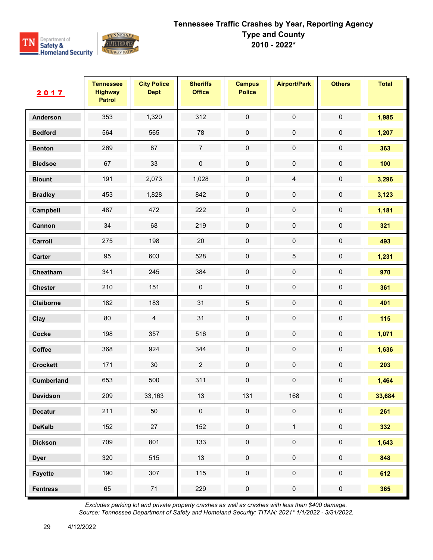

| 2017            | <b>Tennessee</b><br><b>Highway</b><br><b>Patrol</b> | <b>City Police</b><br><b>Dept</b> | <b>Sheriffs</b><br><b>Office</b> | <b>Campus</b><br><b>Police</b> | <b>Airport/Park</b> | <b>Others</b> | <b>Total</b> |
|-----------------|-----------------------------------------------------|-----------------------------------|----------------------------------|--------------------------------|---------------------|---------------|--------------|
| Anderson        | 353                                                 | 1,320                             | 312                              | $\mathsf{O}\xspace$            | $\pmb{0}$           | $\mathbf 0$   | 1,985        |
| <b>Bedford</b>  | 564                                                 | 565                               | 78                               | $\pmb{0}$                      | $\pmb{0}$           | $\pmb{0}$     | 1,207        |
| <b>Benton</b>   | 269                                                 | 87                                | $\overline{7}$                   | $\pmb{0}$                      | $\mathbf 0$         | $\pmb{0}$     | 363          |
| <b>Bledsoe</b>  | 67                                                  | 33                                | $\pmb{0}$                        | $\mathbf 0$                    | $\pmb{0}$           | $\mathbf 0$   | 100          |
| <b>Blount</b>   | 191                                                 | 2,073                             | 1,028                            | $\pmb{0}$                      | $\overline{4}$      | 0             | 3,296        |
| <b>Bradley</b>  | 453                                                 | 1,828                             | 842                              | $\pmb{0}$                      | $\pmb{0}$           | $\pmb{0}$     | 3,123        |
| Campbell        | 487                                                 | 472                               | 222                              | $\mathbf 0$                    | $\pmb{0}$           | $\pmb{0}$     | 1,181        |
| Cannon          | 34                                                  | 68                                | 219                              | $\pmb{0}$                      | $\pmb{0}$           | 0             | 321          |
| Carroll         | 275                                                 | 198                               | 20                               | $\pmb{0}$                      | $\pmb{0}$           | $\pmb{0}$     | 493          |
| Carter          | 95                                                  | 603                               | 528                              | $\mathbf 0$                    | $\mathbf 5$         | $\pmb{0}$     | 1,231        |
| Cheatham        | 341                                                 | 245                               | 384                              | $\mathbf 0$                    | $\pmb{0}$           | $\pmb{0}$     | 970          |
| <b>Chester</b>  | 210                                                 | 151                               | $\pmb{0}$                        | $\pmb{0}$                      | $\pmb{0}$           | $\pmb{0}$     | 361          |
| Claiborne       | 182                                                 | 183                               | 31                               | $\sqrt{5}$                     | $\pmb{0}$           | $\pmb{0}$     | 401          |
| Clay            | 80                                                  | $\overline{4}$                    | 31                               | $\mathbf 0$                    | $\pmb{0}$           | $\pmb{0}$     | 115          |
| Cocke           | 198                                                 | 357                               | 516                              | $\pmb{0}$                      | $\pmb{0}$           | $\pmb{0}$     | 1,071        |
| Coffee          | 368                                                 | 924                               | 344                              | $\pmb{0}$                      | $\pmb{0}$           | $\pmb{0}$     | 1,636        |
| <b>Crockett</b> | 171                                                 | 30                                | $\sqrt{2}$                       | $\mathbf 0$                    | $\pmb{0}$           | $\pmb{0}$     | 203          |
| Cumberland      | 653                                                 | 500                               | 311                              | $\pmb{0}$                      | $\pmb{0}$           | $\pmb{0}$     | 1,464        |
| <b>Davidson</b> | 209                                                 | 33,163                            | 13                               | 131                            | 168                 | 0             | 33,684       |
| <b>Decatur</b>  | 211                                                 | 50                                | $\mathbf 0$                      | $\mathbf 0$                    | $\pmb{0}$           | $\pmb{0}$     | 261          |
| <b>DeKalb</b>   | 152                                                 | 27                                | 152                              | $\pmb{0}$                      | $\mathbf{1}$        | $\pmb{0}$     | 332          |
| <b>Dickson</b>  | 709                                                 | 801                               | 133                              | $\pmb{0}$                      | $\pmb{0}$           | $\pmb{0}$     | 1,643        |
| <b>Dyer</b>     | 320                                                 | 515                               | 13                               | $\mathbf 0$                    | $\mathsf{O}\xspace$ | $\pmb{0}$     | 848          |
| <b>Fayette</b>  | 190                                                 | 307                               | 115                              | $\pmb{0}$                      | $\pmb{0}$           | $\pmb{0}$     | 612          |
| <b>Fentress</b> | 65                                                  | 71                                | 229                              | $\pmb{0}$                      | $\pmb{0}$           | ${\bf 0}$     | 365          |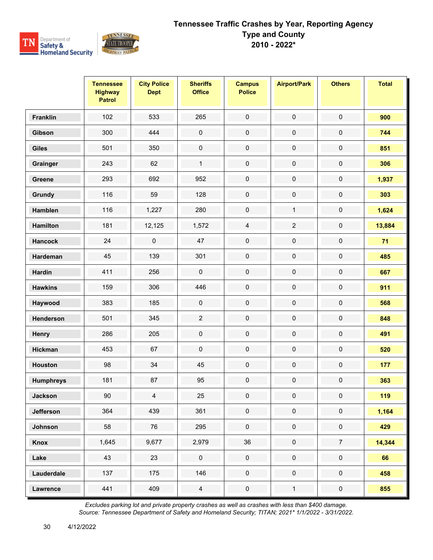

|                  | <b>Tennessee</b><br><b>Highway</b><br><b>Patrol</b> | <b>City Police</b><br><b>Dept</b> | <b>Sheriffs</b><br><b>Office</b> | <b>Campus</b><br><b>Police</b> | <b>Airport/Park</b> | <b>Others</b>       | <b>Total</b> |
|------------------|-----------------------------------------------------|-----------------------------------|----------------------------------|--------------------------------|---------------------|---------------------|--------------|
| <b>Franklin</b>  | 102                                                 | 533                               | 265                              | $\pmb{0}$                      | $\pmb{0}$           | $\pmb{0}$           | 900          |
| Gibson           | 300                                                 | 444                               | $\pmb{0}$                        | $\pmb{0}$                      | $\pmb{0}$           | $\pmb{0}$           | 744          |
| <b>Giles</b>     | 501                                                 | 350                               | $\pmb{0}$                        | $\pmb{0}$                      | $\pmb{0}$           | $\pmb{0}$           | 851          |
| Grainger         | 243                                                 | 62                                | $\mathbf{1}$                     | $\mathbf 0$                    | $\pmb{0}$           | $\pmb{0}$           | 306          |
| Greene           | 293                                                 | 692                               | 952                              | $\pmb{0}$                      | $\pmb{0}$           | $\pmb{0}$           | 1,937        |
| Grundy           | 116                                                 | 59                                | 128                              | $\pmb{0}$                      | $\pmb{0}$           | $\pmb{0}$           | 303          |
| <b>Hamblen</b>   | 116                                                 | 1,227                             | 280                              | $\mathbf 0$                    | $\mathbf{1}$        | $\pmb{0}$           | 1,624        |
| <b>Hamilton</b>  | 181                                                 | 12,125                            | 1,572                            | $\overline{4}$                 | $\sqrt{2}$          | 0                   | 13,884       |
| <b>Hancock</b>   | 24                                                  | $\mathbf 0$                       | 47                               | $\pmb{0}$                      | $\pmb{0}$           | 0                   | 71           |
| Hardeman         | 45                                                  | 139                               | 301                              | $\mathbf 0$                    | $\pmb{0}$           | $\mathsf{O}\xspace$ | 485          |
| <b>Hardin</b>    | 411                                                 | 256                               | $\pmb{0}$                        | $\pmb{0}$                      | $\pmb{0}$           | $\pmb{0}$           | 667          |
| <b>Hawkins</b>   | 159                                                 | 306                               | 446                              | $\pmb{0}$                      | $\pmb{0}$           | $\pmb{0}$           | 911          |
| Haywood          | 383                                                 | 185                               | $\pmb{0}$                        | $\pmb{0}$                      | $\pmb{0}$           | $\pmb{0}$           | 568          |
| Henderson        | 501                                                 | 345                               | $\sqrt{2}$                       | $\pmb{0}$                      | $\pmb{0}$           | $\pmb{0}$           | 848          |
| Henry            | 286                                                 | 205                               | $\pmb{0}$                        | $\pmb{0}$                      | $\pmb{0}$           | $\pmb{0}$           | 491          |
| <b>Hickman</b>   | 453                                                 | 67                                | $\pmb{0}$                        | $\pmb{0}$                      | $\pmb{0}$           | $\pmb{0}$           | 520          |
| <b>Houston</b>   | 98                                                  | 34                                | 45                               | $\pmb{0}$                      | $\pmb{0}$           | $\pmb{0}$           | 177          |
| <b>Humphreys</b> | 181                                                 | 87                                | 95                               | $\pmb{0}$                      | $\pmb{0}$           | $\pmb{0}$           | 363          |
| <b>Jackson</b>   | 90                                                  | $\overline{4}$                    | 25                               | 0                              | $\mathbf 0$         | 0                   | 119          |
| <b>Jefferson</b> | 364                                                 | 439                               | 361                              | $\mathbf 0$                    | $\pmb{0}$           | $\pmb{0}$           | 1,164        |
| Johnson          | 58                                                  | 76                                | 295                              | $\mathsf{O}\xspace$            | $\pmb{0}$           | $\mathsf{O}\xspace$ | 429          |
| Knox             | 1,645                                               | 9,677                             | 2,979                            | 36                             | $\pmb{0}$           | $\overline{7}$      | 14,344       |
| Lake             | 43                                                  | 23                                | $\pmb{0}$                        | $\pmb{0}$                      | $\pmb{0}$           | $\pmb{0}$           | 66           |
| Lauderdale       | 137                                                 | 175                               | 146                              | $\mathbf 0$                    | $\mathbf 0$         | $\mathbf 0$         | 458          |
| <b>Lawrence</b>  | 441                                                 | 409                               | $\overline{4}$                   | $\pmb{0}$                      | $\mathbf{1}$        | $\pmb{0}$           | 855          |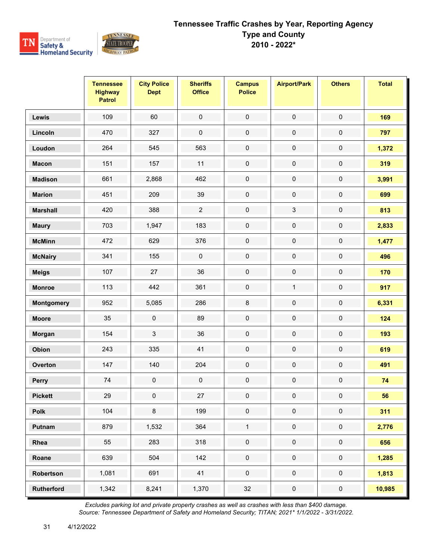

|                   | <b>Tennessee</b><br><b>Highway</b><br><b>Patrol</b> | <b>City Police</b><br><b>Dept</b> | <b>Sheriffs</b><br><b>Office</b> | <b>Campus</b><br><b>Police</b> | <b>Airport/Park</b> | <b>Others</b>       | <b>Total</b> |
|-------------------|-----------------------------------------------------|-----------------------------------|----------------------------------|--------------------------------|---------------------|---------------------|--------------|
| Lewis             | 109                                                 | 60                                | $\mathbf 0$                      | $\mathbf 0$                    | $\pmb{0}$           | $\mathbf 0$         | 169          |
| Lincoln           | 470                                                 | 327                               | $\pmb{0}$                        | $\pmb{0}$                      | $\pmb{0}$           | $\pmb{0}$           | 797          |
| Loudon            | 264                                                 | 545                               | 563                              | $\mathbf 0$                    | $\pmb{0}$           | $\pmb{0}$           | 1,372        |
| <b>Macon</b>      | 151                                                 | 157                               | 11                               | $\mathbf 0$                    | $\pmb{0}$           | $\pmb{0}$           | 319          |
| <b>Madison</b>    | 661                                                 | 2,868                             | 462                              | $\pmb{0}$                      | $\pmb{0}$           | $\pmb{0}$           | 3,991        |
| <b>Marion</b>     | 451                                                 | 209                               | 39                               | $\pmb{0}$                      | $\pmb{0}$           | $\pmb{0}$           | 699          |
| <b>Marshall</b>   | 420                                                 | 388                               | $\overline{2}$                   | $\pmb{0}$                      | $\sqrt{3}$          | $\pmb{0}$           | 813          |
| <b>Maury</b>      | 703                                                 | 1,947                             | 183                              | $\pmb{0}$                      | $\pmb{0}$           | $\pmb{0}$           | 2,833        |
| <b>McMinn</b>     | 472                                                 | 629                               | 376                              | $\pmb{0}$                      | $\pmb{0}$           | $\pmb{0}$           | 1,477        |
| <b>McNairy</b>    | 341                                                 | 155                               | $\pmb{0}$                        | $\pmb{0}$                      | $\pmb{0}$           | $\pmb{0}$           | 496          |
| <b>Meigs</b>      | 107                                                 | 27                                | 36                               | $\pmb{0}$                      | $\pmb{0}$           | $\pmb{0}$           | 170          |
| <b>Monroe</b>     | 113                                                 | 442                               | 361                              | $\pmb{0}$                      | $\mathbf{1}$        | $\pmb{0}$           | 917          |
| Montgomery        | 952                                                 | 5,085                             | 286                              | $\bf 8$                        | $\pmb{0}$           | $\pmb{0}$           | 6,331        |
| <b>Moore</b>      | 35                                                  | $\pmb{0}$                         | 89                               | $\pmb{0}$                      | $\pmb{0}$           | $\pmb{0}$           | 124          |
| Morgan            | 154                                                 | 3                                 | 36                               | $\pmb{0}$                      | $\pmb{0}$           | $\pmb{0}$           | 193          |
| Obion             | 243                                                 | 335                               | 41                               | $\pmb{0}$                      | $\pmb{0}$           | $\pmb{0}$           | 619          |
| Overton           | 147                                                 | 140                               | 204                              | $\pmb{0}$                      | $\pmb{0}$           | $\pmb{0}$           | 491          |
| Perry             | 74                                                  | $\pmb{0}$                         | $\pmb{0}$                        | $\pmb{0}$                      | $\mathbf 0$         | $\pmb{0}$           | 74           |
| <b>Pickett</b>    | 29                                                  | 0                                 | 27                               | $\mathbf 0$                    | 0                   | 0                   | 56           |
| Polk              | 104                                                 | $\bf 8$                           | 199                              | $\pmb{0}$                      | $\pmb{0}$           | $\pmb{0}$           | 311          |
| Putnam            | 879                                                 | 1,532                             | 364                              | $\mathbf{1}$                   | $\pmb{0}$           | $\mathsf{O}\xspace$ | 2,776        |
| Rhea              | 55                                                  | 283                               | 318                              | $\pmb{0}$                      | $\pmb{0}$           | $\pmb{0}$           | 656          |
| Roane             | 639                                                 | 504                               | 142                              | $\mathbf 0$                    | $\mathbf 0$         | $\pmb{0}$           | 1,285        |
| Robertson         | 1,081                                               | 691                               | 41                               | $\pmb{0}$                      | $\mathsf{O}\xspace$ | $\mathsf{O}\xspace$ | 1,813        |
| <b>Rutherford</b> | 1,342                                               | 8,241                             | 1,370                            | 32                             | $\pmb{0}$           | $\pmb{0}$           | 10,985       |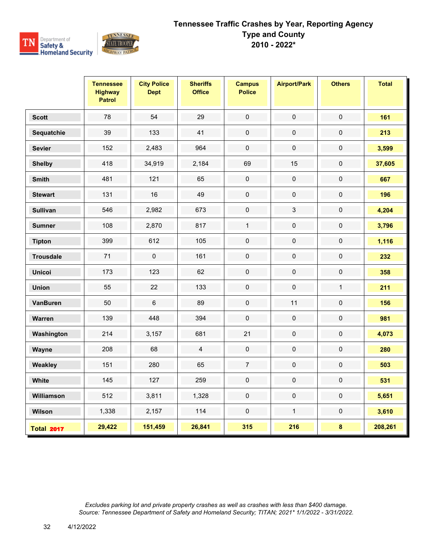

|                   | <b>Tennessee</b><br><b>Highway</b><br><b>Patrol</b> | <b>City Police</b><br><b>Dept</b> | <b>Sheriffs</b><br><b>Office</b> | <b>Campus</b><br><b>Police</b> | <b>Airport/Park</b> | <b>Others</b> | <b>Total</b> |
|-------------------|-----------------------------------------------------|-----------------------------------|----------------------------------|--------------------------------|---------------------|---------------|--------------|
| <b>Scott</b>      | 78                                                  | 54                                | 29                               | $\pmb{0}$                      | $\pmb{0}$           | $\pmb{0}$     | 161          |
| Sequatchie        | 39                                                  | 133                               | 41                               | $\pmb{0}$                      | $\pmb{0}$           | $\pmb{0}$     | 213          |
| <b>Sevier</b>     | 152                                                 | 2,483                             | 964                              | $\pmb{0}$                      | $\pmb{0}$           | $\pmb{0}$     | 3,599        |
| <b>Shelby</b>     | 418                                                 | 34,919                            | 2,184                            | 69                             | 15                  | $\pmb{0}$     | 37,605       |
| <b>Smith</b>      | 481                                                 | 121                               | 65                               | $\pmb{0}$                      | $\pmb{0}$           | $\pmb{0}$     | 667          |
| <b>Stewart</b>    | 131                                                 | 16                                | 49                               | $\mathbf 0$                    | $\mathbf 0$         | $\mathbf 0$   | 196          |
| <b>Sullivan</b>   | 546                                                 | 2,982                             | 673                              | $\mathsf{O}\xspace$            | $\sqrt{3}$          | $\mathbf 0$   | 4,204        |
| <b>Sumner</b>     | 108                                                 | 2,870                             | 817                              | $\mathbf{1}$                   | $\pmb{0}$           | $\pmb{0}$     | 3,796        |
| <b>Tipton</b>     | 399                                                 | 612                               | 105                              | $\mathbf 0$                    | $\pmb{0}$           | $\mathbf 0$   | 1,116        |
| <b>Trousdale</b>  | 71                                                  | $\mathbf 0$                       | 161                              | $\mathbf 0$                    | $\mathbf 0$         | $\pmb{0}$     | 232          |
| <b>Unicoi</b>     | 173                                                 | 123                               | 62                               | $\pmb{0}$                      | $\mathbf 0$         | $\pmb{0}$     | 358          |
| <b>Union</b>      | 55                                                  | 22                                | 133                              | $\pmb{0}$                      | $\pmb{0}$           | $\mathbf{1}$  | 211          |
| VanBuren          | 50                                                  | $\,6$                             | 89                               | $\mathsf 0$                    | 11                  | $\pmb{0}$     | 156          |
| Warren            | 139                                                 | 448                               | 394                              | $\mathbf 0$                    | $\mathbf 0$         | $\mathbf 0$   | 981          |
| Washington        | 214                                                 | 3,157                             | 681                              | 21                             | $\mathbf 0$         | $\mathbf 0$   | 4,073        |
| Wayne             | 208                                                 | 68                                | $\overline{4}$                   | $\pmb{0}$                      | $\pmb{0}$           | $\pmb{0}$     | 280          |
| Weakley           | 151                                                 | 280                               | 65                               | $\overline{7}$                 | $\pmb{0}$           | $\pmb{0}$     | 503          |
| White             | 145                                                 | 127                               | 259                              | $\mathbf 0$                    | $\pmb{0}$           | $\mathbf 0$   | 531          |
| Williamson        | 512                                                 | 3,811                             | 1,328                            | $\mathsf{O}\xspace$            | $\mathbf 0$         | $\mathbf 0$   | 5,651        |
| Wilson            | 1,338                                               | 2,157                             | 114                              | $\pmb{0}$                      | $\mathbf{1}$        | $\mathbf 0$   | 3,610        |
| <b>Total 2017</b> | 29,422                                              | 151,459                           | 26,841                           | 315                            | 216                 | $\pmb{8}$     | 208,261      |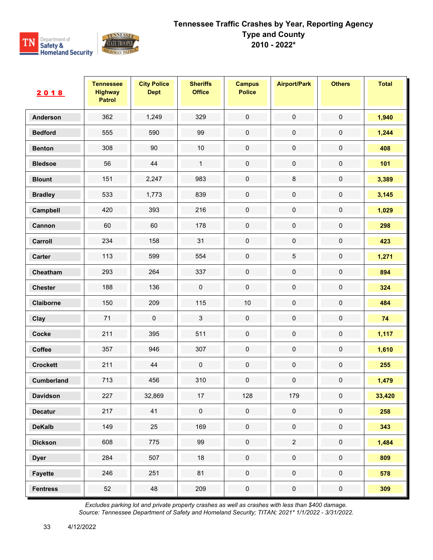

| 2018              | <b>Tennessee</b><br><b>Highway</b><br><b>Patrol</b> | <b>City Police</b><br><b>Dept</b> | <b>Sheriffs</b><br><b>Office</b> | <b>Campus</b><br><b>Police</b> | <b>Airport/Park</b> | <b>Others</b> | <b>Total</b> |
|-------------------|-----------------------------------------------------|-----------------------------------|----------------------------------|--------------------------------|---------------------|---------------|--------------|
| Anderson          | 362                                                 | 1,249                             | 329                              | $\mathsf{O}\xspace$            | $\pmb{0}$           | $\mathbf 0$   | 1,940        |
| <b>Bedford</b>    | 555                                                 | 590                               | 99                               | $\pmb{0}$                      | $\pmb{0}$           | $\pmb{0}$     | 1,244        |
| <b>Benton</b>     | 308                                                 | 90                                | $10$                             | $\pmb{0}$                      | $\mathbf 0$         | $\pmb{0}$     | 408          |
| <b>Bledsoe</b>    | 56                                                  | 44                                | $\mathbf{1}$                     | $\mathbf 0$                    | $\mathbf 0$         | $\pmb{0}$     | 101          |
| <b>Blount</b>     | 151                                                 | 2,247                             | 983                              | $\pmb{0}$                      | 8                   | 0             | 3,389        |
| <b>Bradley</b>    | 533                                                 | 1,773                             | 839                              | $\pmb{0}$                      | $\pmb{0}$           | $\pmb{0}$     | 3,145        |
| Campbell          | 420                                                 | 393                               | 216                              | $\mathbf 0$                    | $\pmb{0}$           | $\mathbf 0$   | 1,029        |
| Cannon            | 60                                                  | 60                                | 178                              | $\mathbf 0$                    | $\pmb{0}$           | 0             | 298          |
| Carroll           | 234                                                 | 158                               | 31                               | $\pmb{0}$                      | $\pmb{0}$           | $\pmb{0}$     | 423          |
| Carter            | 113                                                 | 599                               | 554                              | $\mathbf 0$                    | $\mathbf 5$         | $\pmb{0}$     | 1,271        |
| Cheatham          | 293                                                 | 264                               | 337                              | $\mathbf 0$                    | $\pmb{0}$           | $\pmb{0}$     | 894          |
| <b>Chester</b>    | 188                                                 | 136                               | $\pmb{0}$                        | $\pmb{0}$                      | $\pmb{0}$           | $\pmb{0}$     | 324          |
| Claiborne         | 150                                                 | 209                               | 115                              | $10$                           | $\pmb{0}$           | $\pmb{0}$     | 484          |
| Clay              | 71                                                  | $\pmb{0}$                         | 3                                | $\mathbf 0$                    | $\pmb{0}$           | $\pmb{0}$     | 74           |
| Cocke             | 211                                                 | 395                               | 511                              | $\pmb{0}$                      | $\pmb{0}$           | $\pmb{0}$     | 1,117        |
| Coffee            | 357                                                 | 946                               | 307                              | $\pmb{0}$                      | $\pmb{0}$           | $\pmb{0}$     | 1,610        |
| <b>Crockett</b>   | 211                                                 | 44                                | $\pmb{0}$                        | $\mathbf 0$                    | $\pmb{0}$           | $\pmb{0}$     | 255          |
| <b>Cumberland</b> | 713                                                 | 456                               | 310                              | $\pmb{0}$                      | $\pmb{0}$           | $\pmb{0}$     | 1,479        |
| <b>Davidson</b>   | 227                                                 | 32,869                            | 17                               | 128                            | 179                 | 0             | 33,420       |
| <b>Decatur</b>    | 217                                                 | 41                                | $\mathbf 0$                      | $\mathbf 0$                    | $\mathbf 0$         | $\mathbf 0$   | 258          |
| <b>DeKalb</b>     | 149                                                 | 25                                | 169                              | $\pmb{0}$                      | $\mathbf 0$         | $\pmb{0}$     | 343          |
| <b>Dickson</b>    | 608                                                 | 775                               | 99                               | $\pmb{0}$                      | $\overline{2}$      | $\pmb{0}$     | 1,484        |
| <b>Dyer</b>       | 284                                                 | 507                               | 18                               | $\mathbf 0$                    | $\mathbf 0$         | $\pmb{0}$     | 809          |
| Fayette           | 246                                                 | 251                               | 81                               | $\mathbf 0$                    | $\mathbf 0$         | $\pmb{0}$     | 578          |
| <b>Fentress</b>   | 52                                                  | 48                                | 209                              | $\pmb{0}$                      | $\pmb{0}$           | $\pmb{0}$     | 309          |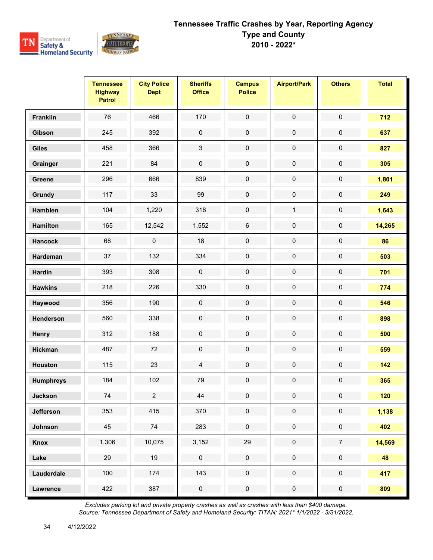

|                  | <b>Tennessee</b><br><b>Highway</b><br><b>Patrol</b> | <b>City Police</b><br><b>Dept</b> | <b>Sheriffs</b><br><b>Office</b> | <b>Campus</b><br><b>Police</b> | <b>Airport/Park</b> | <b>Others</b>       | <b>Total</b> |
|------------------|-----------------------------------------------------|-----------------------------------|----------------------------------|--------------------------------|---------------------|---------------------|--------------|
| <b>Franklin</b>  | 76                                                  | 466                               | 170                              | $\pmb{0}$                      | $\pmb{0}$           | $\pmb{0}$           | 712          |
| Gibson           | 245                                                 | 392                               | $\pmb{0}$                        | $\pmb{0}$                      | $\pmb{0}$           | $\pmb{0}$           | 637          |
| <b>Giles</b>     | 458                                                 | 366                               | 3                                | $\pmb{0}$                      | $\pmb{0}$           | $\pmb{0}$           | 827          |
| Grainger         | 221                                                 | 84                                | $\pmb{0}$                        | $\mathbf 0$                    | $\pmb{0}$           | $\pmb{0}$           | 305          |
| Greene           | 296                                                 | 666                               | 839                              | $\pmb{0}$                      | $\pmb{0}$           | $\pmb{0}$           | 1,801        |
| Grundy           | 117                                                 | 33                                | 99                               | $\pmb{0}$                      | $\pmb{0}$           | $\pmb{0}$           | 249          |
| <b>Hamblen</b>   | 104                                                 | 1,220                             | 318                              | $\pmb{0}$                      | $\mathbf{1}$        | $\pmb{0}$           | 1,643        |
| <b>Hamilton</b>  | 165                                                 | 12,542                            | 1,552                            | $\,6\,$                        | $\pmb{0}$           | 0                   | 14,265       |
| <b>Hancock</b>   | 68                                                  | $\mathbf 0$                       | 18                               | $\pmb{0}$                      | $\mathbf 0$         | 0                   | 86           |
| Hardeman         | 37                                                  | 132                               | 334                              | $\mathbf 0$                    | $\pmb{0}$           | $\mathsf{O}\xspace$ | 503          |
| <b>Hardin</b>    | 393                                                 | 308                               | $\pmb{0}$                        | $\pmb{0}$                      | $\pmb{0}$           | $\pmb{0}$           | 701          |
| <b>Hawkins</b>   | 218                                                 | 226                               | 330                              | $\pmb{0}$                      | $\pmb{0}$           | $\pmb{0}$           | 774          |
| Haywood          | 356                                                 | 190                               | $\pmb{0}$                        | $\pmb{0}$                      | $\pmb{0}$           | $\pmb{0}$           | 546          |
| Henderson        | 560                                                 | 338                               | $\pmb{0}$                        | $\pmb{0}$                      | $\pmb{0}$           | $\pmb{0}$           | 898          |
| Henry            | 312                                                 | 188                               | $\pmb{0}$                        | $\pmb{0}$                      | $\pmb{0}$           | $\pmb{0}$           | 500          |
| <b>Hickman</b>   | 487                                                 | 72                                | $\pmb{0}$                        | $\pmb{0}$                      | $\pmb{0}$           | $\pmb{0}$           | 559          |
| <b>Houston</b>   | 115                                                 | 23                                | $\overline{4}$                   | $\pmb{0}$                      | $\pmb{0}$           | $\pmb{0}$           | 142          |
| <b>Humphreys</b> | 184                                                 | 102                               | 79                               | $\pmb{0}$                      | $\pmb{0}$           | $\pmb{0}$           | 365          |
| <b>Jackson</b>   | 74                                                  | $\overline{2}$                    | 44                               | 0                              | $\mathbf 0$         | 0                   | 120          |
| <b>Jefferson</b> | 353                                                 | 415                               | 370                              | $\mathbf 0$                    | $\pmb{0}$           | $\pmb{0}$           | 1,138        |
| Johnson          | 45                                                  | 74                                | 283                              | $\mathsf{O}\xspace$            | $\pmb{0}$           | $\mathbf 0$         | 402          |
| Knox             | 1,306                                               | 10,075                            | 3,152                            | 29                             | $\pmb{0}$           | $\overline{7}$      | 14,569       |
| Lake             | 29                                                  | 19                                | $\mathsf{O}\xspace$              | $\pmb{0}$                      | $\pmb{0}$           | $\pmb{0}$           | 48           |
| Lauderdale       | 100                                                 | 174                               | 143                              | $\mathbf 0$                    | $\mathbf 0$         | $\mathbf 0$         | 417          |
| <b>Lawrence</b>  | 422                                                 | 387                               | $\pmb{0}$                        | $\pmb{0}$                      | $\pmb{0}$           | $\mathbf 0$         | 809          |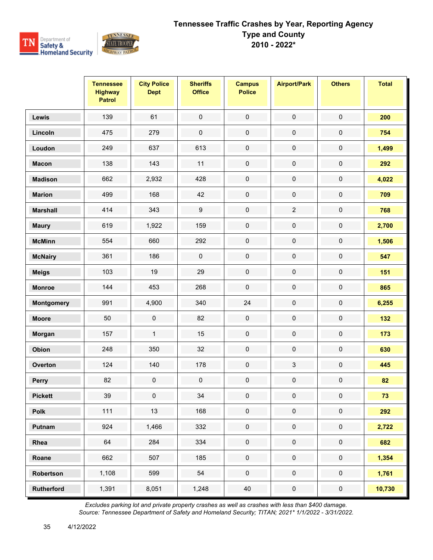

|                   | <b>Tennessee</b><br><b>Highway</b><br><b>Patrol</b> | <b>City Police</b><br><b>Dept</b> | <b>Sheriffs</b><br><b>Office</b> | <b>Campus</b><br><b>Police</b> | <b>Airport/Park</b> | <b>Others</b>       | <b>Total</b> |
|-------------------|-----------------------------------------------------|-----------------------------------|----------------------------------|--------------------------------|---------------------|---------------------|--------------|
| Lewis             | 139                                                 | 61                                | $\mathbf 0$                      | $\mathbf 0$                    | $\pmb{0}$           | $\mathbf 0$         | 200          |
| Lincoln           | 475                                                 | 279                               | $\pmb{0}$                        | $\pmb{0}$                      | $\pmb{0}$           | $\pmb{0}$           | 754          |
| Loudon            | 249                                                 | 637                               | 613                              | $\mathbf 0$                    | $\pmb{0}$           | $\pmb{0}$           | 1,499        |
| <b>Macon</b>      | 138                                                 | 143                               | 11                               | $\mathbf 0$                    | $\pmb{0}$           | $\pmb{0}$           | 292          |
| <b>Madison</b>    | 662                                                 | 2,932                             | 428                              | $\pmb{0}$                      | $\pmb{0}$           | $\pmb{0}$           | 4,022        |
| <b>Marion</b>     | 499                                                 | 168                               | 42                               | $\pmb{0}$                      | $\pmb{0}$           | $\pmb{0}$           | 709          |
| <b>Marshall</b>   | 414                                                 | 343                               | $\boldsymbol{9}$                 | $\pmb{0}$                      | $\overline{2}$      | $\pmb{0}$           | 768          |
| <b>Maury</b>      | 619                                                 | 1,922                             | 159                              | $\pmb{0}$                      | $\pmb{0}$           | $\pmb{0}$           | 2,700        |
| <b>McMinn</b>     | 554                                                 | 660                               | 292                              | $\mathbf 0$                    | $\pmb{0}$           | $\mathbf 0$         | 1,506        |
| <b>McNairy</b>    | 361                                                 | 186                               | $\pmb{0}$                        | $\mathbf 0$                    | $\pmb{0}$           | $\pmb{0}$           | 547          |
| <b>Meigs</b>      | 103                                                 | 19                                | 29                               | $\mathbf 0$                    | $\pmb{0}$           | $\mathbf 0$         | 151          |
| <b>Monroe</b>     | 144                                                 | 453                               | 268                              | $\pmb{0}$                      | $\pmb{0}$           | $\pmb{0}$           | 865          |
| Montgomery        | 991                                                 | 4,900                             | 340                              | 24                             | $\pmb{0}$           | $\pmb{0}$           | 6,255        |
| <b>Moore</b>      | 50                                                  | $\mathbf 0$                       | 82                               | $\mathbf 0$                    | $\pmb{0}$           | $\mathbf 0$         | 132          |
| Morgan            | 157                                                 | $\mathbf{1}$                      | 15                               | $\mathbf 0$                    | $\pmb{0}$           | $\mathbf 0$         | 173          |
| Obion             | 248                                                 | 350                               | 32                               | $\mathbf 0$                    | $\pmb{0}$           | $\pmb{0}$           | 630          |
| Overton           | 124                                                 | 140                               | 178                              | $\mathbf 0$                    | $\mathfrak{Z}$      | $\mathbf 0$         | 445          |
| Perry             | 82                                                  | 0                                 | $\pmb{0}$                        | $\mathbf 0$                    | $\pmb{0}$           | $\mathbf 0$         | 82           |
| <b>Pickett</b>    | 39                                                  | 0                                 | $34\,$                           | $\mathbf 0$                    | 0                   | 0                   | 73           |
| Polk              | $111$                                               | 13                                | 168                              | $\pmb{0}$                      | $\pmb{0}$           | $\pmb{0}$           | 292          |
| Putnam            | 924                                                 | 1,466                             | 332                              | $\mathbf 0$                    | $\pmb{0}$           | $\mathsf{O}\xspace$ | 2,722        |
| Rhea              | 64                                                  | 284                               | 334                              | $\pmb{0}$                      | $\pmb{0}$           | $\pmb{0}$           | 682          |
| Roane             | 662                                                 | 507                               | 185                              | $\mathbf 0$                    | $\mathbf 0$         | $\pmb{0}$           | 1,354        |
| Robertson         | 1,108                                               | 599                               | 54                               | $\pmb{0}$                      | $\mathsf{O}\xspace$ | $\mathsf{O}\xspace$ | 1,761        |
| <b>Rutherford</b> | 1,391                                               | 8,051                             | 1,248                            | 40                             | $\pmb{0}$           | $\pmb{0}$           | 10,730       |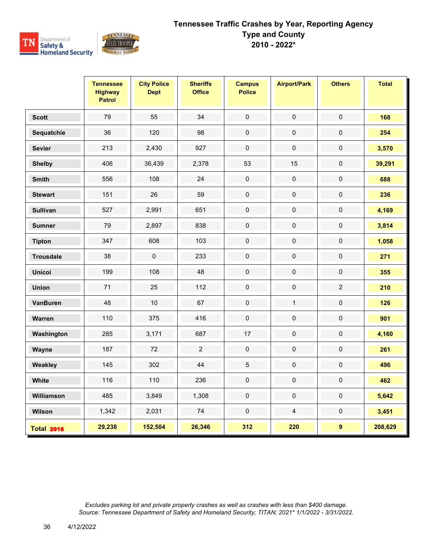

|                   | <b>Tennessee</b><br><b>Highway</b><br><b>Patrol</b> | <b>City Police</b><br><b>Dept</b> | <b>Sheriffs</b><br><b>Office</b> | <b>Campus</b><br><b>Police</b> | <b>Airport/Park</b> | <b>Others</b>  | <b>Total</b> |
|-------------------|-----------------------------------------------------|-----------------------------------|----------------------------------|--------------------------------|---------------------|----------------|--------------|
| <b>Scott</b>      | 79                                                  | 55                                | 34                               | $\pmb{0}$                      | $\pmb{0}$           | $\pmb{0}$      | 168          |
| Sequatchie        | 36                                                  | 120                               | 98                               | $\pmb{0}$                      | $\mathbf 0$         | $\mathbf 0$    | 254          |
| <b>Sevier</b>     | 213                                                 | 2,430                             | 927                              | $\pmb{0}$                      | $\pmb{0}$           | $\pmb{0}$      | 3,570        |
| <b>Shelby</b>     | 406                                                 | 36,439                            | 2,378                            | 53                             | 15                  | $\mathsf 0$    | 39,291       |
| <b>Smith</b>      | 556                                                 | 108                               | 24                               | $\pmb{0}$                      | $\pmb{0}$           | $\pmb{0}$      | 688          |
| <b>Stewart</b>    | 151                                                 | 26                                | 59                               | $\mathbf 0$                    | $\pmb{0}$           | $\pmb{0}$      | 236          |
| <b>Sullivan</b>   | 527                                                 | 2,991                             | 651                              | $\pmb{0}$                      | $\pmb{0}$           | 0              | 4,169        |
| <b>Sumner</b>     | 79                                                  | 2,897                             | 838                              | $\pmb{0}$                      | $\pmb{0}$           | 0              | 3,814        |
| <b>Tipton</b>     | 347                                                 | 608                               | 103                              | $\mathbf 0$                    | $\pmb{0}$           | $\pmb{0}$      | 1,058        |
| <b>Trousdale</b>  | 38                                                  | $\pmb{0}$                         | 233                              | $\pmb{0}$                      | $\pmb{0}$           | $\pmb{0}$      | 271          |
| <b>Unicoi</b>     | 199                                                 | 108                               | 48                               | $\pmb{0}$                      | $\mathbf 0$         | $\mathbf 0$    | 355          |
| <b>Union</b>      | 71                                                  | 25                                | 112                              | $\pmb{0}$                      | $\pmb{0}$           | $\overline{2}$ | 210          |
| <b>VanBuren</b>   | 48                                                  | 10 <sup>1</sup>                   | 67                               | $\pmb{0}$                      | $\mathbf{1}$        | $\pmb{0}$      | 126          |
| Warren            | 110                                                 | 375                               | 416                              | $\pmb{0}$                      | $\pmb{0}$           | $\pmb{0}$      | 901          |
| Washington        | 285                                                 | 3,171                             | 687                              | 17                             | $\pmb{0}$           | $\pmb{0}$      | 4,160        |
| Wayne             | 187                                                 | 72                                | $\sqrt{2}$                       | $\pmb{0}$                      | $\pmb{0}$           | $\pmb{0}$      | 261          |
| Weakley           | 145                                                 | 302                               | 44                               | $\mathbf 5$                    | $\pmb{0}$           | $\pmb{0}$      | 496          |
| White             | 116                                                 | 110                               | 236                              | $\mathbf 0$                    | $\pmb{0}$           | $\mathbf 0$    | 462          |
| Williamson        | 485                                                 | 3,849                             | 1,308                            | $\pmb{0}$                      | $\mathbf 0$         | $\pmb{0}$      | 5,642        |
| Wilson            | 1,342                                               | 2,031                             | $74\,$                           | $\pmb{0}$                      | $\overline{4}$      | $\pmb{0}$      | 3,451        |
| <b>Total 2018</b> | 29,238                                              | 152,504                           | 26,346                           | 312                            | 220                 | 9              | 208,629      |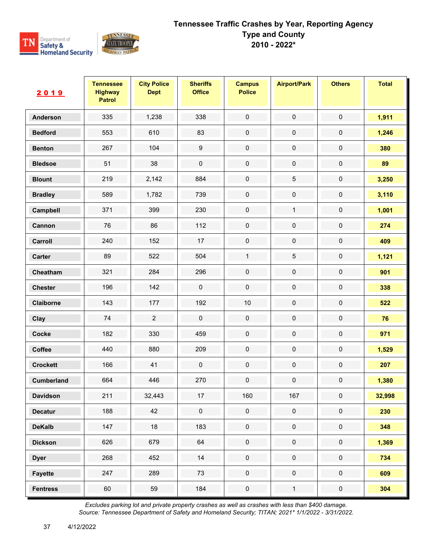

| 2019              | <b>Tennessee</b><br><b>Highway</b><br><b>Patrol</b> | <b>City Police</b><br><b>Dept</b> | <b>Sheriffs</b><br><b>Office</b> | <b>Campus</b><br><b>Police</b> | <b>Airport/Park</b> | <b>Others</b>       | <b>Total</b> |
|-------------------|-----------------------------------------------------|-----------------------------------|----------------------------------|--------------------------------|---------------------|---------------------|--------------|
| <b>Anderson</b>   | 335                                                 | 1,238                             | 338                              | $\mathbf 0$                    | $\pmb{0}$           | $\pmb{0}$           | 1,911        |
| <b>Bedford</b>    | 553                                                 | 610                               | 83                               | $\pmb{0}$                      | $\pmb{0}$           | $\pmb{0}$           | 1,246        |
| <b>Benton</b>     | 267                                                 | 104                               | $\boldsymbol{9}$                 | $\pmb{0}$                      | $\pmb{0}$           | $\pmb{0}$           | 380          |
| <b>Bledsoe</b>    | 51                                                  | 38                                | $\pmb{0}$                        | $\pmb{0}$                      | $\pmb{0}$           | $\pmb{0}$           | 89           |
| <b>Blount</b>     | 219                                                 | 2,142                             | 884                              | $\pmb{0}$                      | $\mathbf 5$         | $\pmb{0}$           | 3,250        |
| <b>Bradley</b>    | 589                                                 | 1,782                             | 739                              | $\pmb{0}$                      | $\pmb{0}$           | $\pmb{0}$           | 3,110        |
| Campbell          | 371                                                 | 399                               | 230                              | $\mathbf 0$                    | $\mathbf{1}$        | $\pmb{0}$           | 1,001        |
| Cannon            | 76                                                  | 86                                | 112                              | $\pmb{0}$                      | $\pmb{0}$           | $\pmb{0}$           | 274          |
| Carroll           | 240                                                 | 152                               | 17                               | $\pmb{0}$                      | $\pmb{0}$           | $\pmb{0}$           | 409          |
| Carter            | 89                                                  | 522                               | 504                              | $\mathbf{1}$                   | $\mathbf 5$         | $\pmb{0}$           | 1,121        |
| Cheatham          | 321                                                 | 284                               | 296                              | $\mathbf 0$                    | $\pmb{0}$           | $\pmb{0}$           | 901          |
| <b>Chester</b>    | 196                                                 | 142                               | $\pmb{0}$                        | $\pmb{0}$                      | $\pmb{0}$           | $\pmb{0}$           | 338          |
| Claiborne         | 143                                                 | 177                               | 192                              | $10$                           | $\pmb{0}$           | $\pmb{0}$           | 522          |
| Clay              | 74                                                  | $\overline{2}$                    | $\pmb{0}$                        | $\mathbf 0$                    | $\pmb{0}$           | $\pmb{0}$           | 76           |
| <b>Cocke</b>      | 182                                                 | 330                               | 459                              | $\pmb{0}$                      | $\pmb{0}$           | $\pmb{0}$           | 971          |
| Coffee            | 440                                                 | 880                               | 209                              | $\pmb{0}$                      | $\pmb{0}$           | $\pmb{0}$           | 1,529        |
| <b>Crockett</b>   | 166                                                 | 41                                | $\pmb{0}$                        | $\mathbf 0$                    | $\pmb{0}$           | $\pmb{0}$           | 207          |
| <b>Cumberland</b> | 664                                                 | 446                               | 270                              | $\pmb{0}$                      | $\pmb{0}$           | $\pmb{0}$           | 1,380        |
| <b>Davidson</b>   | 211                                                 | 32,443                            | 17                               | 160                            | 167                 | 0                   | 32,998       |
| <b>Decatur</b>    | 188                                                 | 42                                | $\mathbf 0$                      | $\mathsf{O}\xspace$            | $\mathsf{O}\xspace$ | $\mathbf 0$         | 230          |
| <b>DeKalb</b>     | 147                                                 | 18                                | 183                              | $\pmb{0}$                      | $\mathbf 0$         | $\mathbf 0$         | 348          |
| <b>Dickson</b>    | 626                                                 | 679                               | 64                               | $\pmb{0}$                      | $\pmb{0}$           | $\mathsf{O}\xspace$ | 1,369        |
| <b>Dyer</b>       | 268                                                 | 452                               | 14                               | $\pmb{0}$                      | $\mathbf 0$         | $\mathbf 0$         | 734          |
| <b>Fayette</b>    | 247                                                 | 289                               | 73                               | $\pmb{0}$                      | $\mathbf 0$         | $\mathsf{O}\xspace$ | 609          |
| <b>Fentress</b>   | 60                                                  | 59                                | 184                              | $\pmb{0}$                      | $\mathbf{1}$        | $\pmb{0}$           | 304          |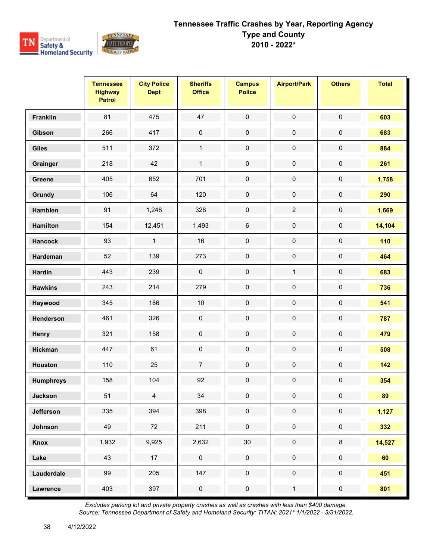

|                  | <b>Tennessee</b><br><b>Highway</b><br><b>Patrol</b> | <b>City Police</b><br><b>Dept</b> | <b>Sheriffs</b><br><b>Office</b> | <b>Campus</b><br><b>Police</b> | <b>Airport/Park</b> | <b>Others</b>       | <b>Total</b> |
|------------------|-----------------------------------------------------|-----------------------------------|----------------------------------|--------------------------------|---------------------|---------------------|--------------|
| <b>Franklin</b>  | 81                                                  | 475                               | 47                               | $\pmb{0}$                      | $\pmb{0}$           | $\pmb{0}$           | 603          |
| Gibson           | 266                                                 | 417                               | $\pmb{0}$                        | $\pmb{0}$                      | $\pmb{0}$           | $\pmb{0}$           | 683          |
| <b>Giles</b>     | 511                                                 | 372                               | $\mathbf{1}$                     | $\mathbf 0$                    | $\pmb{0}$           | $\pmb{0}$           | 884          |
| Grainger         | 218                                                 | 42                                | $\mathbf{1}$                     | $\mathbf 0$                    | $\pmb{0}$           | $\pmb{0}$           | 261          |
| Greene           | 405                                                 | 652                               | 701                              | $\pmb{0}$                      | $\pmb{0}$           | $\pmb{0}$           | 1,758        |
| Grundy           | 106                                                 | 64                                | 120                              | $\pmb{0}$                      | $\pmb{0}$           | $\pmb{0}$           | 290          |
| Hamblen          | 91                                                  | 1,248                             | 328                              | $\pmb{0}$                      | $\overline{2}$      | $\pmb{0}$           | 1,669        |
| <b>Hamilton</b>  | 154                                                 | 12,451                            | 1,493                            | $\,6\,$                        | $\pmb{0}$           | $\pmb{0}$           | 14,104       |
| <b>Hancock</b>   | 93                                                  | $\mathbf{1}$                      | 16                               | $\pmb{0}$                      | $\pmb{0}$           | $\pmb{0}$           | 110          |
| Hardeman         | 52                                                  | 139                               | 273                              | $\pmb{0}$                      | $\pmb{0}$           | $\pmb{0}$           | 464          |
| <b>Hardin</b>    | 443                                                 | 239                               | $\pmb{0}$                        | $\mathbf 0$                    | $\mathbf{1}$        | $\pmb{0}$           | 683          |
| <b>Hawkins</b>   | 243                                                 | 214                               | 279                              | $\pmb{0}$                      | $\pmb{0}$           | $\pmb{0}$           | 736          |
| Haywood          | 345                                                 | 186                               | $10$                             | $\pmb{0}$                      | $\pmb{0}$           | $\pmb{0}$           | 541          |
| Henderson        | 461                                                 | 326                               | $\pmb{0}$                        | $\pmb{0}$                      | $\pmb{0}$           | $\pmb{0}$           | 787          |
| Henry            | 321                                                 | 158                               | $\pmb{0}$                        | $\pmb{0}$                      | $\pmb{0}$           | $\pmb{0}$           | 479          |
| <b>Hickman</b>   | 447                                                 | 61                                | $\pmb{0}$                        | $\pmb{0}$                      | $\pmb{0}$           | $\pmb{0}$           | 508          |
| <b>Houston</b>   | 110                                                 | 25                                | $\overline{7}$                   | $\pmb{0}$                      | $\pmb{0}$           | $\pmb{0}$           | 142          |
| <b>Humphreys</b> | 158                                                 | 104                               | 92                               | $\pmb{0}$                      | $\pmb{0}$           | $\pmb{0}$           | 354          |
| <b>Jackson</b>   | 51                                                  | $\overline{4}$                    | 34                               | $\mathbf 0$                    | 0                   | 0                   | 89           |
| <b>Jefferson</b> | 335                                                 | 394                               | 398                              | $\pmb{0}$                      | $\mathsf{O}\xspace$ | $\pmb{0}$           | 1,127        |
| Johnson          | 49                                                  | 72                                | 211                              | $\mathsf{O}\xspace$            | $\mathbf 0$         | $\mathbf 0$         | 332          |
| Knox             | 1,932                                               | 9,925                             | 2,632                            | $30\,$                         | $\pmb{0}$           | $\bf 8$             | 14,527       |
| Lake             | 43                                                  | 17                                | $\mathsf{O}\xspace$              | $\mathbf 0$                    | $\mathbf 0$         | $\pmb{0}$           | 60           |
| Lauderdale       | 99                                                  | 205                               | 147                              | $\mathsf{O}\xspace$            | $\mathsf{O}\xspace$ | $\mathsf{O}\xspace$ | 451          |
| <b>Lawrence</b>  | 403                                                 | 397                               | $\pmb{0}$                        | $\pmb{0}$                      | $\mathbf{1}$        | $\pmb{0}$           | 801          |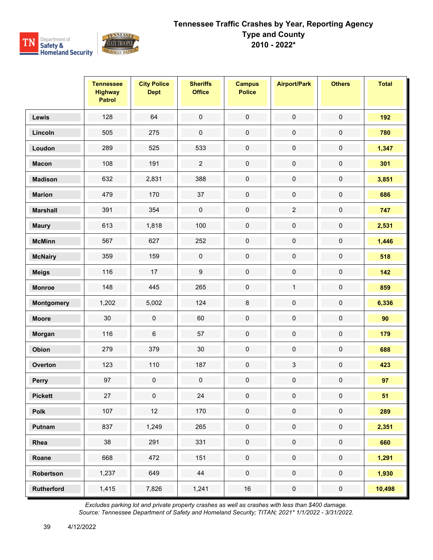

|                   | <b>Tennessee</b><br><b>Highway</b><br><b>Patrol</b> | <b>City Police</b><br><b>Dept</b> | <b>Sheriffs</b><br><b>Office</b> | <b>Campus</b><br><b>Police</b> | <b>Airport/Park</b> | <b>Others</b>       | <b>Total</b> |
|-------------------|-----------------------------------------------------|-----------------------------------|----------------------------------|--------------------------------|---------------------|---------------------|--------------|
| Lewis             | 128                                                 | 64                                | $\mathbf 0$                      | $\mathbf 0$                    | $\pmb{0}$           | $\mathbf 0$         | 192          |
| Lincoln           | 505                                                 | 275                               | $\pmb{0}$                        | $\pmb{0}$                      | $\pmb{0}$           | $\pmb{0}$           | 780          |
| Loudon            | 289                                                 | 525                               | 533                              | $\mathbf 0$                    | $\pmb{0}$           | $\pmb{0}$           | 1,347        |
| <b>Macon</b>      | 108                                                 | 191                               | $\overline{2}$                   | $\mathbf 0$                    | $\pmb{0}$           | $\pmb{0}$           | 301          |
| <b>Madison</b>    | 632                                                 | 2,831                             | 388                              | $\pmb{0}$                      | $\pmb{0}$           | $\pmb{0}$           | 3,851        |
| <b>Marion</b>     | 479                                                 | 170                               | 37                               | $\pmb{0}$                      | $\pmb{0}$           | $\pmb{0}$           | 686          |
| <b>Marshall</b>   | 391                                                 | 354                               | $\pmb{0}$                        | $\pmb{0}$                      | $\overline{2}$      | $\pmb{0}$           | 747          |
| <b>Maury</b>      | 613                                                 | 1,818                             | 100                              | $\pmb{0}$                      | $\pmb{0}$           | $\pmb{0}$           | 2,531        |
| <b>McMinn</b>     | 567                                                 | 627                               | 252                              | $\pmb{0}$                      | $\pmb{0}$           | $\pmb{0}$           | 1,446        |
| <b>McNairy</b>    | 359                                                 | 159                               | $\pmb{0}$                        | $\pmb{0}$                      | $\pmb{0}$           | $\pmb{0}$           | 518          |
| <b>Meigs</b>      | 116                                                 | 17                                | $\boldsymbol{9}$                 | $\pmb{0}$                      | $\pmb{0}$           | $\pmb{0}$           | 142          |
| <b>Monroe</b>     | 148                                                 | 445                               | 265                              | $\pmb{0}$                      | $\mathbf{1}$        | $\pmb{0}$           | 859          |
| Montgomery        | 1,202                                               | 5,002                             | 124                              | $\bf 8$                        | $\pmb{0}$           | $\pmb{0}$           | 6,336        |
| <b>Moore</b>      | 30                                                  | $\pmb{0}$                         | 60                               | $\pmb{0}$                      | $\pmb{0}$           | $\pmb{0}$           | 90           |
| Morgan            | 116                                                 | 6                                 | 57                               | $\pmb{0}$                      | $\pmb{0}$           | $\pmb{0}$           | 179          |
| Obion             | 279                                                 | 379                               | $30\,$                           | $\pmb{0}$                      | $\pmb{0}$           | $\pmb{0}$           | 688          |
| Overton           | 123                                                 | 110                               | 187                              | $\pmb{0}$                      | $\mathfrak{Z}$      | $\pmb{0}$           | 423          |
| Perry             | 97                                                  | $\pmb{0}$                         | $\pmb{0}$                        | $\pmb{0}$                      | $\mathbf 0$         | $\pmb{0}$           | 97           |
| <b>Pickett</b>    | 27                                                  | 0                                 | 24                               | $\mathbf 0$                    | 0                   | 0                   | 51           |
| Polk              | 107                                                 | 12                                | 170                              | $\pmb{0}$                      | $\pmb{0}$           | $\pmb{0}$           | 289          |
| Putnam            | 837                                                 | 1,249                             | 265                              | $\mathsf{O}\xspace$            | $\pmb{0}$           | $\mathsf{O}\xspace$ | 2,351        |
| Rhea              | $38\,$                                              | 291                               | 331                              | $\pmb{0}$                      | $\pmb{0}$           | $\pmb{0}$           | 660          |
| Roane             | 668                                                 | 472                               | 151                              | $\mathbf 0$                    | $\mathbf 0$         | $\pmb{0}$           | 1,291        |
| Robertson         | 1,237                                               | 649                               | 44                               | $\mathsf{O}\xspace$            | $\mathsf{O}\xspace$ | $\mathsf{O}\xspace$ | 1,930        |
| <b>Rutherford</b> | 1,415                                               | 7,826                             | 1,241                            | $16\,$                         | $\pmb{0}$           | $\pmb{0}$           | 10,498       |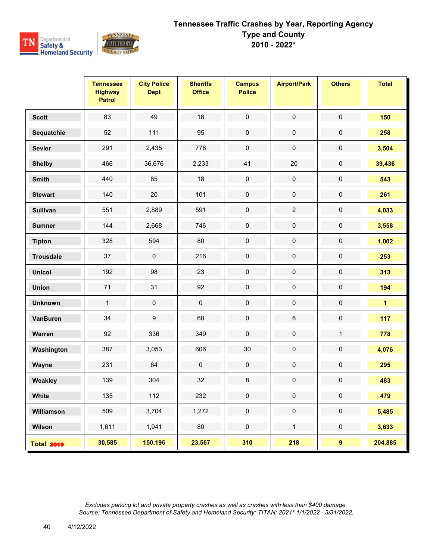

|                   | <b>Tennessee</b><br><b>Highway</b><br><b>Patrol</b> | <b>City Police</b><br><b>Dept</b> | <b>Sheriffs</b><br><b>Office</b> | <b>Campus</b><br><b>Police</b> | <b>Airport/Park</b> | <b>Others</b>       | <b>Total</b> |
|-------------------|-----------------------------------------------------|-----------------------------------|----------------------------------|--------------------------------|---------------------|---------------------|--------------|
| <b>Scott</b>      | 83                                                  | 49                                | 18                               | $\pmb{0}$                      | $\pmb{0}$           | $\pmb{0}$           | 150          |
| Sequatchie        | 52                                                  | 111                               | 95                               | $\pmb{0}$                      | $\pmb{0}$           | $\pmb{0}$           | 258          |
| <b>Sevier</b>     | 291                                                 | 2,435                             | 778                              | $\pmb{0}$                      | $\pmb{0}$           | $\pmb{0}$           | 3,504        |
| <b>Shelby</b>     | 466                                                 | 36,676                            | 2,233                            | 41                             | $20\,$              | $\mathsf{O}\xspace$ | 39,436       |
| <b>Smith</b>      | 440                                                 | 85                                | 18                               | $\pmb{0}$                      | $\pmb{0}$           | $\pmb{0}$           | 543          |
| <b>Stewart</b>    | 140                                                 | 20                                | 101                              | $\pmb{0}$                      | $\pmb{0}$           | 0                   | 261          |
| <b>Sullivan</b>   | 551                                                 | 2,889                             | 591                              | $\mathbf 0$                    | $\overline{2}$      | $\mathsf{O}\xspace$ | 4,033        |
| <b>Sumner</b>     | 144                                                 | 2,668                             | 746                              | $\pmb{0}$                      | $\pmb{0}$           | $\pmb{0}$           | 3,558        |
| <b>Tipton</b>     | 328                                                 | 594                               | 80                               | $\pmb{0}$                      | $\pmb{0}$           | 0                   | 1,002        |
| <b>Trousdale</b>  | 37                                                  | $\pmb{0}$                         | 216                              | $\mathbf 0$                    | $\pmb{0}$           | $\pmb{0}$           | 253          |
| <b>Unicoi</b>     | 192                                                 | 98                                | 23                               | $\pmb{0}$                      | $\pmb{0}$           | $\pmb{0}$           | 313          |
| <b>Union</b>      | 71                                                  | 31                                | 92                               | $\pmb{0}$                      | $\pmb{0}$           | $\pmb{0}$           | 194          |
| <b>Unknown</b>    | $\mathbf{1}$                                        | $\pmb{0}$                         | $\pmb{0}$                        | $\pmb{0}$                      | $\pmb{0}$           | $\pmb{0}$           | $\mathbf{1}$ |
| <b>VanBuren</b>   | 34                                                  | 9                                 | 68                               | $\pmb{0}$                      | $\,6\,$             | 0                   | 117          |
| Warren            | 92                                                  | 336                               | 349                              | $\pmb{0}$                      | $\pmb{0}$           | $\mathbf{1}$        | 778          |
| Washington        | 387                                                 | 3,053                             | 606                              | $30\,$                         | $\pmb{0}$           | $\pmb{0}$           | 4,076        |
| Wayne             | 231                                                 | 64                                | $\mathbf 0$                      | $\mathbf 0$                    | $\pmb{0}$           | $\pmb{0}$           | 295          |
| Weakley           | 139                                                 | 304                               | 32                               | $\bf 8$                        | $\pmb{0}$           | $\pmb{0}$           | 483          |
| <b>White</b>      | 135                                                 | 112                               | 232                              | 0                              | 0                   | 0                   | 479          |
| Williamson        | 509                                                 | 3,704                             | 1,272                            | $\mathbf 0$                    | $\mathsf{O}\xspace$ | $\pmb{0}$           | 5,485        |
| Wilson            | 1,611                                               | 1,941                             | 80                               | $\mathbf 0$                    | $\mathbf{1}$        | $\mathbf 0$         | 3,633        |
| <b>Total 2019</b> | 30,585                                              | 150,196                           | 23,567                           | 310                            | 218                 | 9 <sup>°</sup>      | 204,885      |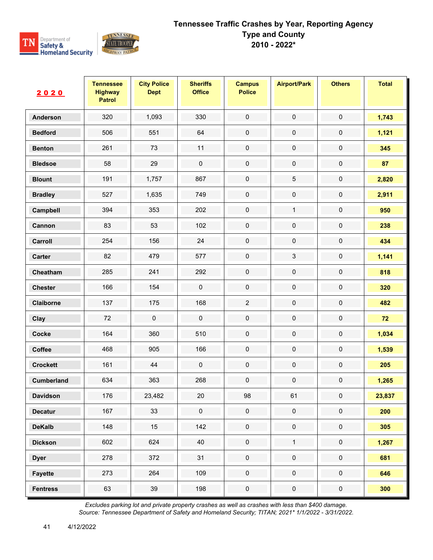

| 2020              | <b>Tennessee</b><br><b>Highway</b><br><b>Patrol</b> | <b>City Police</b><br><b>Dept</b> | <b>Sheriffs</b><br><b>Office</b> | <b>Campus</b><br><b>Police</b> | <b>Airport/Park</b> | <b>Others</b> | <b>Total</b> |
|-------------------|-----------------------------------------------------|-----------------------------------|----------------------------------|--------------------------------|---------------------|---------------|--------------|
| Anderson          | 320                                                 | 1,093                             | 330                              | $\mathsf{O}\xspace$            | $\pmb{0}$           | $\mathbf 0$   | 1,743        |
| <b>Bedford</b>    | 506                                                 | 551                               | 64                               | $\pmb{0}$                      | $\pmb{0}$           | $\pmb{0}$     | 1,121        |
| <b>Benton</b>     | 261                                                 | 73                                | 11                               | $\pmb{0}$                      | $\mathbf 0$         | $\pmb{0}$     | 345          |
| <b>Bledsoe</b>    | 58                                                  | 29                                | $\pmb{0}$                        | $\mathbf 0$                    | $\pmb{0}$           | $\mathbf 0$   | 87           |
| <b>Blount</b>     | 191                                                 | 1,757                             | 867                              | $\pmb{0}$                      | $\mathbf 5$         | 0             | 2,820        |
| <b>Bradley</b>    | 527                                                 | 1,635                             | 749                              | $\pmb{0}$                      | $\pmb{0}$           | $\pmb{0}$     | 2,911        |
| Campbell          | 394                                                 | 353                               | 202                              | $\mathbf 0$                    | $\mathbf{1}$        | $\pmb{0}$     | 950          |
| Cannon            | 83                                                  | 53                                | 102                              | $\pmb{0}$                      | $\pmb{0}$           | 0             | 238          |
| Carroll           | 254                                                 | 156                               | 24                               | $\pmb{0}$                      | $\pmb{0}$           | $\pmb{0}$     | 434          |
| Carter            | 82                                                  | 479                               | 577                              | $\mathbf 0$                    | $\sqrt{3}$          | $\pmb{0}$     | 1,141        |
| Cheatham          | 285                                                 | 241                               | 292                              | $\mathbf 0$                    | $\pmb{0}$           | $\pmb{0}$     | 818          |
| <b>Chester</b>    | 166                                                 | 154                               | $\pmb{0}$                        | $\pmb{0}$                      | $\pmb{0}$           | $\pmb{0}$     | 320          |
| Claiborne         | 137                                                 | 175                               | 168                              | $\sqrt{2}$                     | $\pmb{0}$           | $\pmb{0}$     | 482          |
| Clay              | 72                                                  | $\pmb{0}$                         | $\pmb{0}$                        | $\mathbf 0$                    | $\pmb{0}$           | $\pmb{0}$     | 72           |
| Cocke             | 164                                                 | 360                               | 510                              | $\pmb{0}$                      | $\pmb{0}$           | $\pmb{0}$     | 1,034        |
| Coffee            | 468                                                 | 905                               | 166                              | $\pmb{0}$                      | $\pmb{0}$           | $\pmb{0}$     | 1,539        |
| <b>Crockett</b>   | 161                                                 | 44                                | $\pmb{0}$                        | $\mathbf 0$                    | $\pmb{0}$           | $\pmb{0}$     | 205          |
| <b>Cumberland</b> | 634                                                 | 363                               | 268                              | $\pmb{0}$                      | $\pmb{0}$           | $\pmb{0}$     | 1,265        |
| <b>Davidson</b>   | 176                                                 | 23,482                            | 20                               | 98                             | 61                  | 0             | 23,837       |
| <b>Decatur</b>    | 167                                                 | 33                                | $\mathsf{O}\xspace$              | $\mathbf 0$                    | $\mathbf 0$         | $\pmb{0}$     | 200          |
| <b>DeKalb</b>     | 148                                                 | 15                                | 142                              | $\pmb{0}$                      | $\mathbf 0$         | $\pmb{0}$     | 305          |
| <b>Dickson</b>    | 602                                                 | 624                               | 40                               | $\pmb{0}$                      | $\mathbf{1}$        | $\pmb{0}$     | 1,267        |
| <b>Dyer</b>       | 278                                                 | 372                               | 31                               | $\mathbf 0$                    | $\mathsf{O}\xspace$ | $\mathbf 0$   | 681          |
| <b>Fayette</b>    | 273                                                 | 264                               | 109                              | $\mathbf 0$                    | $\mathbf 0$         | $\pmb{0}$     | 646          |
| <b>Fentress</b>   | 63                                                  | 39                                | 198                              | $\pmb{0}$                      | $\pmb{0}$           | $\pmb{0}$     | 300          |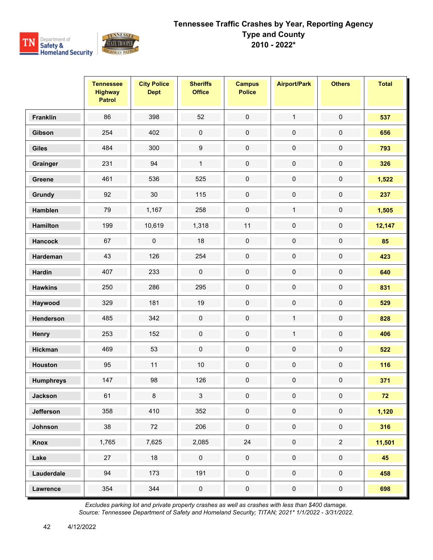

|                  | <b>Tennessee</b><br><b>Highway</b><br><b>Patrol</b> | <b>City Police</b><br><b>Dept</b> | <b>Sheriffs</b><br><b>Office</b> | <b>Campus</b><br><b>Police</b> | <b>Airport/Park</b> | <b>Others</b>       | <b>Total</b> |
|------------------|-----------------------------------------------------|-----------------------------------|----------------------------------|--------------------------------|---------------------|---------------------|--------------|
| <b>Franklin</b>  | 86                                                  | 398                               | 52                               | $\mathbf 0$                    | $\mathbf{1}$        | $\pmb{0}$           | 537          |
| Gibson           | 254                                                 | 402                               | $\pmb{0}$                        | $\pmb{0}$                      | $\pmb{0}$           | $\pmb{0}$           | 656          |
| <b>Giles</b>     | 484                                                 | 300                               | $\boldsymbol{9}$                 | $\mathbf 0$                    | $\pmb{0}$           | $\pmb{0}$           | 793          |
| Grainger         | 231                                                 | 94                                | $\mathbf{1}$                     | $\mathbf 0$                    | $\pmb{0}$           | $\mathsf{O}\xspace$ | 326          |
| Greene           | 461                                                 | 536                               | 525                              | $\pmb{0}$                      | $\pmb{0}$           | $\pmb{0}$           | 1,522        |
| Grundy           | 92                                                  | 30                                | 115                              | $\pmb{0}$                      | $\pmb{0}$           | $\pmb{0}$           | 237          |
| Hamblen          | 79                                                  | 1,167                             | 258                              | $\pmb{0}$                      | $\mathbf{1}$        | $\pmb{0}$           | 1,505        |
| <b>Hamilton</b>  | 199                                                 | 10,619                            | 1,318                            | 11                             | $\pmb{0}$           | $\pmb{0}$           | 12,147       |
| <b>Hancock</b>   | 67                                                  | $\mathsf 0$                       | 18                               | $\pmb{0}$                      | $\pmb{0}$           | $\pmb{0}$           | 85           |
| Hardeman         | 43                                                  | 126                               | 254                              | $\pmb{0}$                      | $\pmb{0}$           | $\pmb{0}$           | 423          |
| <b>Hardin</b>    | 407                                                 | 233                               | $\pmb{0}$                        | $\mathbf 0$                    | $\pmb{0}$           | $\pmb{0}$           | 640          |
| <b>Hawkins</b>   | 250                                                 | 286                               | 295                              | $\pmb{0}$                      | $\pmb{0}$           | $\pmb{0}$           | 831          |
| Haywood          | 329                                                 | 181                               | 19                               | $\pmb{0}$                      | $\pmb{0}$           | $\pmb{0}$           | 529          |
| Henderson        | 485                                                 | 342                               | $\pmb{0}$                        | $\pmb{0}$                      | $\mathbf{1}$        | $\pmb{0}$           | 828          |
| Henry            | 253                                                 | 152                               | $\pmb{0}$                        | $\pmb{0}$                      | $\mathbf{1}$        | $\pmb{0}$           | 406          |
| <b>Hickman</b>   | 469                                                 | 53                                | $\pmb{0}$                        | $\pmb{0}$                      | $\pmb{0}$           | $\pmb{0}$           | 522          |
| <b>Houston</b>   | 95                                                  | 11                                | $10$                             | $\pmb{0}$                      | $\pmb{0}$           | $\pmb{0}$           | 116          |
| <b>Humphreys</b> | 147                                                 | 98                                | 126                              | $\pmb{0}$                      | $\pmb{0}$           | $\pmb{0}$           | 371          |
| <b>Jackson</b>   | 61                                                  | 8                                 | 3                                | $\mathbf 0$                    | 0                   | 0                   | 72           |
| <b>Jefferson</b> | 358                                                 | 410                               | 352                              | $\mathbf 0$                    | $\mathbf 0$         | $\pmb{0}$           | 1,120        |
| Johnson          | 38                                                  | 72                                | 206                              | $\mathsf{O}\xspace$            | $\mathbf 0$         | $\pmb{0}$           | 316          |
| Knox             | 1,765                                               | 7,625                             | 2,085                            | 24                             | $\pmb{0}$           | $\overline{2}$      | 11,501       |
| Lake             | 27                                                  | 18                                | $\mathsf{O}\xspace$              | $\pmb{0}$                      | $\mathbf 0$         | $\pmb{0}$           | 45           |
| Lauderdale       | 94                                                  | 173                               | 191                              | $\pmb{0}$                      | $\mathsf{O}\xspace$ | $\mathsf{O}\xspace$ | 458          |
| <b>Lawrence</b>  | 354                                                 | 344                               | $\pmb{0}$                        | $\pmb{0}$                      | $\pmb{0}$           | $\pmb{0}$           | 698          |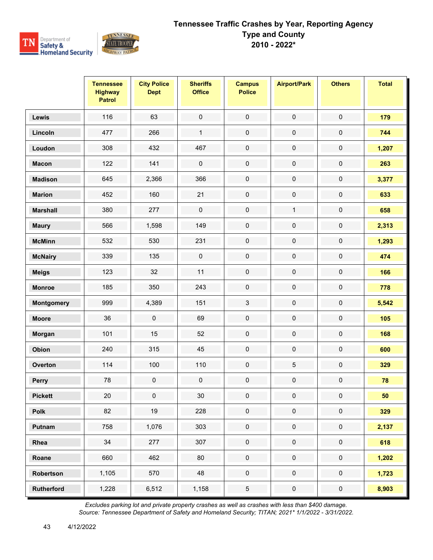

|                   | <b>Tennessee</b><br><b>Highway</b><br><b>Patrol</b> | <b>City Police</b><br><b>Dept</b> | <b>Sheriffs</b><br><b>Office</b> | <b>Campus</b><br><b>Police</b> | <b>Airport/Park</b> | <b>Others</b>       | <b>Total</b> |
|-------------------|-----------------------------------------------------|-----------------------------------|----------------------------------|--------------------------------|---------------------|---------------------|--------------|
| Lewis             | 116                                                 | 63                                | $\mathbf 0$                      | $\mathbf 0$                    | $\pmb{0}$           | $\mathbf 0$         | 179          |
| Lincoln           | 477                                                 | 266                               | $\mathbf{1}$                     | $\pmb{0}$                      | $\pmb{0}$           | $\pmb{0}$           | 744          |
| Loudon            | 308                                                 | 432                               | 467                              | $\mathbf 0$                    | $\pmb{0}$           | $\pmb{0}$           | 1,207        |
| <b>Macon</b>      | 122                                                 | 141                               | $\pmb{0}$                        | $\mathbf 0$                    | $\pmb{0}$           | $\pmb{0}$           | 263          |
| <b>Madison</b>    | 645                                                 | 2,366                             | 366                              | $\pmb{0}$                      | $\pmb{0}$           | $\pmb{0}$           | 3,377        |
| <b>Marion</b>     | 452                                                 | 160                               | 21                               | $\pmb{0}$                      | $\pmb{0}$           | $\pmb{0}$           | 633          |
| <b>Marshall</b>   | 380                                                 | 277                               | $\pmb{0}$                        | $\pmb{0}$                      | $\mathbf{1}$        | $\pmb{0}$           | 658          |
| <b>Maury</b>      | 566                                                 | 1,598                             | 149                              | $\pmb{0}$                      | $\pmb{0}$           | $\pmb{0}$           | 2,313        |
| <b>McMinn</b>     | 532                                                 | 530                               | 231                              | $\pmb{0}$                      | $\pmb{0}$           | $\pmb{0}$           | 1,293        |
| <b>McNairy</b>    | 339                                                 | 135                               | $\pmb{0}$                        | $\pmb{0}$                      | $\pmb{0}$           | $\pmb{0}$           | 474          |
| <b>Meigs</b>      | 123                                                 | 32                                | 11                               | $\pmb{0}$                      | $\pmb{0}$           | $\pmb{0}$           | 166          |
| <b>Monroe</b>     | 185                                                 | 350                               | 243                              | $\pmb{0}$                      | $\pmb{0}$           | $\pmb{0}$           | 778          |
| Montgomery        | 999                                                 | 4,389                             | 151                              | $\mathfrak{S}$                 | $\pmb{0}$           | $\pmb{0}$           | 5,542        |
| <b>Moore</b>      | 36                                                  | $\pmb{0}$                         | 69                               | $\pmb{0}$                      | $\pmb{0}$           | $\pmb{0}$           | 105          |
| Morgan            | 101                                                 | 15                                | 52                               | $\pmb{0}$                      | $\pmb{0}$           | $\pmb{0}$           | 168          |
| Obion             | 240                                                 | 315                               | 45                               | $\pmb{0}$                      | $\pmb{0}$           | $\pmb{0}$           | 600          |
| Overton           | 114                                                 | 100                               | 110                              | $\pmb{0}$                      | $\mathbf 5$         | $\pmb{0}$           | 329          |
| Perry             | 78                                                  | $\pmb{0}$                         | $\pmb{0}$                        | $\pmb{0}$                      | $\pmb{0}$           | $\pmb{0}$           | 78           |
| <b>Pickett</b>    | $20\,$                                              | 0                                 | 30                               | $\mathbf 0$                    | 0                   | 0                   | 50           |
| Polk              | 82                                                  | 19                                | 228                              | $\pmb{0}$                      | $\pmb{0}$           | $\pmb{0}$           | 329          |
| Putnam            | 758                                                 | 1,076                             | 303                              | $\mathbf 0$                    | $\pmb{0}$           | $\mathsf{O}\xspace$ | 2,137        |
| Rhea              | 34                                                  | 277                               | 307                              | $\pmb{0}$                      | $\pmb{0}$           | $\pmb{0}$           | 618          |
| Roane             | 660                                                 | 462                               | 80                               | $\mathbf 0$                    | $\mathbf 0$         | $\pmb{0}$           | 1,202        |
| Robertson         | 1,105                                               | 570                               | 48                               | $\mathsf{O}\xspace$            | $\mathsf{O}\xspace$ | $\mathsf{O}\xspace$ | 1,723        |
| <b>Rutherford</b> | 1,228                                               | 6,512                             | 1,158                            | $\sqrt{5}$                     | $\pmb{0}$           | $\pmb{0}$           | 8,903        |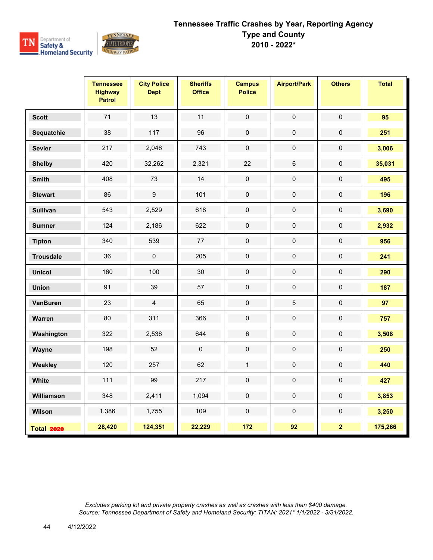

|                   | <b>Tennessee</b><br><b>Highway</b><br><b>Patrol</b> | <b>City Police</b><br><b>Dept</b> | <b>Sheriffs</b><br><b>Office</b> | <b>Campus</b><br><b>Police</b> | <b>Airport/Park</b> | <b>Others</b>           | <b>Total</b> |
|-------------------|-----------------------------------------------------|-----------------------------------|----------------------------------|--------------------------------|---------------------|-------------------------|--------------|
| <b>Scott</b>      | 71                                                  | 13                                | 11                               | $\mathbf 0$                    | $\mathbf 0$         | $\mathbf 0$             | 95           |
| Sequatchie        | 38                                                  | 117                               | 96                               | $\mathbf 0$                    | $\pmb{0}$           | $\mathbf 0$             | 251          |
| <b>Sevier</b>     | 217                                                 | 2,046                             | 743                              | $\pmb{0}$                      | $\mathbf 0$         | $\mathbf 0$             | 3,006        |
| <b>Shelby</b>     | 420                                                 | 32,262                            | 2,321                            | 22                             | $\,6\,$             | $\mathsf 0$             | 35,031       |
| <b>Smith</b>      | 408                                                 | 73                                | 14                               | $\pmb{0}$                      | $\pmb{0}$           | $\pmb{0}$               | 495          |
| <b>Stewart</b>    | 86                                                  | $\boldsymbol{9}$                  | 101                              | $\mathbf 0$                    | $\mathbf 0$         | $\pmb{0}$               | 196          |
| <b>Sullivan</b>   | 543                                                 | 2,529                             | 618                              | $\pmb{0}$                      | $\pmb{0}$           | 0                       | 3,690        |
| <b>Sumner</b>     | 124                                                 | 2,186                             | 622                              | $\pmb{0}$                      | $\pmb{0}$           | 0                       | 2,932        |
| <b>Tipton</b>     | 340                                                 | 539                               | 77                               | $\pmb{0}$                      | $\pmb{0}$           | $\pmb{0}$               | 956          |
| <b>Trousdale</b>  | 36                                                  | $\mathsf 0$                       | 205                              | $\mathbf 0$                    | $\pmb{0}$           | $\pmb{0}$               | 241          |
| <b>Unicoi</b>     | 160                                                 | 100                               | 30                               | $\pmb{0}$                      | $\pmb{0}$           | $\pmb{0}$               | 290          |
| <b>Union</b>      | 91                                                  | 39                                | 57                               | $\pmb{0}$                      | $\pmb{0}$           | $\pmb{0}$               | 187          |
| <b>VanBuren</b>   | 23                                                  | $\overline{\mathbf{4}}$           | 65                               | $\pmb{0}$                      | $\mathbf 5$         | $\mathsf 0$             | 97           |
| Warren            | 80                                                  | 311                               | 366                              | $\pmb{0}$                      | $\pmb{0}$           | $\pmb{0}$               | 757          |
| Washington        | 322                                                 | 2,536                             | 644                              | $6\phantom{a}$                 | $\pmb{0}$           | $\mathbf 0$             | 3,508        |
| Wayne             | 198                                                 | 52                                | $\pmb{0}$                        | $\mathbf 0$                    | $\mathbf 0$         | $\pmb{0}$               | 250          |
| Weakley           | 120                                                 | 257                               | 62                               | $\mathbf{1}$                   | $\pmb{0}$           | 0                       | 440          |
| White             | 111                                                 | 99                                | 217                              | $\pmb{0}$                      | $\pmb{0}$           | $\pmb{0}$               | 427          |
| Williamson        | 348                                                 | 2,411                             | 1,094                            | $\mathbf 0$                    | $\mathbf 0$         | $\pmb{0}$               | 3,853        |
| Wilson            | 1,386                                               | 1,755                             | 109                              | $\mathbf 0$                    | $\mathbf 0$         | $\pmb{0}$               | 3,250        |
| <b>Total 2020</b> | 28,420                                              | 124,351                           | 22,229                           | 172                            | 92                  | $\overline{\mathbf{2}}$ | 175,266      |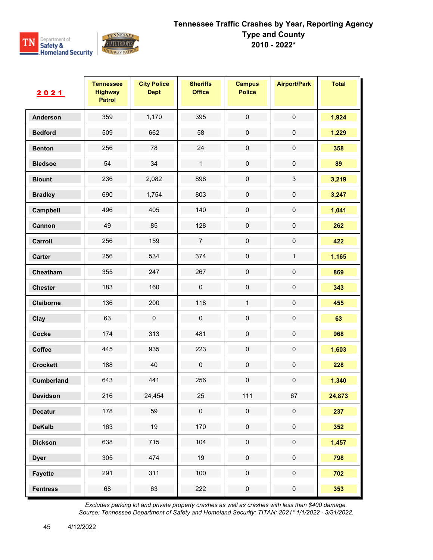

| 2021            | <b>Tennessee</b><br><b>Highway</b><br><b>Patrol</b> | <b>City Police</b><br><b>Dept</b> | <b>Sheriffs</b><br><b>Office</b> | <b>Campus</b><br><b>Police</b> | <b>Airport/Park</b> | <b>Total</b> |
|-----------------|-----------------------------------------------------|-----------------------------------|----------------------------------|--------------------------------|---------------------|--------------|
| <b>Anderson</b> | 359                                                 | 1,170                             | 395                              | $\pmb{0}$                      | $\pmb{0}$           | 1,924        |
| <b>Bedford</b>  | 509                                                 | 662                               | 58                               | $\pmb{0}$                      | $\pmb{0}$           | 1,229        |
| <b>Benton</b>   | 256                                                 | 78                                | 24                               | $\pmb{0}$                      | $\pmb{0}$           | 358          |
| <b>Bledsoe</b>  | 54                                                  | 34                                | $\mathbf{1}$                     | $\pmb{0}$                      | $\pmb{0}$           | 89           |
| <b>Blount</b>   | 236                                                 | 2,082                             | 898                              | $\pmb{0}$                      | $\sqrt{3}$          | 3,219        |
| <b>Bradley</b>  | 690                                                 | 1,754                             | 803                              | $\pmb{0}$                      | $\pmb{0}$           | 3,247        |
| Campbell        | 496                                                 | 405                               | 140                              | $\pmb{0}$                      | $\pmb{0}$           | 1,041        |
| Cannon          | 49                                                  | 85                                | 128                              | $\pmb{0}$                      | $\mathsf{O}\xspace$ | 262          |
| Carroll         | 256                                                 | 159                               | $\overline{7}$                   | $\pmb{0}$                      | $\pmb{0}$           | 422          |
| Carter          | 256                                                 | 534                               | 374                              | $\pmb{0}$                      | $\mathbf{1}$        | 1,165        |
| Cheatham        | 355                                                 | 247                               | 267                              | $\pmb{0}$                      | $\mathbf 0$         | 869          |
| <b>Chester</b>  | 183                                                 | 160                               | $\pmb{0}$                        | $\pmb{0}$                      | $\pmb{0}$           | 343          |
| Claiborne       | 136                                                 | 200                               | 118                              | $\mathbf{1}$                   | $\pmb{0}$           | 455          |
| Clay            | 63                                                  | $\pmb{0}$                         | $\mathbf 0$                      | $\pmb{0}$                      | $\mathbf 0$         | 63           |
| Cocke           | 174                                                 | 313                               | 481                              | $\pmb{0}$                      | $\pmb{0}$           | 968          |
| Coffee          | 445                                                 | 935                               | 223                              | $\pmb{0}$                      | $\pmb{0}$           | 1,603        |
| <b>Crockett</b> | 188                                                 | 40                                | $\mathbf 0$                      | $\pmb{0}$                      | $\mathbf 0$         | 228          |
| Cumberland      | 643                                                 | 441                               | 256                              | $\pmb{0}$                      | $\mathbf 0$         | 1,340        |
| <b>Davidson</b> | 216                                                 | 24,454                            | 25                               | 111                            | 67                  | 24,873       |
| <b>Decatur</b>  | 178                                                 | 59                                | $\pmb{0}$                        | $\mathsf{O}\xspace$            | $\pmb{0}$           | 237          |
| <b>DeKalb</b>   | 163                                                 | 19                                | 170                              | $\pmb{0}$                      | $\pmb{0}$           | 352          |
| <b>Dickson</b>  | 638                                                 | 715                               | 104                              | $\mathsf{O}\xspace$            | $\pmb{0}$           | 1,457        |
| <b>Dyer</b>     | 305                                                 | 474                               | 19                               | $\pmb{0}$                      | $\pmb{0}$           | 798          |
| <b>Fayette</b>  | 291                                                 | 311                               | 100                              | $\pmb{0}$                      | $\pmb{0}$           | 702          |
| <b>Fentress</b> | 68                                                  | 63                                | 222                              | $\mathbf 0$                    | $\pmb{0}$           | 353          |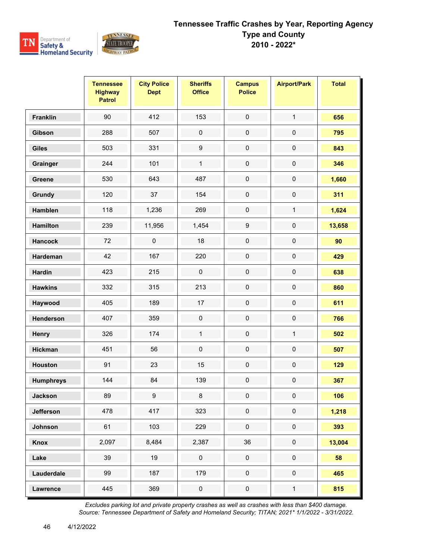

|                  | <b>Tennessee</b><br><b>Highway</b><br><b>Patrol</b> | <b>City Police</b><br><b>Dept</b> | <b>Sheriffs</b><br><b>Office</b> | <b>Campus</b><br><b>Police</b> | <b>Airport/Park</b> | <b>Total</b> |
|------------------|-----------------------------------------------------|-----------------------------------|----------------------------------|--------------------------------|---------------------|--------------|
| Franklin         | 90                                                  | 412                               | 153                              | $\pmb{0}$                      | $\mathbf{1}$        | 656          |
| Gibson           | 288                                                 | 507                               | $\pmb{0}$                        | $\pmb{0}$                      | $\pmb{0}$           | 795          |
| <b>Giles</b>     | 503                                                 | 331                               | $\boldsymbol{9}$                 | $\mathsf{O}\xspace$            | $\mathbf 0$         | 843          |
| Grainger         | 244                                                 | 101                               | $\mathbf{1}$                     | $\pmb{0}$                      | $\mathsf{O}\xspace$ | 346          |
| Greene           | 530                                                 | 643                               | 487                              | $\pmb{0}$                      | $\mathbf 0$         | 1,660        |
| Grundy           | 120                                                 | 37                                | 154                              | $\mathsf 0$                    | $\mathsf{O}\xspace$ | 311          |
| Hamblen          | 118                                                 | 1,236                             | 269                              | $\pmb{0}$                      | $\mathbf{1}$        | 1,624        |
| <b>Hamilton</b>  | 239                                                 | 11,956                            | 1,454                            | $\boldsymbol{9}$               | $\mathbf 0$         | 13,658       |
| <b>Hancock</b>   | 72                                                  | $\mathbf 0$                       | 18                               | $\mathbf 0$                    | $\mathbf 0$         | 90           |
| Hardeman         | 42                                                  | 167                               | 220                              | $\pmb{0}$                      | $\mathsf{O}\xspace$ | 429          |
| <b>Hardin</b>    | 423                                                 | 215                               | $\pmb{0}$                        | $\pmb{0}$                      | $\pmb{0}$           | 638          |
| <b>Hawkins</b>   | 332                                                 | 315                               | 213                              | $\pmb{0}$                      | $\mathbf 0$         | 860          |
| Haywood          | 405                                                 | 189                               | 17                               | $\pmb{0}$                      | $\mathsf{O}\xspace$ | 611          |
| Henderson        | 407                                                 | 359                               | $\pmb{0}$                        | $\pmb{0}$                      | $\pmb{0}$           | 766          |
| Henry            | 326                                                 | 174                               | $\mathbf{1}$                     | $\mathbf 0$                    | $\mathbf{1}$        | 502          |
| Hickman          | 451                                                 | 56                                | $\pmb{0}$                        | $\pmb{0}$                      | $\pmb{0}$           | 507          |
| <b>Houston</b>   | 91                                                  | 23                                | 15                               | $\pmb{0}$                      | $\pmb{0}$           | 129          |
| <b>Humphreys</b> | 144                                                 | 84                                | 139                              | $\mathbf 0$                    | $\mathbf 0$         | 367          |
| Jackson          | 89                                                  | $\boldsymbol{9}$                  | $\bf8$                           | 0                              | $\pmb{0}$           | 106          |
| Jefferson        | 478                                                 | 417                               | 323                              | $\mathsf{O}\xspace$            | $\mathsf{O}\xspace$ | 1,218        |
| Johnson          | 61                                                  | 103                               | 229                              | $\pmb{0}$                      | $\pmb{0}$           | 393          |
| Knox             | 2,097                                               | 8,484                             | 2,387                            | $36\,$                         | $\pmb{0}$           | 13,004       |
| Lake             | 39                                                  | 19                                | $\pmb{0}$                        | $\pmb{0}$                      | $\pmb{0}$           | 58           |
| Lauderdale       | 99                                                  | 187                               | 179                              | $\pmb{0}$                      | $\pmb{0}$           | 465          |
| Lawrence         | 445                                                 | 369                               | $\pmb{0}$                        | $\pmb{0}$                      | $\mathbf{1}$        | 815          |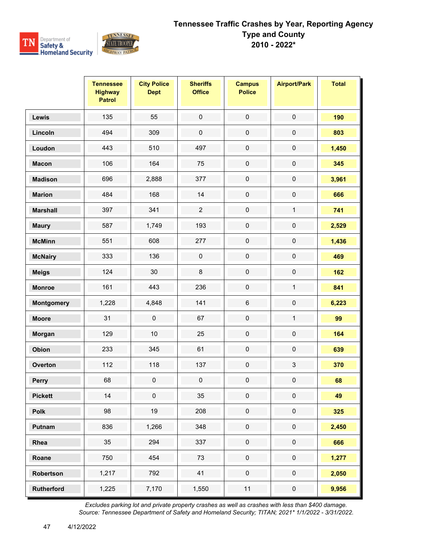

|                   | <b>Tennessee</b><br><b>Highway</b><br><b>Patrol</b> | <b>City Police</b><br><b>Dept</b> | <b>Sheriffs</b><br><b>Office</b> | <b>Campus</b><br><b>Police</b> | <b>Airport/Park</b> | <b>Total</b> |
|-------------------|-----------------------------------------------------|-----------------------------------|----------------------------------|--------------------------------|---------------------|--------------|
| Lewis             | 135                                                 | 55                                | $\mathsf{O}\xspace$              | $\mathbf 0$                    | $\mathsf{O}\xspace$ | 190          |
| Lincoln           | 494                                                 | 309                               | $\pmb{0}$                        | $\pmb{0}$                      | $\pmb{0}$           | 803          |
| Loudon            | 443                                                 | 510                               | 497                              | $\mathbf 0$                    | $\mathbf 0$         | 1,450        |
| <b>Macon</b>      | 106                                                 | 164                               | 75                               | $\mathbf 0$                    | $\mathbf 0$         | 345          |
| <b>Madison</b>    | 696                                                 | 2,888                             | 377                              | $\mathbf 0$                    | $\mathbf 0$         | 3,961        |
| <b>Marion</b>     | 484                                                 | 168                               | 14                               | $\mathsf 0$                    | $\mathbf 0$         | 666          |
| <b>Marshall</b>   | 397                                                 | 341                               | $\overline{2}$                   | $\mathbf 0$                    | $\mathbf{1}$        | 741          |
| <b>Maury</b>      | 587                                                 | 1,749                             | 193                              | $\mathsf{O}\xspace$            | $\mathbf 0$         | 2,529        |
| <b>McMinn</b>     | 551                                                 | 608                               | 277                              | $\mathbf 0$                    | $\mathbf 0$         | 1,436        |
| <b>McNairy</b>    | 333                                                 | 136                               | $\pmb{0}$                        | $\pmb{0}$                      | $\mathsf{O}\xspace$ | 469          |
| <b>Meigs</b>      | 124                                                 | 30                                | $\bf 8$                          | $\pmb{0}$                      | $\pmb{0}$           | 162          |
| <b>Monroe</b>     | 161                                                 | 443                               | 236                              | $\pmb{0}$                      | $\mathbf{1}$        | 841          |
| <b>Montgomery</b> | 1,228                                               | 4,848                             | 141                              | 6                              | $\mathbf 0$         | 6,223        |
| <b>Moore</b>      | 31                                                  | $\mathbf 0$                       | 67                               | $\pmb{0}$                      | $\mathbf{1}$        | 99           |
| Morgan            | 129                                                 | 10                                | 25                               | $\pmb{0}$                      | $\pmb{0}$           | 164          |
| Obion             | 233                                                 | 345                               | 61                               | $\pmb{0}$                      | $\pmb{0}$           | 639          |
| Overton           | 112                                                 | 118                               | 137                              | $\pmb{0}$                      | $\mathbf{3}$        | 370          |
| Perry             | 68                                                  | $\mathbf 0$                       | $\pmb{0}$                        | $\pmb{0}$                      | $\mathbf 0$         | 68           |
| <b>Pickett</b>    | 14                                                  | $\mathbf 0$                       | 35                               | 0                              | $\pmb{0}$           | 49           |
| <b>Polk</b>       | 98                                                  | 19                                | 208                              | $\mathsf{O}\xspace$            | $\mathsf{O}\xspace$ | 325          |
| Putnam            | 836                                                 | 1,266                             | 348                              | $\pmb{0}$                      | $\pmb{0}$           | 2,450        |
| Rhea              | 35                                                  | 294                               | 337                              | $\pmb{0}$                      | $\pmb{0}$           | 666          |
| Roane             | 750                                                 | 454                               | 73                               | $\mathsf{O}\xspace$            | $\mathsf{O}\xspace$ | 1,277        |
| Robertson         | 1,217                                               | 792                               | 41                               | $\pmb{0}$                      | $\pmb{0}$           | 2,050        |
| <b>Rutherford</b> | 1,225                                               | 7,170                             | 1,550                            | $11$                           | $\pmb{0}$           | 9,956        |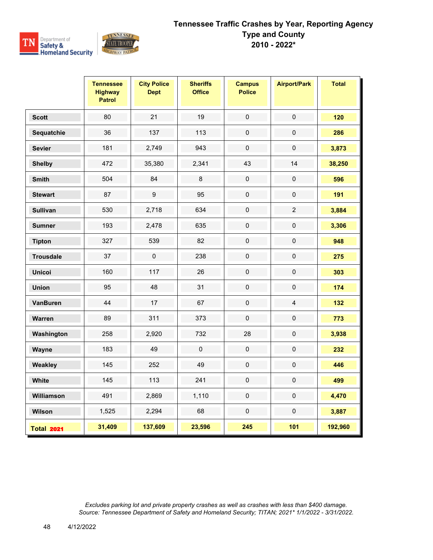

|                   | <b>Tennessee</b><br><b>Highway</b><br><b>Patrol</b> | <b>City Police</b><br><b>Dept</b> | <b>Sheriffs</b><br><b>Office</b> | <b>Campus</b><br><b>Police</b> | <b>Airport/Park</b> | <b>Total</b> |
|-------------------|-----------------------------------------------------|-----------------------------------|----------------------------------|--------------------------------|---------------------|--------------|
| <b>Scott</b>      | 80                                                  | 21                                | 19                               | $\pmb{0}$                      | $\pmb{0}$           | 120          |
| Sequatchie        | 36                                                  | 137                               | 113                              | $\pmb{0}$                      | $\mathsf 0$         | 286          |
| <b>Sevier</b>     | 181                                                 | 2,749                             | 943                              | $\mathsf{O}\xspace$            | $\pmb{0}$           | 3,873        |
| <b>Shelby</b>     | 472                                                 | 35,380                            | 2,341                            | 43                             | 14                  | 38,250       |
| <b>Smith</b>      | 504                                                 | 84                                | 8                                | $\mathsf{O}\xspace$            | $\mathbf 0$         | 596          |
| <b>Stewart</b>    | 87                                                  | $\boldsymbol{9}$                  | 95                               | $\mathbf 0$                    | $\mathbf 0$         | 191          |
| <b>Sullivan</b>   | 530                                                 | 2,718                             | 634                              | $\pmb{0}$                      | $\overline{2}$      | 3,884        |
| <b>Sumner</b>     | 193                                                 | 2,478                             | 635                              | $\pmb{0}$                      | $\pmb{0}$           | 3,306        |
| <b>Tipton</b>     | 327                                                 | 539                               | 82                               | $\mathsf{O}\xspace$            | $\mathsf 0$         | 948          |
| <b>Trousdale</b>  | 37                                                  | $\mathbf 0$                       | 238                              | $\mathbf 0$                    | $\mathsf{O}\xspace$ | 275          |
| <b>Unicoi</b>     | 160                                                 | 117                               | 26                               | $\mathsf{O}\xspace$            | $\mathsf{O}\xspace$ | 303          |
| <b>Union</b>      | 95                                                  | 48                                | 31                               | $\pmb{0}$                      | $\mathsf 0$         | 174          |
| <b>VanBuren</b>   | 44                                                  | 17                                | 67                               | $\pmb{0}$                      | $\overline{4}$      | 132          |
| Warren            | 89                                                  | 311                               | 373                              | $\mathsf 0$                    | $\pmb{0}$           | 773          |
| Washington        | 258                                                 | 2,920                             | 732                              | 28                             | $\pmb{0}$           | 3,938        |
| Wayne             | 183                                                 | 49                                | $\pmb{0}$                        | $\pmb{0}$                      | $\mathsf{O}\xspace$ | 232          |
| Weakley           | 145                                                 | 252                               | 49                               | $\pmb{0}$                      | $\pmb{0}$           | 446          |
| White             | 145                                                 | 113                               | 241                              | $\mathbf 0$                    | $\mathbf 0$         | 499          |
| Williamson        | 491                                                 | 2,869                             | 1,110                            | $\pmb{0}$                      | $\pmb{0}$           | 4,470        |
| Wilson            | 1,525                                               | 2,294                             | 68                               | $\mathsf{O}\xspace$            | $\mathsf{O}\xspace$ | 3,887        |
| <b>Total 2021</b> | 31,409                                              | 137,609                           | 23,596                           | 245                            | 101                 | 192,960      |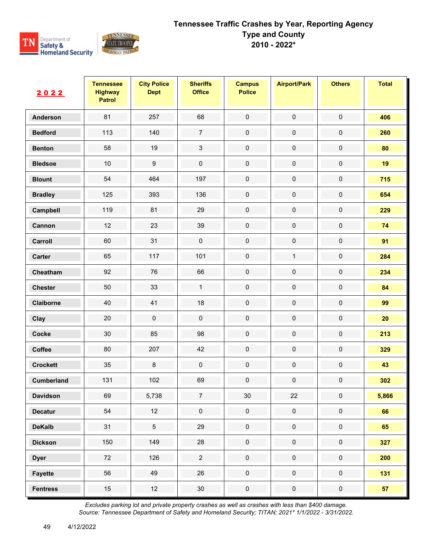

| 2022            | <b>Tennessee</b><br><b>Highway</b><br><b>Patrol</b> | <b>City Police</b><br><b>Dept</b> | <b>Sheriffs</b><br><b>Office</b> | <b>Campus</b><br><b>Police</b> | <b>Airport/Park</b> | <b>Others</b>       | <b>Total</b> |
|-----------------|-----------------------------------------------------|-----------------------------------|----------------------------------|--------------------------------|---------------------|---------------------|--------------|
| Anderson        | 81                                                  | 257                               | 68                               | $\mathbf 0$                    | $\pmb{0}$           | $\mathsf{O}\xspace$ | 406          |
| <b>Bedford</b>  | 113                                                 | 140                               | $\boldsymbol{7}$                 | $\pmb{0}$                      | $\pmb{0}$           | $\pmb{0}$           | 260          |
| <b>Benton</b>   | 58                                                  | 19                                | 3                                | $\mathsf{O}\xspace$            | $\mathbf 0$         | $\pmb{0}$           | 80           |
| <b>Bledsoe</b>  | $10$                                                | $\boldsymbol{9}$                  | $\pmb{0}$                        | $\mathbf 0$                    | $\mathbf 0$         | $\mathbf 0$         | 19           |
| <b>Blount</b>   | 54                                                  | 464                               | 197                              | $\pmb{0}$                      | $\pmb{0}$           | 0                   | 715          |
| <b>Bradley</b>  | 125                                                 | 393                               | 136                              | $\pmb{0}$                      | $\pmb{0}$           | $\pmb{0}$           | 654          |
| Campbell        | 119                                                 | 81                                | 29                               | $\mathbf 0$                    | $\pmb{0}$           | $\mathbf 0$         | 229          |
| Cannon          | 12                                                  | 23                                | 39                               | $\pmb{0}$                      | $\pmb{0}$           | 0                   | 74           |
| Carroll         | 60                                                  | 31                                | $\pmb{0}$                        | $\mathbf 0$                    | $\pmb{0}$           | $\pmb{0}$           | 91           |
| Carter          | 65                                                  | 117                               | 101                              | $\mathbf 0$                    | $\mathbf{1}$        | $\pmb{0}$           | 284          |
| Cheatham        | 92                                                  | 76                                | 66                               | $\mathsf{O}\xspace$            | $\pmb{0}$           | $\pmb{0}$           | 234          |
| <b>Chester</b>  | 50                                                  | 33                                | $\mathbf{1}$                     | $\pmb{0}$                      | $\pmb{0}$           | $\pmb{0}$           | 84           |
| Claiborne       | 40                                                  | 41                                | 18                               | $\pmb{0}$                      | $\pmb{0}$           | $\pmb{0}$           | 99           |
| Clay            | 20                                                  | $\pmb{0}$                         | $\pmb{0}$                        | $\mathbf 0$                    | $\pmb{0}$           | $\pmb{0}$           | 20           |
| Cocke           | 30                                                  | 85                                | 98                               | $\mathbf 0$                    | $\pmb{0}$           | $\pmb{0}$           | 213          |
| Coffee          | 80                                                  | 207                               | 42                               | $\pmb{0}$                      | $\pmb{0}$           | $\pmb{0}$           | 329          |
| <b>Crockett</b> | 35                                                  | $\,8\,$                           | $\pmb{0}$                        | $\mathbf 0$                    | $\pmb{0}$           | $\mathbf 0$         | 43           |
| Cumberland      | 131                                                 | 102                               | 69                               | $\pmb{0}$                      | $\pmb{0}$           | $\pmb{0}$           | 302          |
| <b>Davidson</b> | 69                                                  | 5,738                             | 7                                | 30                             | 22                  | 0                   | 5,866        |
| <b>Decatur</b>  | 54                                                  | 12                                | $\mathbf 0$                      | $\mathbf 0$                    | $\mathbf 0$         | $\pmb{0}$           | 66           |
| <b>DeKalb</b>   | 31                                                  | $\overline{5}$                    | 29                               | $\pmb{0}$                      | $\pmb{0}$           | $\pmb{0}$           | 65           |
| <b>Dickson</b>  | 150                                                 | 149                               | 28                               | $\pmb{0}$                      | $\pmb{0}$           | $\pmb{0}$           | 327          |
| <b>Dyer</b>     | $72\,$                                              | 126                               | $\overline{c}$                   | $\pmb{0}$                      | $\mathsf{O}\xspace$ | $\mathbf 0$         | 200          |
| <b>Fayette</b>  | 56                                                  | 49                                | 26                               | $\pmb{0}$                      | $\pmb{0}$           | $\pmb{0}$           | 131          |
| <b>Fentress</b> | $15\,$                                              | 12                                | $30\,$                           | $\pmb{0}$                      | $\pmb{0}$           | $\pmb{0}$           | 57           |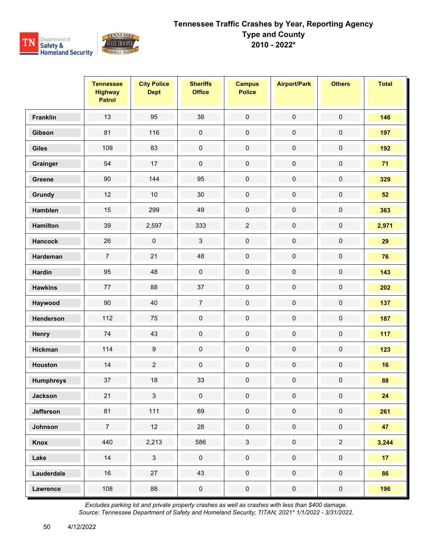

|                  | <b>Tennessee</b><br><b>Highway</b><br><b>Patrol</b> | <b>City Police</b><br><b>Dept</b> | <b>Sheriffs</b><br><b>Office</b> | <b>Campus</b><br><b>Police</b> | <b>Airport/Park</b> | <b>Others</b>  | <b>Total</b>    |
|------------------|-----------------------------------------------------|-----------------------------------|----------------------------------|--------------------------------|---------------------|----------------|-----------------|
| <b>Franklin</b>  | 13                                                  | 95                                | 38                               | $\pmb{0}$                      | $\pmb{0}$           | $\pmb{0}$      | 146             |
| Gibson           | 81                                                  | 116                               | $\pmb{0}$                        | $\pmb{0}$                      | $\pmb{0}$           | $\pmb{0}$      | 197             |
| <b>Giles</b>     | 109                                                 | 83                                | $\pmb{0}$                        | $\pmb{0}$                      | $\pmb{0}$           | $\pmb{0}$      | 192             |
| Grainger         | 54                                                  | 17                                | $\mathbf 0$                      | $\mathbf 0$                    | $\pmb{0}$           | $\pmb{0}$      | 71              |
| Greene           | 90                                                  | 144                               | 95                               | $\pmb{0}$                      | $\pmb{0}$           | $\pmb{0}$      | 329             |
| Grundy           | 12                                                  | 10                                | 30                               | $\pmb{0}$                      | $\pmb{0}$           | $\pmb{0}$      | 52              |
| Hamblen          | 15                                                  | 299                               | 49                               | $\mathbf 0$                    | $\pmb{0}$           | $\pmb{0}$      | 363             |
| <b>Hamilton</b>  | 39                                                  | 2,597                             | 333                              | $\overline{2}$                 | $\pmb{0}$           | $\pmb{0}$      | 2,971           |
| <b>Hancock</b>   | 26                                                  | $\mathbf 0$                       | $\mathbf{3}$                     | $\pmb{0}$                      | $\mathbf 0$         | $\pmb{0}$      | 29              |
| Hardeman         | $\boldsymbol{7}$                                    | 21                                | 48                               | $\pmb{0}$                      | $\pmb{0}$           | $\pmb{0}$      | 76              |
| <b>Hardin</b>    | 95                                                  | 48                                | $\pmb{0}$                        | $\mathbf 0$                    | $\pmb{0}$           | $\pmb{0}$      | 143             |
| <b>Hawkins</b>   | $77\,$                                              | 88                                | 37                               | $\pmb{0}$                      | $\pmb{0}$           | $\pmb{0}$      | 202             |
| Haywood          | 90                                                  | 40                                | $\overline{7}$                   | $\pmb{0}$                      | $\pmb{0}$           | $\pmb{0}$      | 137             |
| Henderson        | 112                                                 | 75                                | $\mathbf 0$                      | $\mathbf 0$                    | $\pmb{0}$           | $\pmb{0}$      | 187             |
| Henry            | 74                                                  | 43                                | $\pmb{0}$                        | $\pmb{0}$                      | $\pmb{0}$           | $\pmb{0}$      | 117             |
| <b>Hickman</b>   | 114                                                 | $\boldsymbol{9}$                  | $\pmb{0}$                        | $\pmb{0}$                      | $\pmb{0}$           | $\pmb{0}$      | 123             |
| <b>Houston</b>   | 14                                                  | $\overline{2}$                    | $\pmb{0}$                        | $\pmb{0}$                      | $\pmb{0}$           | $\pmb{0}$      | 16              |
| <b>Humphreys</b> | 37                                                  | 18                                | 33                               | $\pmb{0}$                      | $\pmb{0}$           | $\pmb{0}$      | 88              |
| <b>Jackson</b>   | 21                                                  | 3                                 | 0                                | 0                              | $\mathbf 0$         | 0              | 24              |
| <b>Jefferson</b> | 81                                                  | $111$                             | 69                               | $\mathbf 0$                    | $\mathbf 0$         | $\mathbf 0$    | 261             |
| Johnson          | $\overline{7}$                                      | 12                                | $28\,$                           | $\mathbf 0$                    | $\mathbf 0$         | $\pmb{0}$      | 47              |
| Knox             | 440                                                 | 2,213                             | 586                              | $\mathbf{3}$                   | $\pmb{0}$           | $\overline{2}$ | 3,244           |
| Lake             | 14                                                  | $\mathbf{3}$                      | $\mathsf{O}\xspace$              | $\pmb{0}$                      | $\mathbf 0$         | $\pmb{0}$      | 17 <sub>2</sub> |
| Lauderdale       | 16                                                  | 27                                | 43                               | $\mathbf 0$                    | $\mathbf 0$         | $\mathbf 0$    | 86              |
| Lawrence         | 108                                                 | 88                                | $\pmb{0}$                        | $\pmb{0}$                      | $\pmb{0}$           | $\pmb{0}$      | 196             |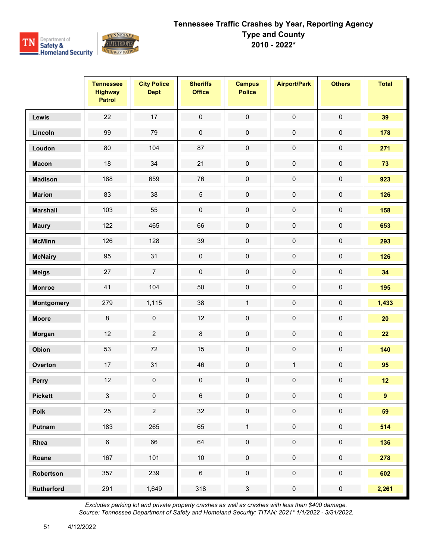

|                   | <b>Tennessee</b><br><b>Highway</b><br><b>Patrol</b> | <b>City Police</b><br><b>Dept</b> | <b>Sheriffs</b><br><b>Office</b> | <b>Campus</b><br><b>Police</b> | <b>Airport/Park</b> | <b>Others</b> | <b>Total</b> |
|-------------------|-----------------------------------------------------|-----------------------------------|----------------------------------|--------------------------------|---------------------|---------------|--------------|
| Lewis             | 22                                                  | 17                                | $\mathbf 0$                      | $\mathbf 0$                    | $\pmb{0}$           | $\mathbf 0$   | 39           |
| Lincoln           | 99                                                  | 79                                | $\pmb{0}$                        | $\pmb{0}$                      | $\pmb{0}$           | $\pmb{0}$     | 178          |
| Loudon            | 80                                                  | 104                               | 87                               | $\pmb{0}$                      | $\pmb{0}$           | $\pmb{0}$     | 271          |
| <b>Macon</b>      | $18$                                                | 34                                | 21                               | $\mathbf 0$                    | $\pmb{0}$           | $\pmb{0}$     | 73           |
| <b>Madison</b>    | 188                                                 | 659                               | 76                               | $\pmb{0}$                      | $\pmb{0}$           | $\pmb{0}$     | 923          |
| <b>Marion</b>     | 83                                                  | 38                                | $\mathbf 5$                      | $\pmb{0}$                      | $\pmb{0}$           | $\mathbf 0$   | 126          |
| <b>Marshall</b>   | 103                                                 | 55                                | $\pmb{0}$                        | $\mathbf 0$                    | $\pmb{0}$           | $\pmb{0}$     | 158          |
| <b>Maury</b>      | 122                                                 | 465                               | 66                               | $\pmb{0}$                      | $\pmb{0}$           | $\pmb{0}$     | 653          |
| <b>McMinn</b>     | 126                                                 | 128                               | 39                               | $\mathbf 0$                    | $\pmb{0}$           | $\pmb{0}$     | 293          |
| <b>McNairy</b>    | 95                                                  | 31                                | $\pmb{0}$                        | $\mathsf{O}\xspace$            | $\pmb{0}$           | $\pmb{0}$     | 126          |
| <b>Meigs</b>      | 27                                                  | $\overline{7}$                    | $\pmb{0}$                        | $\mathbf 0$                    | $\pmb{0}$           | $\pmb{0}$     | 34           |
| <b>Monroe</b>     | 41                                                  | 104                               | 50                               | $\mathbf 0$                    | $\pmb{0}$           | $\pmb{0}$     | 195          |
| Montgomery        | 279                                                 | 1,115                             | 38                               | $\mathbf{1}$                   | $\pmb{0}$           | $\pmb{0}$     | 1,433        |
| <b>Moore</b>      | $\bf 8$                                             | $\mathbf 0$                       | 12                               | $\mathbf 0$                    | $\pmb{0}$           | $\pmb{0}$     | 20           |
| Morgan            | 12                                                  | $\sqrt{2}$                        | $\bf 8$                          | $\pmb{0}$                      | $\pmb{0}$           | $\pmb{0}$     | 22           |
| Obion             | 53                                                  | 72                                | 15                               | $\pmb{0}$                      | $\pmb{0}$           | $\pmb{0}$     | 140          |
| Overton           | 17                                                  | 31                                | 46                               | $\mathsf{O}\xspace$            | $\mathbf{1}$        | $\pmb{0}$     | 95           |
| Perry             | 12                                                  | $\pmb{0}$                         | $\pmb{0}$                        | $\pmb{0}$                      | $\pmb{0}$           | $\pmb{0}$     | 12           |
| <b>Pickett</b>    | 3                                                   | 0                                 | 6                                | 0                              | 0                   | 0             | 9            |
| Polk              | 25                                                  | $\overline{2}$                    | 32                               | $\mathbf 0$                    | $\pmb{0}$           | $\mathbf 0$   | 59           |
| Putnam            | 183                                                 | 265                               | 65                               | $\mathbf{1}$                   | $\mathbf 0$         | $\mathbf 0$   | 514          |
| Rhea              | $\,6\,$                                             | 66                                | 64                               | $\mathbf 0$                    | $\pmb{0}$           | $\mathbf 0$   | 136          |
| Roane             | 167                                                 | 101                               | $10\,$                           | $\pmb{0}$                      | $\pmb{0}$           | $\pmb{0}$     | 278          |
| Robertson         | 357                                                 | 239                               | $\,6\,$                          | $\mathbf 0$                    | $\mathbf 0$         | $\mathbf 0$   | 602          |
| <b>Rutherford</b> | 291                                                 | 1,649                             | 318                              | $\mathbf{3}$                   | $\pmb{0}$           | $\pmb{0}$     | 2,261        |